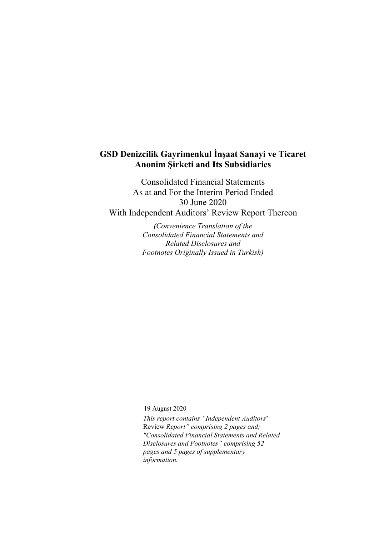# **GSD Denizcilik Gayrimenkul İnşaat Sanayi ve Ticaret Anonim Şirketi and Its Subsidiaries**

Consolidated Financial Statements As at and For the Interim Period Ended 30 June 2020 With Independent Auditors' Review Report Thereon

> *(Convenience Translation of the Consolidated Financial Statements and Related Disclosures and Footnotes Originally Issued in Turkish)*

19 August 2020

*This report contains "Independent Auditors*' Review *Report" comprising 2 pages and; "Consolidated Financial Statements and Related Disclosures and Footnotes" comprising 52 pages and 5 pages of supplementary information.*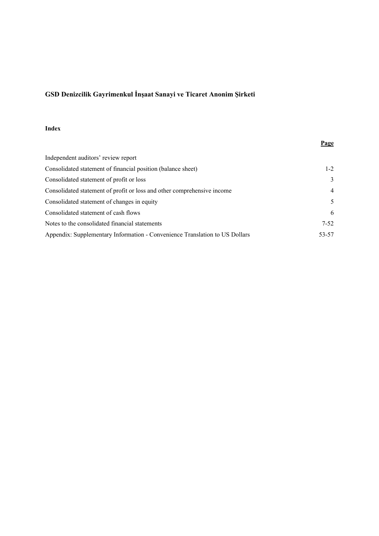## **Index**

|                                                                             | <b>Page</b>    |
|-----------------------------------------------------------------------------|----------------|
| Independent auditors' review report                                         |                |
| Consolidated statement of financial position (balance sheet)                | $1 - 2$        |
| Consolidated statement of profit or loss                                    | 3              |
| Consolidated statement of profit or loss and other comprehensive income     | $\overline{4}$ |
| Consolidated statement of changes in equity                                 | 5              |
| Consolidated statement of cash flows                                        | 6              |
| Notes to the consolidated financial statements                              | $7 - 52$       |
| Appendix: Supplementary Information - Convenience Translation to US Dollars | 53-57          |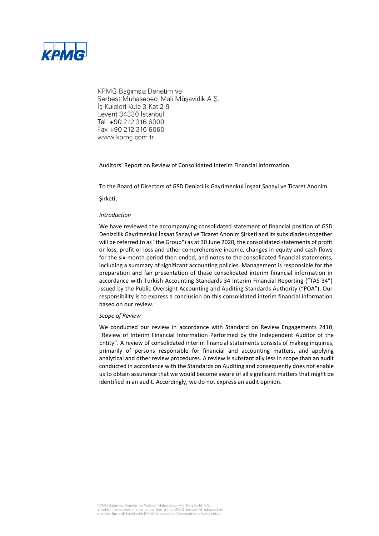

KPMG Bağımsız Denetim ve Serbest Muhasebeci Mali Müşavirlik A.Ş. İş Kuleleri Kule 3 Kat:2-9 Levent 34330 Istanbul Tel +90 212 316 6000 Fax +90 212 316 6060 www.kpmg.com.tr

#### Auditors' Report on Review of Consolidated Interim Financial Information

To the Board of Directors of GSD Denizcilik Gayrimenkul İnşaat Sanayi ve Ticaret Anonim

Şirketi;

#### *Introduction*

We have reviewed the accompanying consolidated statement of financial position of GSD Denizcilik Gayrimenkul İnşaat Sanayi ve Ticaret Anonim Şirketi and its subsidiaries (together will be referred to as "the Group") as at 30 June 2020, the consolidated statements of profit or loss, profit or loss and other comprehensive income, changes in equity and cash flows for the six-month period then ended, and notes to the consolidated financial statements, including a summary of significant accounting policies. Management is responsible for the preparation and fair presentation of these consolidated interim financial information in accordance with Turkish Accounting Standards 34 Interim Financial Reporting ("TAS 34") issued by the Public Oversight Accounting and Auditing Standards Authority ("POA"). Our responsibility is to express a conclusion on this consolidated interim financial information based on our review.

#### *Scope of Review*

We conducted our review in accordance with Standard on Review Engagements 2410, "Review of Interim Financial Information Performed by the Independent Auditor of the Entity". A review of consolidated interim financial statements consists of making inquiries, primarily of persons responsible for financial and accounting matters, and applying analytical and other review procedures. A review is substantially less in scope than an audit conducted in accordance with the Standards on Auditing and consequently does not enable us to obtain assurance that we would become aware of all significant matters that might be identified in an audit. Accordingly, we do not express an audit opinion.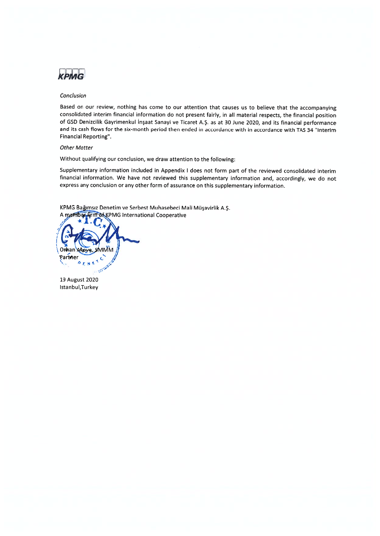

#### Conclusion

Based on our review, nothing has come to our attention that causes us to believe that the accompanying consolidated interim financial information do not present fairly, in all material respects, the financial position of GSD Denizcilik Gayrimenkul İnşaat Sanayi ve Ticaret A.Ş. as at 30 June 2020, and its financial performance and its cash flows for the six-month period then ended in accordance with in accordance with TAS 34 "Interim Financial Reporting".

#### **Other Matter**

Without qualifying our conclusion, we draw attention to the following:

Supplementary information included in Appendix I does not form part of the reviewed consolidated interim financial information. We have not reviewed this supplementary information and, accordingly, we do not express any conclusion or any other form of assurance on this supplementary information.

KPMG Bağımsız Denetim ve Serbest Muhasebeci Mali Müşavirlik A.Ş. **Arm of KPMG International Cooperative** mney



19 August 2020 Istanbul, Turkey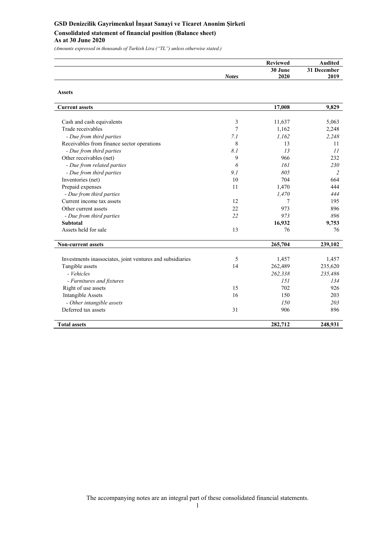## **GSD Denizcilik Gayrimenkul İnşaat Sanayi ve Ticaret Anonim Şirketi Consolidated statement of financial position (Balance sheet) As at 30 June 2020**

*(Amounts expressed in thousands of Turkish Lira ("TL") unless otherwise stated.)*

|              | <b>Reviewed</b> | <b>\udited</b> |
|--------------|-----------------|----------------|
|              | 30 June         | 31 December    |
| <b>Notes</b> | 2020            | 2019           |

| <b>Assets</b>                                             |     |         |                |
|-----------------------------------------------------------|-----|---------|----------------|
| <b>Current assets</b>                                     |     | 17,008  | 9,829          |
|                                                           |     |         |                |
| Cash and cash equivalents                                 | 3   | 11,637  | 5,063          |
| Trade receivables                                         | 7   | 1,162   | 2,248          |
| - Due from third parties                                  | 7.1 | 1.162   | 2,248          |
| Receivables from finance sector operations                | 8   | 13      | 11             |
| - Due from third parties                                  | 8.1 | 13      | 11             |
| Other receivables (net)                                   | 9   | 966     | 232            |
| - Due from related parties                                | 6   | 161     | 230            |
| - Due from third parties                                  | 9.1 | 805     | $\overline{2}$ |
| Inventories (net)                                         | 10  | 704     | 664            |
| Prepaid expenses                                          | 11  | 1,470   | 444            |
| - Due from third parties                                  |     | 1,470   | 444            |
| Current income tax assets                                 | 12  | 7       | 195            |
| Other current assets                                      | 22  | 973     | 896            |
| - Due from third parties                                  | 22  | 973     | 896            |
| <b>Subtotal</b>                                           |     | 16,932  | 9,753          |
| Assets held for sale                                      | 13  | 76      | 76             |
| <b>Non-current assets</b>                                 |     | 265,704 | 239,102        |
| Investments inassociates, joint ventures and subsidiaries | 5   | 1,457   | 1,457          |
| Tangible assets                                           | 14  | 262,489 | 235,620        |
| - Vehicles                                                |     | 262,338 | 235,486        |
| - Furnitures and fixtures                                 |     | 151     | 134            |
| Right of use assets                                       | 15  | 702     | 926            |
| Intangible Assets                                         | 16  | 150     | 203            |
| - Other intangible assets                                 |     | 150     | 203            |
| Deferred tax assets                                       | 31  | 906     | 896            |
| <b>Total assets</b>                                       |     | 282,712 | 248,931        |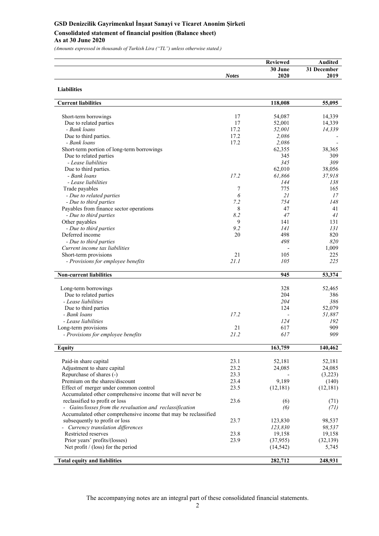## **GSD Denizcilik Gayrimenkul İnşaat Sanayi ve Ticaret Anonim Şirketi Consolidated statement of financial position (Balance sheet) As at 30 June 2020**

*(Amounts expressed in thousands of Turkish Lira ("TL") unless otherwise stated.)*

**Liabilities** 

|              | <b>Reviewed</b> | <b>Audited</b> |
|--------------|-----------------|----------------|
|              | 30 June         | 31 December    |
| <b>Notes</b> | 2020            | 2019           |

| <b>Current liabilities</b>                                      |      | 118,008   | 55,095    |
|-----------------------------------------------------------------|------|-----------|-----------|
|                                                                 |      |           |           |
| Short-term borrowings                                           | 17   | 54,087    | 14,339    |
| Due to related parties                                          | 17   | 52,001    | 14,339    |
| - Bank loans                                                    | 17.2 | 52,001    | 14,339    |
| Due to third parties.                                           | 17.2 | 2,086     |           |
| - Bank loans                                                    | 17.2 | 2,086     |           |
| Short-term portion of long-term borrowings                      |      | 62,355    | 38,365    |
| Due to related parties                                          |      | 345       | 309       |
| - Lease liabilities                                             |      | 345       | 309       |
| Due to third parties.                                           |      | 62,010    | 38,056    |
| - Bank loans                                                    | 17.2 | 61,866    | 37,918    |
| - Lease liabilities                                             |      | 144       | 138       |
| Trade payables                                                  | 7    | 775       | 165       |
| - Due to related parties                                        | 6    | 21        | 17        |
| - Due to third parties                                          | 7.2  | 754       | 148       |
| Payables from finance sector operations                         | 8    | 47        | 41        |
| - Due to third parties                                          | 8.2  | 47        | 41        |
| Other payables                                                  | 9    | 141       | 131       |
| - Due to third parties                                          | 9.2  | 141       | 131       |
| Deferred income                                                 | 20   | 498       | 820       |
| - Due to third parties                                          |      | 498       | 820       |
| Current income tax liabilities                                  |      |           | 1,009     |
| Short-term provisions                                           | 21   | 105       | 225       |
| - Provisions for employee benefits                              | 21.1 | 105       | 225       |
| <b>Non-current liabilities</b>                                  |      | 945       | 53,374    |
|                                                                 |      |           |           |
| Long-term borrowings                                            |      | 328       | 52,465    |
| Due to related parties                                          |      | 204       | 386       |
| - Lease liabilities                                             |      | 204       | 386       |
| Due to third parties                                            |      | 124       | 52,079    |
| - Bank loans                                                    | 17.2 |           | 51,887    |
| - Lease liabilities                                             |      | 124       | 192       |
| Long-term provisions                                            | 21   | 617       | 909       |
| - Provisions for employee benefits                              | 21.2 | 617       | 909       |
|                                                                 |      |           |           |
| <b>Equity</b>                                                   |      | 163,759   | 140,462   |
|                                                                 |      |           |           |
| Paid-in share capital                                           | 23.1 | 52,181    | 52,181    |
| Adjustment to share capital                                     | 23.2 | 24,085    | 24,085    |
| Repurchase of shares (-)                                        | 23.3 |           | (3,223)   |
| Premium on the shares/discount                                  | 23.4 | 9,189     | (140)     |
| Effect of merger under common control                           | 23.5 | (12, 181) | (12, 181) |
| Accumulated other comprehensive income that will never be       |      |           |           |
| reclassified to profit or loss                                  | 23.6 | (6)       | (71)      |
| - Gains/losses from the revaluation and reclassification        |      | (6)       | (71)      |
| Accumulated other comprehensive income that may be reclassified |      |           |           |
| subsequently to profit or loss                                  | 23.7 | 123,830   | 98,537    |
| - Currency translation differences                              |      | 123,830   | 98,537    |
| Restricted reserves                                             | 23.8 | 19,158    | 19,158    |
| Prior years' profits/(losses)                                   | 23.9 | (37, 955) | (32, 139) |
| Net profit $/$ (loss) for the period                            |      | (14, 542) | 5,745     |
|                                                                 |      |           |           |
| <b>Total equity and liabilities</b>                             |      | 282,712   | 248,931   |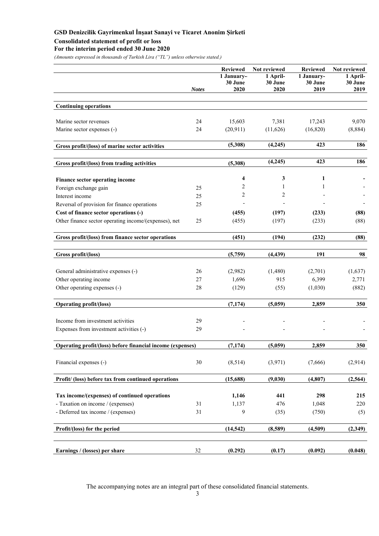## **Consolidated statement of profit or loss**

### **For the interim period ended 30 June 2020**

*(Amounts expressed in thousands of Turkish Lira ("TL") unless otherwise stated.)* 

|                                                            | <b>Notes</b> | <b>Reviewed</b><br>1 January-<br>30 June<br>2020 | Not reviewed<br>1 April-<br>30 June<br>2020 | <b>Reviewed</b><br>1 January-<br>30 June<br>2019 | Not reviewed<br>1 April-<br>30 June<br>2019 |
|------------------------------------------------------------|--------------|--------------------------------------------------|---------------------------------------------|--------------------------------------------------|---------------------------------------------|
| <b>Continuing operations</b>                               |              |                                                  |                                             |                                                  |                                             |
| Marine sector revenues                                     | 24           | 15,603                                           | 7,381                                       | 17,243                                           | 9,070                                       |
| Marine sector expenses (-)                                 | 24           | (20, 911)                                        | (11, 626)                                   | (16,820)                                         | (8,884)                                     |
| Gross profit/(loss) of marine sector activities            |              | (5,308)                                          | (4,245)                                     | 423                                              | 186                                         |
| Gross profit/(loss) from trading activities                |              | (5,308)                                          | (4,245)                                     | 423                                              | 186                                         |
|                                                            |              |                                                  |                                             | 1                                                |                                             |
| Finance sector operating income                            |              | 4                                                | 3                                           |                                                  |                                             |
| Foreign exchange gain                                      | 25           | $\overline{c}$                                   | 1                                           | 1                                                |                                             |
| Interest income                                            | 25           | $\overline{2}$                                   | 2                                           |                                                  |                                             |
| Reversal of provision for finance operations               | 25           |                                                  |                                             |                                                  |                                             |
| Cost of finance sector operations (-)                      |              | (455)                                            | (197)                                       | (233)                                            | (88)                                        |
| Other finance sector operating income/(expenses), net      | 25           | (455)                                            | (197)                                       | (233)                                            | (88)                                        |
| Gross profit/(loss) from finance sector operations         |              | (451)                                            | (194)                                       | (232)                                            | (88)                                        |
| Gross profit/(loss)                                        |              | (5,759)                                          | (4, 439)                                    | 191                                              | 98                                          |
|                                                            |              |                                                  |                                             |                                                  |                                             |
| General administrative expenses (-)                        | 26           | (2,982)                                          | (1,480)                                     | (2,701)                                          | (1,637)                                     |
| Other operating income                                     | 27           | 1,696                                            | 915                                         | 6,399                                            | 2,771                                       |
| Other operating expenses (-)                               | 28           | (129)                                            | (55)                                        | (1,030)                                          | (882)                                       |
| <b>Operating profit/(loss)</b>                             |              | (7, 174)                                         | (5,059)                                     | 2,859                                            | 350                                         |
| Income from investment activities                          | 29           |                                                  |                                             |                                                  |                                             |
| Expenses from investment activities (-)                    | 29           |                                                  |                                             |                                                  |                                             |
|                                                            |              |                                                  |                                             |                                                  |                                             |
| Operating profit/(loss) before financial income (expenses) |              | (7, 174)                                         | (5,059)                                     | 2,859                                            | 350                                         |
| Financial expenses (-)                                     | 30           | (8,514)                                          | (3,971)                                     | (7,666)                                          | (2,914)                                     |
| Profit/ (loss) before tax from continued operations        |              | (15,688)                                         | (9,030)                                     | (4, 807)                                         | (2, 564)                                    |
|                                                            |              |                                                  |                                             |                                                  |                                             |
| Tax income/(expenses) of continued operations              |              | 1,146                                            | 441                                         | 298                                              | 215                                         |
| - Taxation on income / (expenses)                          | 31           | 1,137                                            | 476                                         | 1,048                                            | 220                                         |
| - Deferred tax income / (expenses)                         | 31           | 9                                                | (35)                                        | (750)                                            | (5)                                         |
| Profit/(loss) for the period                               |              | (14, 542)                                        | (8,589)                                     | (4,509)                                          | (2,349)                                     |
| Earnings / (losses) per share                              | 32           | (0.292)                                          | (0.17)                                      | (0.092)                                          | (0.048)                                     |
|                                                            |              |                                                  |                                             |                                                  |                                             |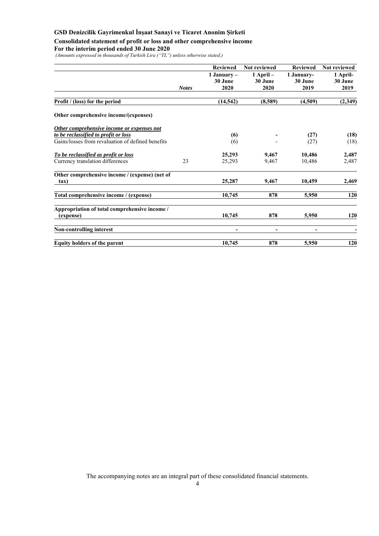## **Consolidated statement of profit or loss and other comprehensive income**

### **For the interim period ended 30 June 2020**

 *(Amounts expressed in thousands of Turkish Lira ("TL") unless otherwise stated.)* 

|                                                   |              | <b>Reviewed</b>          | Not reviewed             | <b>Reviewed</b>          | Not reviewed        |
|---------------------------------------------------|--------------|--------------------------|--------------------------|--------------------------|---------------------|
|                                                   |              | 1 January $-$<br>30 June | $1$ April $-$<br>30 June | 1 January-<br>30 June    | 1 April-<br>30 June |
|                                                   | <b>Notes</b> | 2020                     | 2020                     | 2019                     | 2019                |
| Profit / (loss) for the period                    |              | (14, 542)                | (8,589)                  | (4,509)                  | (2,349)             |
| Other comprehensive income/(expenses)             |              |                          |                          |                          |                     |
| Other comprehensive income or expenses not        |              |                          |                          |                          |                     |
| to be reclassified to profit or loss              |              | (6)                      |                          | (27)                     | (18)                |
| Gains/losses from revaluation of defined benefits |              | (6)                      |                          | (27)                     | (18)                |
| To be reclassified as profit or loss              |              | 25,293                   | 9,467                    | 10,486                   | 2,487               |
| Currency translation differences                  | 23           | 25,293                   | 9,467                    | 10,486                   | 2,487               |
| Other comprehensive income / (expense) (net of    |              |                          |                          |                          |                     |
| tax)                                              |              | 25,287                   | 9,467                    | 10,459                   | 2,469               |
| Total comprehensive income / (expense)            |              | 10,745                   | 878                      | 5,950                    | 120                 |
| Appropriation of total comprehensive income /     |              |                          |                          |                          |                     |
| (expense)                                         |              | 10,745                   | 878                      | 5,950                    | 120                 |
| <b>Non-controlling interest</b>                   |              | -                        | $\overline{\phantom{a}}$ | $\overline{\phantom{0}}$ |                     |
| <b>Equity holders of the parent</b>               |              | 10,745                   | 878                      | 5,950                    | 120                 |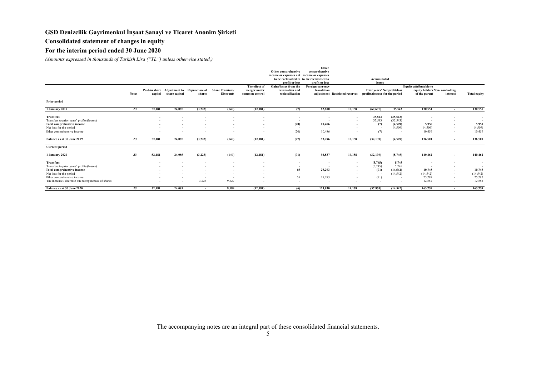## **Consolidated statement of changes in equity**

### **For the interim period ended 30 June 2020**

*(Amounts expressed in thousands of Turkish Lira ("TL") unless otherwise stated.)*

|                                                     |              |         |               |         |                                                          |                               |                                             | Other                           |                                |                                 |           |                                                          |                          |                     |
|-----------------------------------------------------|--------------|---------|---------------|---------|----------------------------------------------------------|-------------------------------|---------------------------------------------|---------------------------------|--------------------------------|---------------------------------|-----------|----------------------------------------------------------|--------------------------|---------------------|
|                                                     |              |         |               |         |                                                          |                               | Other comprehensive                         | comprehensive                   |                                |                                 |           |                                                          |                          |                     |
|                                                     |              |         |               |         |                                                          |                               | income or expenses not income or expenses   |                                 |                                |                                 |           |                                                          |                          |                     |
|                                                     |              |         |               |         |                                                          |                               | to be reclassified to to be reclassified to |                                 |                                | Accumulated                     |           |                                                          |                          |                     |
|                                                     |              |         |               |         |                                                          |                               | profit or loss                              | profit or loss                  |                                | losses                          |           |                                                          |                          |                     |
|                                                     |              |         |               |         | Paid-in share Adjustment to Repurchase of Share Premium/ | The effect of<br>merger under | Gains/losses from the<br>revaluation and    | Foreign currency<br>translation |                                | Prior years' Net profit/loss    |           | Equity attributable to<br>equity holders Non-controlling |                          |                     |
|                                                     | <b>Notes</b> | capital | share capital | shares  | <b>Discounts</b>                                         | common control                | reclassification                            |                                 | adjustment Restricted reserves | profits/(losses) for the period |           | of the parent                                            | interest                 | <b>Total equity</b> |
| Prior period                                        |              |         |               |         |                                                          |                               |                                             |                                 |                                |                                 |           |                                                          |                          |                     |
| <b>1 January 2019</b>                               | 23           | 52,181  | 24,085        | (3,223) | (140)                                                    | (12, 181)                     | (7)                                         | 82,810                          | 19,158                         | (67, 675)                       | 35,543    | 130,551                                                  | $\sim$                   | 130,551             |
| <b>Transfers</b>                                    |              |         |               |         |                                                          | $\overline{\phantom{a}}$      | $\overline{\phantom{a}}$                    | $\sim$                          |                                | 35,543                          | (35, 543) |                                                          |                          | $\sim$              |
| Transfers to prior years' profits/(losses)          |              |         |               |         |                                                          |                               | $\sim$                                      | . .                             | $\sim$                         | 35,543                          | (35,543)  |                                                          |                          | $\sim$              |
| Total comprehensive income                          |              |         |               |         |                                                          | $\overline{\phantom{a}}$      | (20)                                        | 10,486                          | $\sim$                         | (7)                             | (4,509)   | 5.950                                                    | $\overline{\phantom{a}}$ | 5,950               |
| Net loss for the period                             |              |         |               |         |                                                          |                               | . .                                         |                                 |                                | $\sim$                          | (4,509)   | (4,509)                                                  | $\sim$                   | (4,509)             |
| Other comprehensive income                          |              |         |               |         |                                                          | $\sim$                        | (20)                                        | 10,486                          |                                | (7)                             |           | 10.459                                                   | $\sim$                   | 10,459              |
| Balance as at 30 June 2019                          | 23           | 52,181  | 24,085        | (3,223) | (140)                                                    | (12, 181)                     | (27)                                        | 93,296                          | 19,158                         | (32, 139)                       | (4,509)   | 136,501                                                  | . .                      | 136,501             |
| <b>Current period</b>                               |              |         |               |         |                                                          |                               |                                             |                                 |                                |                                 |           |                                                          |                          |                     |
| 1 January 2020                                      | 23           | 52,181  | 24,085        | (3,223) | (140)                                                    | (12, 181)                     | (71)                                        | 98,537                          | 19,158                         | (32, 139)                       | (5,745)   | 140,462                                                  | $\sim$                   | 140,462             |
| <b>Transfers</b>                                    |              |         |               |         |                                                          | $\overline{\phantom{a}}$      |                                             | . .                             |                                | (5,745)                         | 5,745     |                                                          |                          | $\sim$              |
| Transfers to prior years' profits/(losses)          |              |         |               |         |                                                          | $\overline{\phantom{a}}$      | $\sim$                                      | . .                             | $\sim$                         | (5,745)                         | 5.745     |                                                          |                          | $\sim$              |
| Total comprehensive income                          |              |         |               |         |                                                          |                               | 65                                          | 25,293                          |                                | (71)                            | (14, 542) | 10.745                                                   |                          | 10,745              |
| Net loss for the period                             |              |         |               |         |                                                          |                               |                                             |                                 |                                |                                 | (14, 542) | (14, 542)                                                | $\sim$                   | (14, 542)           |
| Other comprehensive income                          |              |         | $\sim$        | . .     |                                                          |                               | 65                                          | 25,293                          | $\sim$                         | (71)                            | $\sim$    | 25,287                                                   | $\sim$                   | 25,287              |
| The increase / decrease due to repurchase of shares |              |         |               | 3,223   | 9,329                                                    |                               | $\sim$                                      |                                 |                                | $\sim$                          |           | 12,552                                                   |                          | 12,552              |
| Balance as at 30 June 2020                          | 23           | 52,181  | 24,085        | . .     | 9.189                                                    | (12, 181)                     | (6)                                         | 123,830                         | 19,158                         | (37,955)                        | (14, 542) | 163,759                                                  | . .                      | 163,759             |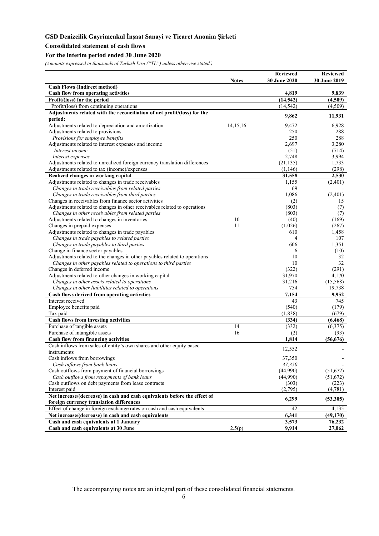### **Consolidated statement of cash flows**

## **For the interim period ended 30 June 2020**

*(Amounts expressed in thousands of Turkish Lira ("TL") unless otherwise stated.)* 

|                                                                                                                       |              | <b>Reviewed</b> | <b>Reviewed</b> |
|-----------------------------------------------------------------------------------------------------------------------|--------------|-----------------|-----------------|
|                                                                                                                       | <b>Notes</b> | 30 June 2020    | 30 June 2019    |
| <b>Cash Flows (Indirect method)</b>                                                                                   |              |                 |                 |
| <b>Cash flow from operating activities</b>                                                                            |              | 4,819           | 9,839           |
| Profit/(loss) for the period                                                                                          |              | (14, 542)       | (4,509)         |
| Profit/(loss) from continuing operations                                                                              |              | (14.542)        | (4,509)         |
| Adjustments related with the reconciliation of net profit/(loss) for the                                              |              | 9,862           | 11,931          |
| period:                                                                                                               |              |                 |                 |
| Adjustments related to depreciation and amortization                                                                  | 14,15,16     | 9,472           | 6,928           |
| Adjustments related to provisions                                                                                     |              | 250             | 288             |
| Provisions for employee benefits                                                                                      |              | 250             | 288             |
| Adjustments related to interest expenses and income                                                                   |              | 2,697           | 3,280           |
| Interest income                                                                                                       |              | (51)            | (714)           |
| Interest expenses                                                                                                     |              | 2,748           | 3,994           |
| Adjustments related to unrealized foreign currency translation differences                                            |              | (21, 135)       | 1,733           |
| Adjustments related to tax (income)/expenses                                                                          |              | (1,146)         | (298)           |
| Realized changes in working capital                                                                                   |              | 31,558          | 2,530           |
| Adjustments related to changes in trade receivables                                                                   |              | 1,155           | (2,401)         |
| Changes in trade receivables from related parties                                                                     |              | 69              |                 |
| Changes in trade receivables from third parties                                                                       |              | 1,086           | (2,401)         |
| Changes in receivables from finance sector activities                                                                 |              | (2)             | 15              |
| Adjustments related to changes in other receivables related to operations                                             |              | (803)           | (7)             |
| Changes in other receivables from related parties                                                                     |              | (803)           | (7)             |
| Adjustments related to changes in inventories                                                                         | 10           | (40)            | (169)           |
| Changes in prepaid expenses                                                                                           | 11           | (1,026)         | (267)           |
| Adjustments related to changes in trade payables                                                                      |              | 610             | 1,458           |
| Changes in trade payables to related parties                                                                          |              | 4               | 107             |
| Changes in trade payables to third parties                                                                            |              | 606             | 1,351           |
| Change in finance sector payables                                                                                     |              | 6               | (10)            |
| Adjustments related to the changes in other payables related to operations                                            |              | 10              | 32              |
| Changes in other payables related to operations to third parties                                                      |              | 10              | 32              |
| Changes in deferred income                                                                                            |              | (322)           | (291)           |
| Adjustments related to other changes in working capital                                                               |              | 31,970          | 4,170           |
| Changes in other assets related to operations                                                                         |              | 31,216          | (15, 568)       |
| Changes in other liabilities related to operations                                                                    |              | 754             | 19,738          |
| Cash flows derived from operating activities                                                                          |              | 7,154           | 9,952           |
| Interest received                                                                                                     |              | 43              | 745             |
| Employee benefits paid                                                                                                |              | (540)           | (179)           |
| Tax paid                                                                                                              |              | (1,838)         | (679)           |
| <b>Cash flows from investing activities</b>                                                                           |              | (334)           | (6, 468)        |
| Purchase of tangible assets                                                                                           | 14           | (332)           | (6,375)         |
| Purchase of intangible assets                                                                                         | 16           | (2)             | (93)            |
| <b>Cash flow from financing activities</b>                                                                            |              | 1.814           | (56, 676)       |
| Cash inflows from sales of entity's own shares and other equity based                                                 |              | 12,552          |                 |
| instruments                                                                                                           |              |                 |                 |
| Cash inflows from borrowings                                                                                          |              | 37,350          |                 |
| Cash inflows from bank loans                                                                                          |              | 37,350          |                 |
| Cash outflows from payment of financial borrowings                                                                    |              | (44,990)        | (51, 672)       |
| Cash outflows from repayments of bank loans                                                                           |              | (44,990)        | (51, 672)       |
| Cash outflows on debt payments from lease contracts                                                                   |              | (303)           | (223)           |
| Interest paid                                                                                                         |              | (2,795)         | (4,781)         |
| Net increase/(decrease) in cash and cash equivalents before the effect of<br>foreign currency translation differences |              | 6,299           | (53,305)        |
| Effect of change in foreign exchange rates on cash and cash equivalents                                               |              | 42              | 4,135           |
| Net increase/(decrease) in cash and cash equivalents                                                                  |              | 6,341           | (49, 170)       |
| Cash and cash equivalents at 1 January                                                                                |              | 3,573           | 76,232          |
| Cash and cash equivalents at 30 June                                                                                  | 2.5(p)       | 9,914           | 27,062          |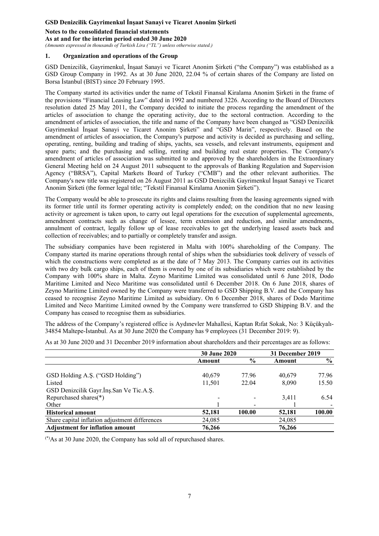## **Notes to the consolidated financial statements**

**As at and for the interim period ended 30 June 2020** 

*(Amounts expressed in thousands of Turkish Lira ("TL") unless otherwise stated.)* 

## **1. Organization and operations of the Group**

GSD Denizcilik, Gayrimenkul, İnşaat Sanayi ve Ticaret Anonim Şirketi ("the Company") was established as a GSD Group Company in 1992. As at 30 June 2020, 22.04 % of certain shares of the Company are listed on Borsa İstanbul (BIST) since 20 February 1995.

The Company started its activities under the name of Tekstil Finansal Kiralama Anonim Şirketi in the frame of the provisions "Financial Leasing Law" dated in 1992 and numbered 3226. According to the Board of Directors resolution dated 25 May 2011, the Company decided to initiate the process regarding the amendment of the articles of association to change the operating activity, due to the sectoral contraction. According to the amendment of articles of association, the title and name of the Company have been changed as "GSD Denizcilik Gayrimenkul İnşaat Sanayi ve Ticaret Anonim Şirketi" and "GSD Marin", respectively. Based on the amendment of articles of association, the Company's purpose and activity is decided as purchasing and selling, operating, renting, building and trading of ships, yachts, sea vessels, and relevant instruments, equipment and spare parts; and the purchasing and selling, renting and building real estate properties. The Company's amendment of articles of association was submitted to and approved by the shareholders in the Extraordinary General Meeting held on 24 August 2011 subsequent to the approvals of Banking Regulation and Supervision Agency ("BRSA"), Capital Markets Board of Turkey ("CMB") and the other relevant authorities. The Company's new title was registered on 26 August 2011 as GSD Denizcilik Gayrimenkul İnşaat Sanayi ve Ticaret Anonim Şirketi (the former legal title; "Tekstil Finansal Kiralama Anonim Şirketi").

The Company would be able to prosecute its rights and claims resulting from the leasing agreements signed with its former title until its former operating activity is completely ended; on the condition that no new leasing activity or agreement is taken upon, to carry out legal operations for the execution of supplemental agreements, amendment contracts such as change of lessee, term extension and reduction, and similar amendments, annulment of contract, legally follow up of lease receivables to get the underlying leased assets back and collection of receivables; and to partially or completely transfer and assign.

The subsidiary companies have been registered in Malta with 100% shareholding of the Company. The Company started its marine operations through rental of ships when the subsidiaries took delivery of vessels of which the constructions were completed as at the date of  $7$  May 2013. The Company carries out its activities with two dry bulk cargo ships, each of them is owned by one of its subsidiaries which were established by the Company with 100% share in Malta. Zeyno Maritime Limited was consolidated until 6 June 2018, Dodo Maritime Limited and Neco Maritime was consolidated until 6 December 2018. On 6 June 2018, shares of Zeyno Maritime Limited owned by the Company were transferred to GSD Shipping B.V. and the Company has ceased to recognise Zeyno Maritime Limited as subsidiary. On 6 December 2018, shares of Dodo Maritime Limited and Neco Maritime Limited owned by the Company were transferred to GSD Shipping B.V. and the Company has ceased to recognise them as subsidiaries.

The address of the Company's registered office is Aydınevler Mahallesi, Kaptan Rıfat Sokak, No: 3 Küçükyalı-34854 Maltepe-İstanbul. As at 30 June 2020 the Company has 9 employees (31 December 2019: 9).

As at 30 June 2020 and 31 December 2019 information about shareholders and their percentages are as follows:

|                                                | <b>30 June 2020</b> |               | 31 December 2019 |        |
|------------------------------------------------|---------------------|---------------|------------------|--------|
|                                                | Amount              | $\frac{6}{6}$ | Amount           | $\%$   |
|                                                |                     |               |                  |        |
| GSD Holding A.S. ("GSD Holding")               | 40,679              | 77.96         | 40,679           | 77.96  |
| Listed                                         | 11,501              | 22.04         | 8.090            | 15.50  |
| GSD Denizcilik Gayr.Ins.San Ve Tic.A.S.        |                     |               |                  |        |
| Repurchased shares(*)                          |                     |               | 3.411            | 6.54   |
| Other                                          |                     |               |                  |        |
| <b>Historical amount</b>                       | 52,181              | 100.00        | 52,181           | 100.00 |
| Share capital inflation adjustment differences | 24,085              |               | 24,085           |        |
| <b>Adjustment for inflation amount</b>         | 76,266              |               | 76,266           |        |

(\*)As at 30 June 2020, the Company has sold all of repurchased shares.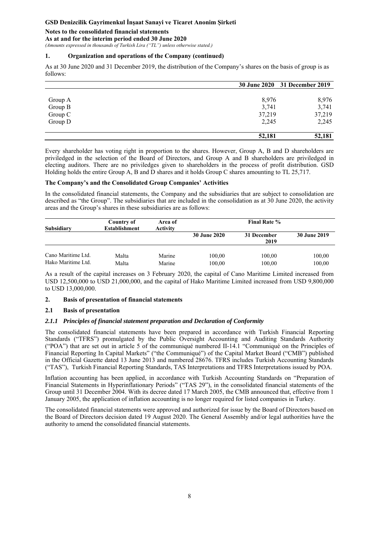### **Notes to the consolidated financial statements**

**As at and for the interim period ended 30 June 2020** 

*(Amounts expressed in thousands of Turkish Lira ("TL") unless otherwise stated.)* 

#### **1. Organization and operations of the Company (continued)**

As at 30 June 2020 and 31 December 2019, the distribution of the Company's shares on the basis of group is as follows:

|         |        | 30 June 2020 31 December 2019 |
|---------|--------|-------------------------------|
|         |        |                               |
| Group A | 8,976  | 8,976                         |
| Group B | 3,741  | 3,741                         |
| Group C | 37,219 | 37,219                        |
| Group D | 2,245  | 2,245                         |
|         | 52,181 | 52,181                        |

Every shareholder has voting right in proportion to the shares. However, Group A, B and D shareholders are priviledged in the selection of the Board of Directors, and Group A and B shareholders are priviledged in electing auditors. There are no priviledges given to shareholders in the process of profit distribution. GSD Holding holds the entire Group A, B and D shares and it holds Group C shares amounting to TL 25,717.

#### **The Company's and the Consolidated Group Companies' Activities**

In the consolidated financial statements, the Company and the subsidiaries that are subject to consolidation are described as "the Group". The subsidiaries that are included in the consolidation as at 30 June 2020, the activity areas and the Group's shares in these subsidiaries are as follows:

| Subsidiary                               | Country of<br><b>Establishment</b> | Area of<br>Activity |                     |                     |                  |
|------------------------------------------|------------------------------------|---------------------|---------------------|---------------------|------------------|
|                                          |                                    |                     | <b>30 June 2020</b> | 31 December<br>2019 | 30 June 2019     |
| Cano Maritime Ltd.<br>Hako Maritime Ltd. | Malta<br>Malta                     | Marine<br>Marine    | 100,00<br>100,00    | 100,00<br>100,00    | 100,00<br>100,00 |

As a result of the capital increases on 3 February 2020, the capital of Cano Maritime Limited increased from USD 12,500,000 to USD 21,000,000, and the capital of Hako Maritime Limited increased from USD 9,800,000 to USD 13,000,000.

### **2. Basis of presentation of financial statements**

### **2.1 Basis of presentation**

### *2.1.1 Principles of financial statement preparation and Declaration of Conformity*

The consolidated financial statements have been prepared in accordance with Turkish Financial Reporting Standards ("TFRS") promulgated by the Public Oversight Accounting and Auditing Standards Authority ("POA") that are set out in article 5 of the communiqué numbered II-14.1 "Communiqué on the Principles of Financial Reporting In Capital Markets" ("the Communiqué") of the Capital Market Board ("CMB") published in the Official Gazette dated 13 June 2013 and numbered 28676. TFRS includes Turkish Accounting Standards ("TAS"), Turkish Financial Reporting Standards, TAS Interpretations and TFRS Interpretations issued by POA.

Inflation accounting has been applied, in accordance with Turkish Accounting Standards on "Preparation of Financial Statements in Hyperinflationary Periods" ("TAS 29"), in the consolidated financial statements of the Group until 31 December 2004. With its decree dated 17 March 2005, the CMB announced that, effective from 1 January 2005, the application of inflation accounting is no longer required for listed companies in Turkey.

The consolidated financial statements were approved and authorized for issue by the Board of Directors based on the Board of Directors decision dated 19 August 2020. The General Assembly and/or legal authorities have the authority to amend the consolidated financial statements.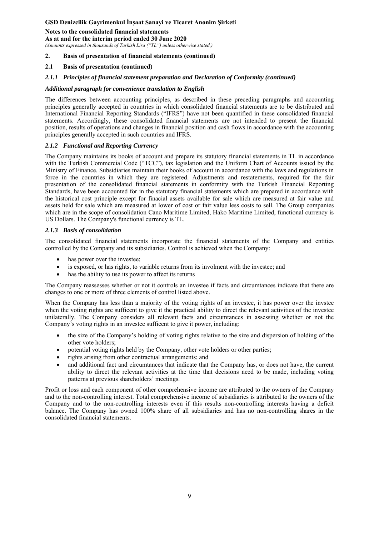### **Notes to the consolidated financial statements**

**As at and for the interim period ended 30 June 2020** 

*(Amounts expressed in thousands of Turkish Lira ("TL") unless otherwise stated.)* 

#### **2. Basis of presentation of financial statements (continued)**

#### **2.1 Basis of presentation (continued)**

#### *2.1.1 Principles of financial statement preparation and Declaration of Conformity (continued)*

#### *Additional paragraph for convenience translation to English*

The differences between accounting principles, as described in these preceding paragraphs and accounting principles generally accepted in countries in which consolidated financial statements are to be distributed and International Financial Reporting Standards ("IFRS") have not been quantified in these consolidated financial statements. Accordingly, these consolidated financial statements are not intended to present the financial position, results of operations and changes in financial position and cash flows in accordance with the accounting principles generally accepted in such countries and IFRS.

#### *2.1.2 Functional and Reporting Currency*

The Company maintains its books of account and prepare its statutory financial statements in TL in accordance with the Turkish Commercial Code ("TCC"), tax legislation and the Uniform Chart of Accounts issued by the Ministry of Finance. Subsidiaries maintain their books of account in accordance with the laws and regulations in force in the countries in which they are registered. Adjustments and restatements, required for the fair presentation of the consolidated financial statements in conformity with the Turkish Financial Reporting Standards, have been accounted for in the statutory financial statements which are prepared in accordance with the historical cost principle except for finacial assets available for sale which are measured at fair value and assets held for sale which are measured at lower of cost or fair value less costs to sell. The Group companies which are in the scope of consolidation Cano Maritime Limited, Hako Maritime Limited, functional currency is US Dollars. The Company's functional currency is TL.

#### *2.1.3 Basis of consolidation*

The consolidated financial statements incorporate the financial statements of the Company and entities controlled by the Company and its subsidiaries. Control is achieved when the Company:

- has power over the investee;
- is exposed, or has rights, to variable returns from its involment with the investee; and
- has the ability to use its power to affect its returns

The Company reassesses whether or not it controls an investee if facts and circumtances indicate that there are changes to one or more of three elements of control listed above.

When the Company has less than a majority of the voting rights of an investee, it has power over the invstee when the voting rights are sufficent to give it the practical ability to direct the relevant activities of the investee unilaterally. The Company considers all relevant facts and circumtances in assessing whether or not the Company's voting rights in an investee sufficent to give it power, including:

- the size of the Company's holding of voting rights relative to the size and dispersion of holding of the other vote holders;
- potential voting rights held by the Company, other vote holders or other parties;
- rights arising from other contractual arrangements; and
- and additional fact and circumtances that indicate that the Company has, or does not have, the current ability to direct the relevant activities at the time that decisions need to be made, including voting patterns at previous shareholders' meetings.

Profit or loss and each component of other comprehensive income are attributed to the owners of the Compnay and to the non-controlling interest. Total comprehensive income of subsidiaries is attributed to the owners of the Company and to the non-controlling interests even if this results non-controlling interests having a deficit balance. The Company has owned 100% share of all subsidiaries and has no non-controlling shares in the consolidated financial statements.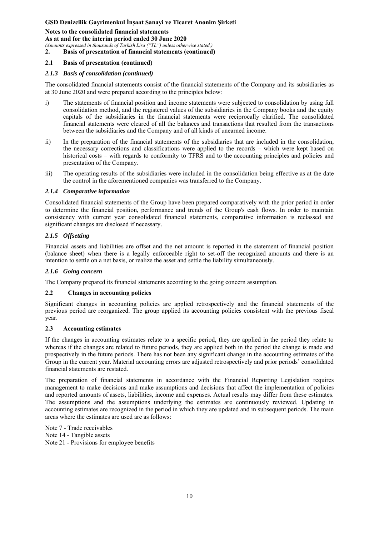**Notes to the consolidated financial statements As at and for the interim period ended 30 June 2020** 

*(Amounts expressed in thousands of Turkish Lira ("TL") unless otherwise stated.)* 

**2. Basis of presentation of financial statements (continued)** 

### **2.1 Basis of presentation (continued)**

### *2.1.3 Basis of consolidation (continued)*

The consolidated financial statements consist of the financial statements of the Company and its subsidiaries as at 30 June 2020 and were prepared according to the principles below:

- i) The statements of financial position and income statements were subjected to consolidation by using full consolidation method, and the registered values of the subsidiaries in the Company books and the equity capitals of the subsidiaries in the financial statements were reciprocally clarified. The consolidated financial statements were cleared of all the balances and transactions that resulted from the transactions between the subsidiaries and the Company and of all kinds of unearned income.
- ii) In the preparation of the financial statements of the subsidiaries that are included in the consolidation, the necessary corrections and classifications were applied to the records – which were kept based on historical costs – with regards to conformity to TFRS and to the accounting principles and policies and presentation of the Company.
- iii) The operating results of the subsidiaries were included in the consolidation being effective as at the date the control in the aforementioned companies was transferred to the Company.

### *2.1.4 Comparative information*

Consolidated financial statements of the Group have been prepared comparatively with the prior period in order to determine the financial position, performance and trends of the Group's cash flows. In order to maintain consistency with current year consolidated financial statements, comparative information is reclassed and significant changes are disclosed if necessary.

### *2.1.5 Offsetting*

Financial assets and liabilities are offset and the net amount is reported in the statement of financial position (balance sheet) when there is a legally enforceable right to set-off the recognized amounts and there is an intention to settle on a net basis, or realize the asset and settle the liability simultaneously.

### *2.1.6 Going concern*

The Company prepared its financial statements according to the going concern assumption.

### **2.2 Changes in accounting policies**

Significant changes in accounting policies are applied retrospectively and the financial statements of the previous period are reorganized. The group applied its accounting policies consistent with the previous fiscal year.

### **2.3 Accounting estimates**

If the changes in accounting estimates relate to a specific period, they are applied in the period they relate to whereas if the changes are related to future periods, they are applied both in the period the change is made and prospectively in the future periods. There has not been any significant change in the accounting estimates of the Group in the current year. Material accounting errors are adjusted retrospectively and prior periods' consolidated financial statements are restated.

The preparation of financial statements in accordance with the Financial Reporting Legislation requires management to make decisions and make assumptions and decisions that affect the implementation of policies and reported amounts of assets, liabilities, income and expenses. Actual results may differ from these estimates. The assumptions and the assumptions underlying the estimates are continuously reviewed. Updating in accounting estimates are recognized in the period in which they are updated and in subsequent periods. The main areas where the estimates are used are as follows:

Note 7 - Trade receivables Note 14 - Tangible assets Note 21 - Provisions for employee benefits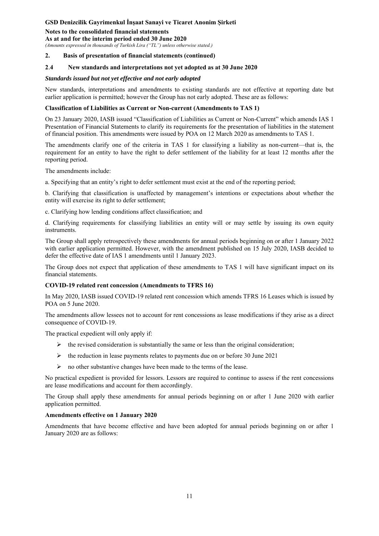**Notes to the consolidated financial statements** 

**As at and for the interim period ended 30 June 2020** 

*(Amounts expressed in thousands of Turkish Lira ("TL") unless otherwise stated.)* 

### **2. Basis of presentation of financial statements (continued)**

### **2**.**4 New standards and interpretations not yet adopted as at 30 June 2020**

#### *Standards issued but not yet effective and not early adopted*

New standards, interpretations and amendments to existing standards are not effective at reporting date but earlier application is permitted; however the Group has not early adopted. These are as follows:

#### **Classification of Liabilities as Current or Non-current (Amendments to TAS 1)**

On 23 January 2020, IASB issued "Classification of Liabilities as Current or Non-Current" which amends IAS 1 Presentation of Financial Statements to clarify its requirements for the presentation of liabilities in the statement of financial position. This amendments were issued by POA on 12 March 2020 as amendments to TAS 1.

The amendments clarify one of the criteria in TAS 1 for classifying a liability as non-current—that is, the requirement for an entity to have the right to defer settlement of the liability for at least 12 months after the reporting period.

The amendments include:

a. Specifying that an entity's right to defer settlement must exist at the end of the reporting period;

b. Clarifying that classification is unaffected by management's intentions or expectations about whether the entity will exercise its right to defer settlement;

c. Clarifying how lending conditions affect classification; and

d. Clarifying requirements for classifying liabilities an entity will or may settle by issuing its own equity instruments.

The Group shall apply retrospectively these amendments for annual periods beginning on or after 1 January 2022 with earlier application permitted. However, with the amendment published on 15 July 2020, IASB decided to defer the effective date of IAS 1 amendments until 1 January 2023.

The Group does not expect that application of these amendments to TAS 1 will have significant impact on its financial statements.

### **COVID-19 related rent concession (Amendments to TFRS 16)**

In May 2020, IASB issued COVID-19 related rent concession which amends TFRS 16 Leases which is issued by POA on 5 June 2020.

The amendments allow lessees not to account for rent concessions as lease modifications if they arise as a direct consequence of COVID-19.

The practical expedient will only apply if:

- $\triangleright$  the revised consideration is substantially the same or less than the original consideration;
- $\triangleright$  the reduction in lease payments relates to payments due on or before 30 June 2021
- $\triangleright$  no other substantive changes have been made to the terms of the lease.

No practical expedient is provided for lessors. Lessors are required to continue to assess if the rent concessions are lease modifications and account for them accordingly.

The Group shall apply these amendments for annual periods beginning on or after 1 June 2020 with earlier application permitted.

### **Amendments effective on 1 January 2020**

Amendments that have become effective and have been adopted for annual periods beginning on or after 1 January 2020 are as follows: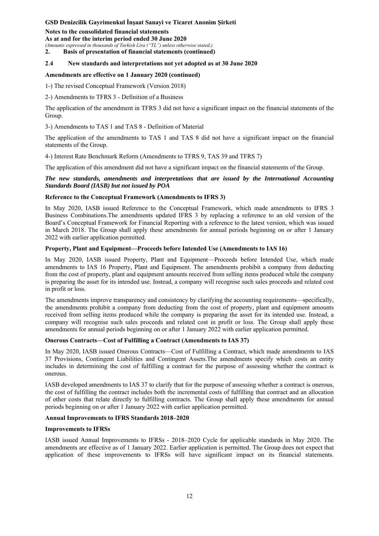**Notes to the consolidated financial statements** 

**As at and for the interim period ended 30 June 2020**  *(Amounts expressed in thousands of Turkish Lira ("TL") unless otherwise stated.)* 

**2. Basis of presentation of financial statements (continued)** 

## **2**.**4 New standards and interpretations not yet adopted as at 30 June 2020**

### **Amendments are effective on 1 January 2020 (continued)**

1-) The revised Conceptual Framework (Version 2018)

2-) Amendments to TFRS 3 - Definition of a Business

The application of the amendment in TFRS 3 did not have a significant impact on the financial statements of the Group.

3-) Amendments to TAS 1 and TAS 8 - Definition of Material

The application of the amendments to TAS 1 and TAS 8 did not have a significant impact on the financial statements of the Group.

4-) Interest Rate Benchmark Reform (Amendments to TFRS 9, TAS 39 and TFRS 7)

The application of this amendment did not have a significant impact on the financial statements of the Group.

*The new standards, amendments and interpretations that are issued by the International Accounting Standards Board (IASB) but not issued by POA* 

### **Reference to the Conceptual Framework (Amendments to IFRS 3)**

In May 2020, IASB issued Reference to the Conceptual Framework, which made amendments to IFRS 3 Business Combinations.The amendments updated IFRS 3 by replacing a reference to an old version of the Board's Conceptual Framework for Financial Reporting with a reference to the latest version, which was issued in March 2018. The Group shall apply these amendments for annual periods beginning on or after 1 January 2022 with earlier application permitted.

### **Property, Plant and Equipment—Proceeds before Intended Use (Amendments to IAS 16)**

In May 2020, IASB issued Property, Plant and Equipment—Proceeds before Intended Use, which made amendments to IAS 16 Property, Plant and Equipment. The amendments prohibit a company from deducting from the cost of property, plant and equipment amounts received from selling items produced while the company is preparing the asset for its intended use. Instead, a company will recognise such sales proceeds and related cost in profit or loss.

The amendments improve transparency and consistency by clarifying the accounting requirements—specifically, the amendments prohibit a company from deducting from the cost of property, plant and equipment amounts received from selling items produced while the company is preparing the asset for its intended use. Instead, a company will recognise such sales proceeds and related cost in profit or loss. The Group shall apply these amendments for annual periods beginning on or after 1 January 2022 with earlier application permitted.

### **Onerous Contracts—Cost of Fulfilling a Contract (Amendments to IAS 37)**

In May 2020, IASB issued Onerous Contracts—Cost of Fulfilling a Contract, which made amendments to IAS 37 Provisions, Contingent Liabilities and Contingent Assets.The amendments specify which costs an entity includes in determining the cost of fulfilling a contract for the purpose of assessing whether the contract is onerous.

IASB developed amendments to IAS 37 to clarify that for the purpose of assessing whether a contract is onerous, the cost of fulfilling the contract includes both the incremental costs of fulfilling that contract and an allocation of other costs that relate directly to fulfilling contracts. The Group shall apply these amendments for annual periods beginning on or after 1 January 2022 with earlier application permitted.

## **Annual Improvements to IFRS Standards 2018–2020**

### **Improvements to IFRSs**

IASB issued Annual Improvements to IFRSs - 2018–2020 Cycle for applicable standards in May 2020. The amendments are effective as of 1 January 2022. Earlier application is permitted. The Group does not expect that application of these improvements to IFRSs will have significant impact on its financial statements.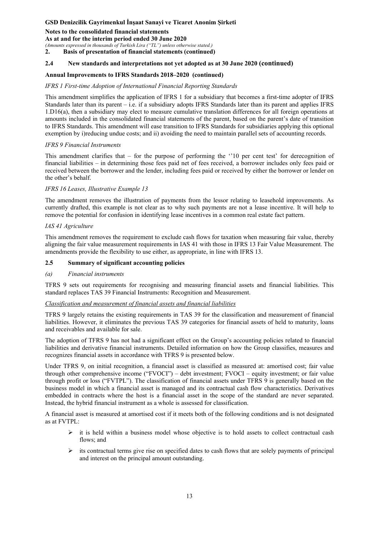### **Notes to the consolidated financial statements**

#### **As at and for the interim period ended 30 June 2020**

*(Amounts expressed in thousands of Turkish Lira ("TL") unless otherwise stated.)* 

**2. Basis of presentation of financial statements (continued)** 

### **2.4 New standards and interpretations not yet adopted as at 30 June 2020 (continued)**

### **Annual Improvements to IFRS Standards 2018–2020 (continued)**

### *IFRS 1 First-time Adoption of International Financial Reporting Standards*

This amendment simplifies the application of IFRS 1 for a subsidiary that becomes a first-time adopter of IFRS Standards later than its parent – i.e. if a subsidiary adopts IFRS Standards later than its parent and applies IFRS 1.D16(a), then a subsidiary may elect to measure cumulative translation differences for all foreign operations at amounts included in the consolidated financial statements of the parent, based on the parent's date of transition to IFRS Standards. This amendment will ease transition to IFRS Standards for subsidiaries applying this optional exemption by i)reducing undue costs; and ii) avoiding the need to maintain parallel sets of accounting records.

### *IFRS 9 Financial Instruments*

This amendment clarifies that – for the purpose of performing the ''10 per cent test' for derecognition of financial liabilities – in determining those fees paid net of fees received, a borrower includes only fees paid or received between the borrower and the lender, including fees paid or received by either the borrower or lender on the other's behalf.

### *IFRS 16 Leases, Illustrative Example 13*

The amendment removes the illustration of payments from the lessor relating to leasehold improvements. As currently drafted, this example is not clear as to why such payments are not a lease incentive. It will help to remove the potential for confusion in identifying lease incentives in a common real estate fact pattern.

### *IAS 41 Agriculture*

This amendment removes the requirement to exclude cash flows for taxation when measuring fair value, thereby aligning the fair value measurement requirements in IAS 41 with those in IFRS 13 Fair Value Measurement. The amendments provide the flexibility to use either, as appropriate, in line with IFRS 13.

### **2.5 Summary of significant accounting policies**

### *(a) Financial instruments*

TFRS 9 sets out requirements for recognising and measuring financial assets and financial liabilities. This standard replaces TAS 39 Financial Instruments: Recognition and Measurement.

### *Classification and measurement of financial assets and financial liabilities*

TFRS 9 largely retains the existing requirements in TAS 39 for the classification and measurement of financial liabilities. However, it eliminates the previous TAS 39 categories for financial assets of held to maturity, loans and receivables and available for sale.

The adoption of TFRS 9 has not had a significant effect on the Group's accounting policies related to financial liabilities and derivative financial instruments. Detailed information on how the Group classifies, measures and recognizes financial assets in accordance with TFRS 9 is presented below.

Under TFRS 9, on initial recognition, a financial asset is classified as measured at: amortised cost; fair value through other comprehensive income ("FVOCI") – debt investment; FVOCI – equity investment; or fair value through profit or loss ("FVTPL"). The classification of financial assets under TFRS 9 is generally based on the business model in which a financial asset is managed and its contractual cash flow characteristics. Derivatives embedded in contracts where the host is a financial asset in the scope of the standard are never separated. Instead, the hybrid financial instrument as a whole is assessed for classification.

A financial asset is measured at amortised cost if it meets both of the following conditions and is not designated as at FVTPL:

- $\triangleright$  it is held within a business model whose objective is to hold assets to collect contractual cash flows; and
- $\triangleright$  its contractual terms give rise on specified dates to cash flows that are solely payments of principal and interest on the principal amount outstanding.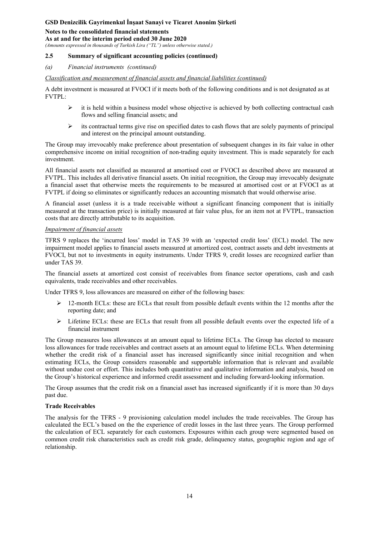**Notes to the consolidated financial statements** 

**As at and for the interim period ended 30 June 2020** 

*(Amounts expressed in thousands of Turkish Lira ("TL") unless otherwise stated.)* 

### **2.5 Summary of significant accounting policies (continued)**

#### *(a) Financial instruments (continued)*

*Classification and measurement of financial assets and financial liabilities (continued)*

A debt investment is measured at FVOCI if it meets both of the following conditions and is not designated as at FVTPL:

- $\triangleright$  it is held within a business model whose objective is achieved by both collecting contractual cash flows and selling financial assets; and
- $\triangleright$  its contractual terms give rise on specified dates to cash flows that are solely payments of principal and interest on the principal amount outstanding.

The Group may irrevocably make preference about presentation of subsequent changes in its fair value in other comprehensive income on initial recognition of non-trading equity investment. This is made separately for each investment.

All financial assets not classified as measured at amortised cost or FVOCI as described above are measured at FVTPL. This includes all derivative financial assets. On initial recognition, the Group may irrevocably designate a financial asset that otherwise meets the requirements to be measured at amortised cost or at FVOCI as at FVTPL if doing so eliminates or significantly reduces an accounting mismatch that would otherwise arise.

A financial asset (unless it is a trade receivable without a significant financing component that is initially measured at the transaction price) is initially measured at fair value plus, for an item not at FVTPL, transaction costs that are directly attributable to its acquisition.

#### *Impairment of financial assets*

TFRS 9 replaces the 'incurred loss' model in TAS 39 with an 'expected credit loss' (ECL) model. The new impairment model applies to financial assets measured at amortized cost, contract assets and debt investments at FVOCI, but not to investments in equity instruments. Under TFRS 9, credit losses are recognized earlier than under TAS 39.

The financial assets at amortized cost consist of receivables from finance sector operations, cash and cash equivalents, trade receivables and other receivables.

Under TFRS 9, loss allowances are measured on either of the following bases:

- $\triangleright$  12-month ECLs: these are ECLs that result from possible default events within the 12 months after the reporting date; and
- $\triangleright$  Lifetime ECLs: these are ECLs that result from all possible default events over the expected life of a financial instrument

The Group measures loss allowances at an amount equal to lifetime ECLs. The Group has elected to measure loss allowances for trade receivables and contract assets at an amount equal to lifetime ECLs. When determining whether the credit risk of a financial asset has increased significantly since initial recognition and when estimating ECLs, the Group considers reasonable and supportable information that is relevant and available without undue cost or effort. This includes both quantitative and qualitative information and analysis, based on the Group's historical experience and informed credit assessment and including forward-looking information.

The Group assumes that the credit risk on a financial asset has increased significantly if it is more than 30 days past due.

### **Trade Receivables**

The analysis for the TFRS - 9 provisioning calculation model includes the trade receivables. The Group has calculated the ECL's based on the the experience of credit losses in the last three years. The Group performed the calculation of ECL separately for each customers. Exposures within each group were segmented based on common credit risk characteristics such as credit risk grade, delinquency status, geographic region and age of relationship.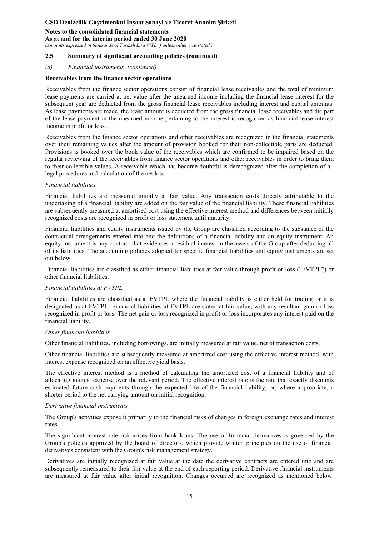### **Notes to the consolidated financial statements**

**As at and for the interim period ended 30 June 2020** 

*(Amounts expressed in thousands of Turkish Lira ("TL") unless otherwise stated.)* 

### **2.5 Summary of significant accounting policies (continued)**

#### *(a) Financial instruments (continued)*

#### **Receivables from the finance sector operations**

Receivables from the finance sector operations consist of financial lease receivables and the total of minimum lease payments are carried at net value after the unearned income including the financial lease interest for the subsequent year are deducted from the gross financial lease receivables including interest and capital amounts. As lease payments are made, the lease amount is deducted from the gross financial lease receivables and the part of the lease payment in the unearned income pertaining to the interest is recognized as financial lease interest income in profit or loss.

Receivables from the finance sector operations and other receivables are recognized in the financial statements over their remaining values after the amount of provision booked for their non-collectible parts are deducted. Provisions is booked over the book value of the receivables which are confirmed to be impaired based on the regular reviewing of the receivables from finance sector operations and other receivables in order to bring them to their collectible values. A receivable which has become doubtful is derecognized after the completion of all legal procedures and calculation of the net loss.

#### *Financial liabilities*

Financial liabilities are measured initially at fair value. Any transaction costs directly attributable to the undertaking of a financial liability are added on the fair value of the financial liability. These financial liabilities are subsequently measured at amortised cost using the effective interest method and differences between initially recognized costs are recognized in profit or loss statement until maturity.

Financial liabilities and equity instruments issued by the Group are classified according to the substance of the contractual arrangements entered into and the definitions of a financial liability and an equity instrument. An equity instrument is any contract that evidences a residual interest in the assets of the Group after deducting all of its liabilities. The accounting policies adopted for specific financial liabilities and equity instruments are set out below.

Financial liabilities are classified as either financial liabilities at fair value through profit or loss ("FVTPL") or other financial liabilities.

### *Financial liabilities at FVTPL*

Financial liabilities are classified as at FVTPL where the financial liability is either held for trading or it is designated as at FVTPL. Financial liabilities at FVTPL are stated at fair value, with any resultant gain or loss recognized in profit or loss. The net gain or loss recognized in profit or loss incorporates any interest paid on the financial liability.

#### *Other financial liabilities*

Other financial liabilities, including borrowings, are initially measured at fair value, net of transaction costs.

Other financial liabilities are subsequently measured at amortized cost using the effective interest method, with interest expense recognized on an effective yield basis.

The effective interest method is a method of calculating the amortized cost of a financial liability and of allocating interest expense over the relevant period. The effective interest rate is the rate that exactly discounts estimated future cash payments through the expected life of the financial liability, or, where appropriate, a shorter period to the net carrying amount on initial recognition.

#### *Derivative financial instruments*

The Group's activities expose it primarily to the financial risks of changes in foreign exchange rates and interest rates.

The significant interest rate risk arises from bank loans. The use of financial derivatives is governed by the Group's policies approved by the board of directors, which provide written principles on the use of financial derivatives consistent with the Group's risk management strategy.

Derivatives are initially recognized at fair value at the date the derivative contracts are entered into and are subsequently remeasured to their fair value at the end of each reporting period. Derivative financial instruments are measured at fair value after initial recognition. Changes occurred are recognized as mentioned below: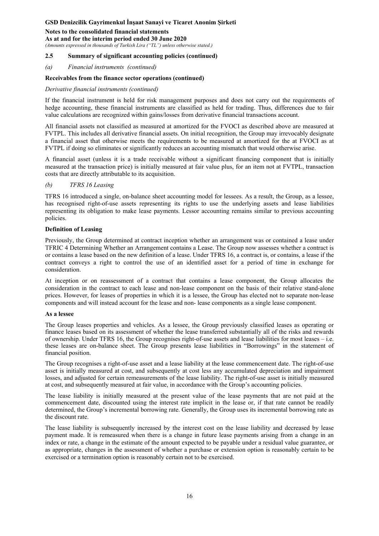### **Notes to the consolidated financial statements**

**As at and for the interim period ended 30 June 2020** 

*(Amounts expressed in thousands of Turkish Lira ("TL") unless otherwise stated.)* 

#### **2.5 Summary of significant accounting policies (continued)**

#### *(a) Financial instruments (continued)*

#### **Receivables from the finance sector operations (continued)**

#### *Derivative financial instruments (continued)*

If the financial instrument is held for risk management purposes and does not carry out the requirements of hedge accounting, these financial instruments are classified as held for trading. Thus, differences due to fair value calculations are recognized within gains/losses from derivative financial transactions account.

All financial assets not classified as measured at amortized for the FVOCI as described above are measured at FVTPL. This includes all derivative financial assets. On initial recognition, the Group may irrevocably designate a financial asset that otherwise meets the requirements to be measured at amortized for the at FVOCI as at FVTPL if doing so eliminates or significantly reduces an accounting mismatch that would otherwise arise.

A financial asset (unless it is a trade receivable without a significant financing component that is initially measured at the transaction price) is initially measured at fair value plus, for an item not at FVTPL, transaction costs that are directly attributable to its acquisition.

### *(b) TFRS 16 Leasing*

TFRS 16 introduced a single, on-balance sheet accounting model for lessees. As a result, the Group, as a lessee, has recognised right-of-use assets representing its rights to use the underlying assets and lease liabilities representing its obligation to make lease payments. Lessor accounting remains similar to previous accounting policies.

### **Definition of Leasing**

Previously, the Group determined at contract inception whether an arrangement was or contained a lease under TFRIC 4 Determining Whether an Arrangement contains a Lease. The Group now assesses whether a contract is or contains a lease based on the new definition of a lease. Under TFRS 16, a contract is, or contains, a lease if the contract conveys a right to control the use of an identified asset for a period of time in exchange for consideration.

At inception or on reassessment of a contract that contains a lease component, the Group allocates the consideration in the contract to each lease and non-lease component on the basis of their relative stand-alone prices. However, for leases of properties in which it is a lessee, the Group has elected not to separate non-lease components and will instead account for the lease and non- lease components as a single lease component.

#### **As a lessee**

The Group leases properties and vehicles. As a lessee, the Group previously classified leases as operating or finance leases based on its assessment of whether the lease transferred substantially all of the risks and rewards of ownership. Under TFRS 16, the Group recognises right-of-use assets and lease liabilities for most leases – i.e. these leases are on-balance sheet. The Group presents lease liabilities in "Borrowings" in the statement of financial position.

The Group recognises a right-of-use asset and a lease liability at the lease commencement date. The right-of-use asset is initially measured at cost, and subsequently at cost less any accumulated depreciation and impairment losses, and adjusted for certain remeasurements of the lease liability. The right-of-use asset is initially measured at cost, and subsequently measured at fair value, in accordance with the Group's accounting policies.

The lease liability is initially measured at the present value of the lease payments that are not paid at the commencement date, discounted using the interest rate implicit in the lease or, if that rate cannot be readily determined, the Group's incremental borrowing rate. Generally, the Group uses its incremental borrowing rate as the discount rate.

The lease liability is subsequently increased by the interest cost on the lease liability and decreased by lease payment made. It is remeasured when there is a change in future lease payments arising from a change in an index or rate, a change in the estimate of the amount expected to be payable under a residual value guarantee, or as appropriate, changes in the assessment of whether a purchase or extension option is reasonably certain to be exercised or a termination option is reasonably certain not to be exercised.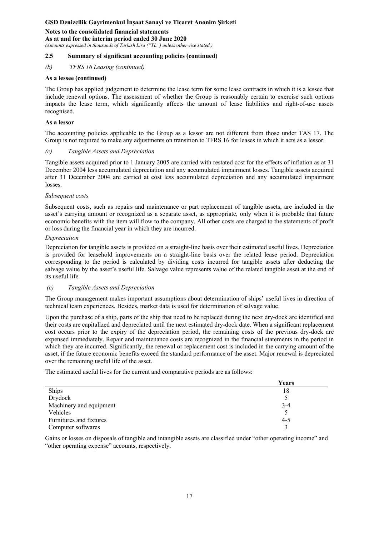#### **Notes to the consolidated financial statements As at and for the interim period ended 30 June 2020**

*(Amounts expressed in thousands of Turkish Lira ("TL") unless otherwise stated.)* 

### **2.5 Summary of significant accounting policies (continued)**

### *(b) TFRS 16 Leasing (continued)*

### **As a lessee (continued)**

The Group has applied judgement to determine the lease term for some lease contracts in which it is a lessee that include renewal options. The assessment of whether the Group is reasonably certain to exercise such options impacts the lease term, which significantly affects the amount of lease liabilities and right-of-use assets recognised.

### **As a lessor**

The accounting policies applicable to the Group as a lessor are not different from those under TAS 17. The Group is not required to make any adjustments on transition to TFRS 16 for leases in which it acts as a lessor.

### *(c) Tangible Assets and Depreciation*

Tangible assets acquired prior to 1 January 2005 are carried with restated cost for the effects of inflation as at 31 December 2004 less accumulated depreciation and any accumulated impairment losses. Tangible assets acquired after 31 December 2004 are carried at cost less accumulated depreciation and any accumulated impairment losses.

### *Subsequent costs*

Subsequent costs, such as repairs and maintenance or part replacement of tangible assets, are included in the asset's carrying amount or recognized as a separate asset, as appropriate, only when it is probable that future economic benefits with the item will flow to the company. All other costs are charged to the statements of profit or loss during the financial year in which they are incurred.

### *Depreciation*

Depreciation for tangible assets is provided on a straight-line basis over their estimated useful lives. Depreciation is provided for leasehold improvements on a straight-line basis over the related lease period. Depreciation corresponding to the period is calculated by dividing costs incurred for tangible assets after deducting the salvage value by the asset's useful life. Salvage value represents value of the related tangible asset at the end of its useful life.

### *(c) Tangible Assets and Depreciation*

The Group management makes important assumptions about determination of ships' useful lives in direction of technical team experiences. Besides, market data is used for determination of salvage value.

Upon the purchase of a ship, parts of the ship that need to be replaced during the next dry-dock are identified and their costs are capitalized and depreciated until the next estimated dry-dock date. When a significant replacement cost occurs prior to the expiry of the depreciation period, the remaining costs of the previous dry-dock are expensed immediately. Repair and maintenance costs are recognized in the financial statements in the period in which they are incurred. Significantly, the renewal or replacement cost is included in the carrying amount of the asset, if the future economic benefits exceed the standard performance of the asset. Major renewal is depreciated over the remaining useful life of the asset.

The estimated useful lives for the current and comparative periods are as follows:

|                         | Years   |
|-------------------------|---------|
| Ships                   | 18      |
| Drydock                 |         |
| Machinery and equipment | $3-4$   |
| Vehicles                |         |
| Furnitures and fixtures | $4 - 5$ |
| Computer softwares      |         |

Gains or losses on disposals of tangible and intangible assets are classified under "other operating income" and "other operating expense" accounts, respectively.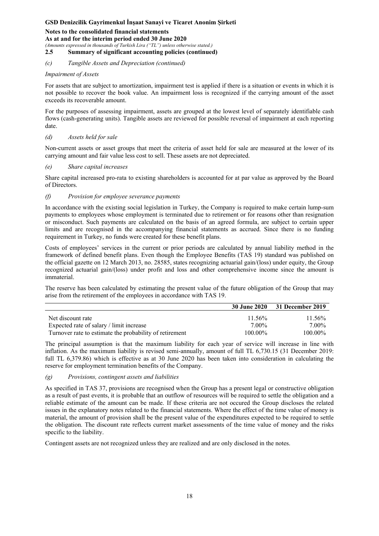**Notes to the consolidated financial statements As at and for the interim period ended 30 June 2020**  *(Amounts expressed in thousands of Turkish Lira ("TL") unless otherwise stated.)*  **2.5 Summary of significant accounting policies (continued)** 

### *(c) Tangible Assets and Depreciation (continued)*

### *Impairment of Assets*

For assets that are subject to amortization, impairment test is applied if there is a situation or events in which it is not possible to recover the book value. An impairment loss is recognized if the carrying amount of the asset exceeds its recoverable amount.

For the purposes of assessing impairment, assets are grouped at the lowest level of separately identifiable cash flows (cash-generating units). Tangible assets are reviewed for possible reversal of impairment at each reporting date.

### *(d) Assets held for sale*

Non-current assets or asset groups that meet the criteria of asset held for sale are measured at the lower of its carrying amount and fair value less cost to sell. These assets are not depreciated.

### *(e) Share capital increases*

Share capital increased pro-rata to existing shareholders is accounted for at par value as approved by the Board of Directors.

### *(f) Provision for employee severance payments*

In accordance with the existing social legislation in Turkey, the Company is required to make certain lump-sum payments to employees whose employment is terminated due to retirement or for reasons other than resignation or misconduct. Such payments are calculated on the basis of an agreed formula, are subject to certain upper limits and are recognised in the accompanying financial statements as accrued. Since there is no funding requirement in Turkey, no funds were created for these benefit plans.

Costs of employees' services in the current or prior periods are calculated by annual liability method in the framework of defined benefit plans. Even though the Employee Benefits (TAS 19) standard was published on the official gazette on 12 March 2013, no. 28585, states recognizing actuarial gain/(loss) under equity, the Group recognized actuarial gain/(loss) under profit and loss and other comprehensive income since the amount is immaterial.

The reserve has been calculated by estimating the present value of the future obligation of the Group that may arise from the retirement of the employees in accordance with TAS 19.

|                                                         |            | 30 June 2020 31 December 2019 |
|---------------------------------------------------------|------------|-------------------------------|
| Net discount rate                                       | $11.56\%$  | $11.56\%$                     |
| Expected rate of salary / limit increase                | 7.00%      | 7.00%                         |
| Turnover rate to estimate the probability of retirement | $100.00\%$ | $100.00\%$                    |

The principal assumption is that the maximum liability for each year of service will increase in line with inflation. As the maximum liability is revised semi-annually, amount of full TL 6,730.15 (31 December 2019: full TL 6,379.86) which is effective as at 30 June 2020 has been taken into consideration in calculating the reserve for employment termination benefits of the Company.

### *(g) Provisions, contingent assets and liabilities*

As specified in TAS 37, provisions are recognised when the Group has a present legal or constructive obligation as a result of past events, it is probable that an outflow of resources will be required to settle the obligation and a reliable estimate of the amount can be made. If these criteria are not occured the Group discloses the related issues in the explanatory notes related to the financial statements. Where the effect of the time value of money is material, the amount of provision shall be the present value of the expenditures expected to be required to settle the obligation. The discount rate reflects current market assessments of the time value of money and the risks specific to the liability.

Contingent assets are not recognized unless they are realized and are only disclosed in the notes.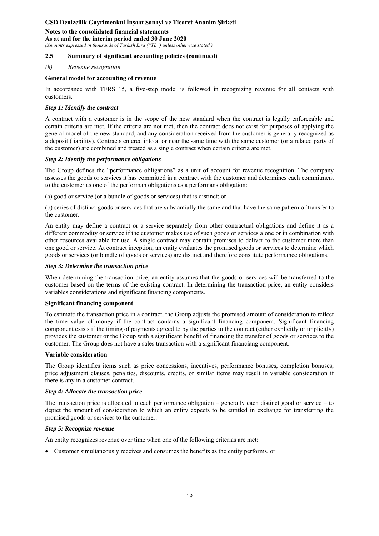## **Notes to the consolidated financial statements As at and for the interim period ended 30 June 2020**

*(Amounts expressed in thousands of Turkish Lira ("TL") unless otherwise stated.)* 

### **2.5 Summary of significant accounting policies (continued)**

### *(h) Revenue recognition*

### **General model for accounting of revenue**

In accordance with TFRS 15, a five-step model is followed in recognizing revenue for all contacts with customers.

### *Step 1: Identify the contract*

A contract with a customer is in the scope of the new standard when the contract is legally enforceable and certain criteria are met. If the criteria are not met, then the contract does not exist for purposes of applying the general model of the new standard, and any consideration received from the customer is generally recognized as a deposit (liability). Contracts entered into at or near the same time with the same customer (or a related party of the customer) are combined and treated as a single contract when certain criteria are met.

### *Step 2: Identify the performance obligations*

The Group defines the "performance obligations" as a unit of account for revenue recognition. The company assesses the goods or services it has committed in a contract with the customer and determines each commitment to the customer as one of the performan obligations as a performans obligation:

(a) good or service (or a bundle of goods or services) that is distinct; or

(b) series of distinct goods or services that are substantially the same and that have the same pattern of transfer to the customer.

An entity may define a contract or a service separately from other contractual obligations and define it as a different commodity or service if the customer makes use of such goods or services alone or in combination with other resources available for use. A single contract may contain promises to deliver to the customer more than one good or service. At contract inception, an entity evaluates the promised goods or services to determine which goods or services (or bundle of goods or services) are distinct and therefore constitute performance obligations.

### *Step 3: Determine the transaction price*

When determining the transaction price, an entity assumes that the goods or services will be transferred to the customer based on the terms of the existing contract. In determining the transaction price, an entity considers variables considerations and significant financing components.

### **Significant financing component**

To estimate the transaction price in a contract, the Group adjusts the promised amount of consideration to reflect the time value of money if the contract contains a significant financing component. Significant financing component exists if the timing of payments agreed to by the parties to the contract (either explicitly or implicitly) provides the customer or the Group with a significant benefit of financing the transfer of goods or services to the customer. The Group does not have a sales transaction with a significant financiang component.

### **Variable consideration**

The Group identifies items such as price concessions, incentives, performance bonuses, completion bonuses, price adjustment clauses, penalties, discounts, credits, or similar items may result in variable consideration if there is any in a customer contract.

### *Step 4: Allocate the transaction price*

The transaction price is allocated to each performance obligation – generally each distinct good or service – to depict the amount of consideration to which an entity expects to be entitled in exchange for transferring the promised goods or services to the customer.

### *Step 5: Recognize revenue*

An entity recognizes revenue over time when one of the following criterias are met:

Customer simultaneously receives and consumes the benefits as the entity performs, or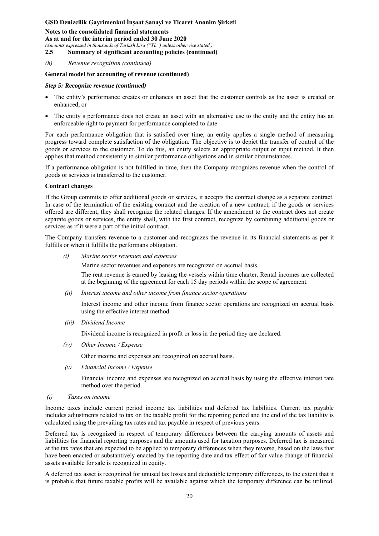**Notes to the consolidated financial statements As at and for the interim period ended 30 June 2020**  *(Amounts expressed in thousands of Turkish Lira ("TL") unless otherwise stated.)*  **2.5 Summary of significant accounting policies (continued)** 

*(h) Revenue recognition (continued)* 

#### **General model for accounting of revenue (continued)**

#### *Step 5: Recognize revenue (continued)*

- The entity's performance creates or enhances an asset that the customer controls as the asset is created or enhanced, or
- The entity's performance does not create an asset with an alternative use to the entity and the entity has an enforceable right to payment for performance completed to date

For each performance obligation that is satisfied over time, an entity applies a single method of measuring progress toward complete satisfaction of the obligation. The objective is to depict the transfer of control of the goods or services to the customer. To do this, an entity selects an appropriate output or input method. It then applies that method consistently to similar performance obligations and in similar circumstances.

If a performance obligation is not fulfilled in time, then the Company recognizes revenue when the control of goods or services is transferred to the customer.

#### **Contract changes**

If the Group commits to offer additional goods or services, it accepts the contract change as a separate contract. In case of the termination of the existing contract and the creation of a new contract, if the goods or services offered are different, they shall recognize the related changes. If the amendment to the contract does not create separate goods or services, the entity shall, with the first contract, recognize by combining additional goods or services as if it were a part of the initial contract.

The Company transfers revenue to a customer and recognizes the revenue in its financial statements as per it fulfills or when it fulfills the performans obligation.

*(i) Marine sector revenues and expenses* 

Marine sector revenues and expenses are recognized on accrual basis.

The rent revenue is earned by leasing the vessels within time charter. Rental incomes are collected at the beginning of the agreement for each 15 day periods within the scope of agreement.

 *(ii) Interest income and other income from finance sector operations* 

Interest income and other income from finance sector operations are recognized on accrual basis using the effective interest method.

*(iii) Dividend Income* 

Dividend income is recognized in profit or loss in the period they are declared.

*(iv) Other Income / Expense* 

Other income and expenses are recognized on accrual basis.

 *(v) Financial Income / Expense* 

Financial income and expenses are recognized on accrual basis by using the effective interest rate method over the period.

 *(i) Taxes on income* 

Income taxes include current period income tax liabilities and deferred tax liabilities. Current tax payable includes adjustments related to tax on the taxable profit for the reporting period and the end of the tax liability is calculated using the prevailing tax rates and tax payable in respect of previous years.

Deferred tax is recognized in respect of temporary differences between the carrying amounts of assets and liabilities for financial reporting purposes and the amounts used for taxation purposes. Deferred tax is measured at the tax rates that are expected to be applied to temporary differences when they reverse, based on the laws that have been enacted or substantively enacted by the reporting date and tax effect of fair value change of financial assets available for sale is recognized in equity.

A deferred tax asset is recognized for unused tax losses and deductible temporary differences, to the extent that it is probable that future taxable profits will be available against which the temporary difference can be utilized.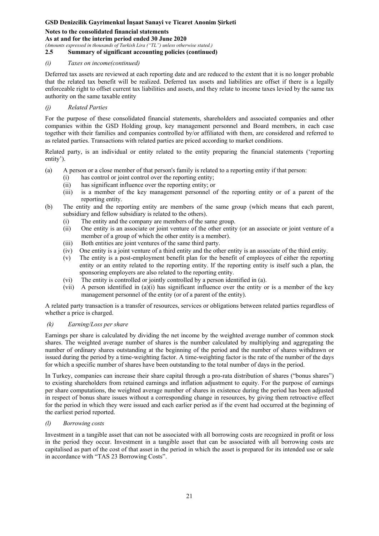**Notes to the consolidated financial statements As at and for the interim period ended 30 June 2020**  *(Amounts expressed in thousands of Turkish Lira ("TL") unless otherwise stated.)* 

**2.5 Summary of significant accounting policies (continued)** 

### *(i) Taxes on income(continued)*

Deferred tax assets are reviewed at each reporting date and are reduced to the extent that it is no longer probable that the related tax benefit will be realized. Deferred tax assets and liabilities are offset if there is a legally enforceable right to offset current tax liabilities and assets, and they relate to income taxes levied by the same tax authority on the same taxable entity

### *(j) Related Parties*

For the purpose of these consolidated financial statements, shareholders and associated companies and other companies within the GSD Holding group, key management personnel and Board members, in each case together with their families and companies controlled by/or affiliated with them, are considered and referred to as related parties. Transactions with related parties are priced according to market conditions.

Related party, is an individual or entity related to the entity preparing the financial statements ('reporting entity').

- (a) A person or a close member of that person's family is related to a reporting entity if that person:
	- (i) has control or joint control over the reporting entity;
	- (ii) has significant influence over the reporting entity; or
	- (iii) is a member of the key management personnel of the reporting entity or of a parent of the reporting entity.
- (b) The entity and the reporting entity are members of the same group (which means that each parent, subsidiary and fellow subsidiary is related to the others).
	- (i) The entity and the company are members of the same group.
	- (ii) One entity is an associate or joint venture of the other entity (or an associate or joint venture of a member of a group of which the other entity is a member).
	- (iii) Both entities are joint ventures of the same third party.
	- (iv) One entity is a joint venture of a third entity and the other entity is an associate of the third entity.
	- (v) The entity is a post-employment benefit plan for the benefit of employees of either the reporting entity or an entity related to the reporting entity. If the reporting entity is itself such a plan, the sponsoring employers are also related to the reporting entity.
	- (vi) The entity is controlled or jointly controlled by a person identified in (a).
	- (vii) A person identified in (a)(i) has significant influence over the entity or is a member of the key management personnel of the entity (or of a parent of the entity).

A related party transaction is a transfer of resources, services or obligations between related parties regardless of whether a price is charged.

### *(k) Earning/Loss per share*

Earnings per share is calculated by dividing the net income by the weighted average number of common stock shares. The weighted average number of shares is the number calculated by multiplying and aggregating the number of ordinary shares outstanding at the beginning of the period and the number of shares withdrawn or issued during the period by a time-weighting factor. A time-weighting factor is the rate of the number of the days for which a specific number of shares have been outstanding to the total number of days in the period.

In Turkey, companies can increase their share capital through a pro-rata distribution of shares ("bonus shares") to existing shareholders from retained earnings and inflation adjustment to equity. For the purpose of earnings per share computations, the weighted average number of shares in existence during the period has been adjusted in respect of bonus share issues without a corresponding change in resources, by giving them retroactive effect for the period in which they were issued and each earlier period as if the event had occurred at the beginning of the earliest period reported.

### *(l) Borrowing costs*

Investment in a tangible asset that can not be associated with all borrowing costs are recognized in profit or loss in the period they occur. Investment in a tangible asset that can be associated with all borrowing costs are capitalised as part of the cost of that asset in the period in which the asset is prepared for its intended use or sale in accordance with "TAS 23 Borrowing Costs".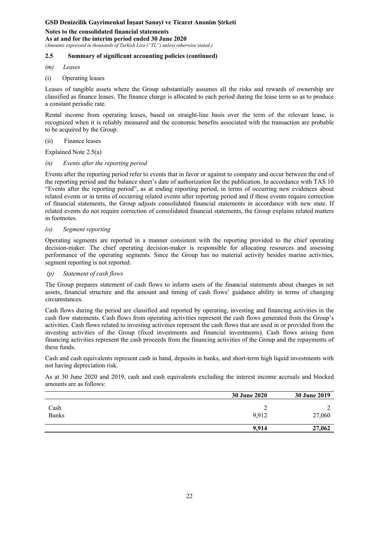**Notes to the consolidated financial statements As at and for the interim period ended 30 June 2020**  *(Amounts expressed in thousands of Turkish Lira ("TL") unless otherwise stated.)* 

## **2.5 Summary of significant accounting policies (continued)**

- *(m) Leases*
- (i) Operating leases

Leases of tangible assets where the Group substantially assumes all the risks and rewards of ownership are classified as finance leases. The finance charge is allocated to each period during the lease term so as to produce a constant periodic rate.

Rental income from operating leases, based on straight-line basis over the term of the relevant lease, is recognized when it is reliably measured and the economic benefits associated with the transaction are probable to be acquired by the Group.

(ii) Finance leases

Explained Note 2.5(a)

*(n) Events after the reporting period* 

Events after the reporting period refer to events that in favor or against to company and occur between the end of the reporting period and the balance sheet's date of authorization for the publication. In accordance with TAS 10 "Events after the reporting period", as at ending reporting period, in terms of occurring new evidences about related events or in terms of occurring related events after reporting period and if these events require correction of financial statements, the Group adjusts consolidated financial statements in accordance with new state. If related events do not require correction of consolidated financial statements, the Group explains related matters in footnotes.

### *(o) Segment reporting*

Operating segments are reported in a manner consistent with the reporting provided to the chief operating decision-maker. The chief operating decision-maker is responsible for allocating resources and assessing performance of the operating segments. Since the Group has no material activity besides marine activities, segment reporting is not reported.

### *(p) Statement of cash flows*

The Group prepares statement of cash flows to inform users of the financial statements about changes in net assets, financial structure and the amount and timing of cash flows' guidance ability in terms of changing circumstances.

Cash flows during the period are classified and reported by operating, investing and financing activities in the cash flow statements. Cash flows from operating activities represent the cash flows generated from the Group's activities. Cash flows related to investing activities represent the cash flows that are used in or provided from the investing activities of the Group (fixed investments and financial investments). Cash flows arising from financing activities represent the cash proceeds from the financing activities of the Group and the repayments of these funds.

Cash and cash equivalents represent cash in hand, deposits in banks, and short-term high liquid investments with not having depreciation risk.

As at 30 June 2020 and 2019, cash and cash equivalents excluding the interest income accruals and blocked amounts are as follows:

|                      | <b>30 June 2020</b> | <b>30 June 2019</b> |
|----------------------|---------------------|---------------------|
| Cash<br><b>Banks</b> | 9,912               | 27,060              |
|                      | 9.914               | 27,062              |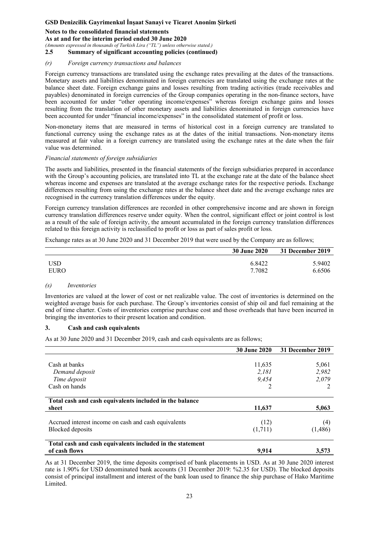#### **Notes to the consolidated financial statements**

**As at and for the interim period ended 30 June 2020** 

*(Amounts expressed in thousands of Turkish Lira ("TL") unless otherwise stated.)* 

**2.5 Summary of significant accounting policies (continued)** 

#### *(r) Foreign currency transactions and balances*

Foreign currency transactions are translated using the exchange rates prevailing at the dates of the transactions. Monetary assets and liabilities denominated in foreign currencies are translated using the exchange rates at the balance sheet date. Foreign exchange gains and losses resulting from trading activities (trade receivables and payables) denominated in foreign currencies of the Group companies operating in the non-finance sectors, have been accounted for under "other operating income/expenses" whereas foreign exchange gains and losses resulting from the translation of other monetary assets and liabilities denominated in foreign currencies have been accounted for under "financial income/expenses" in the consolidated statement of profit or loss.

Non-monetary items that are measured in terms of historical cost in a foreign currency are translated to functional currency using the exchange rates as at the dates of the initial transactions. Non-monetary items measured at fair value in a foreign currency are translated using the exchange rates at the date when the fair value was determined.

#### *Financial statements of foreign subsidiaries*

The assets and liabilities, presented in the financial statements of the foreign subsidiaries prepared in accordance with the Group's accounting policies, are translated into TL at the exchange rate at the date of the balance sheet whereas income and expenses are translated at the average exchange rates for the respective periods. Exchange differences resulting from using the exchange rates at the balance sheet date and the average exchange rates are recognised in the currency translation differences under the equity.

Foreign currency translation differences are recorded in other comprehensive income and are shown in foreign currency translation differences reserve under equity. When the control, significant effect or joint control is lost as a result of the sale of foreign activity, the amount accumulated in the foreign currency translation differences related to this foreign activity is reclassified to profit or loss as part of sales profit or loss.

Exchange rates as at 30 June 2020 and 31 December 2019 that were used by the Company are as follows;

|             | <b>30 June 2020</b> | 31 December 2019 |
|-------------|---------------------|------------------|
| USD         | 6.8422              | 5.9402           |
| <b>EURO</b> | 7.7082              | 6.6506           |

#### *(s) Inventories*

Inventories are valued at the lower of cost or net realizable value. The cost of inventories is determined on the weighted average basis for each purchase. The Group's inventories consist of ship oil and fuel remaining at the end of time charter. Costs of inventories comprise purchase cost and those overheads that have been incurred in bringing the inventories to their present location and condition.

#### **3. Cash and cash equivalents**

As at 30 June 2020 and 31 December 2019, cash and cash equivalents are as follows;

|                                                           | <b>30 June 2020</b> | 31 December 2019 |
|-----------------------------------------------------------|---------------------|------------------|
|                                                           |                     |                  |
| Cash at banks                                             | 11,635              | 5,061            |
| Demand deposit                                            | 2,181               | 2,982            |
| Time deposit                                              | 9.454               | 2,079            |
| Cash on hands                                             | 2                   |                  |
|                                                           |                     |                  |
| Total cash and cash equivalents included in the balance   |                     |                  |
| sheet                                                     | 11,637              | 5,063            |
|                                                           |                     |                  |
| Accrued interest income on cash and cash equivalents      | (12)                | (4)              |
| Blocked deposits                                          | (1,711)             | (1,486)          |
| Total cash and cash equivalents included in the statement |                     |                  |
| of cash flows                                             | 9.914               | 3,573            |

As at 31 December 2019, the time deposits comprised of bank placements in USD. As at 30 June 2020 interest rate is 1.90% for USD denominated bank accounts (31 December 2019: %2.35 for USD). The blocked deposits consist of principal installment and interest of the bank loan used to finance the ship purchase of Hako Maritime Limited.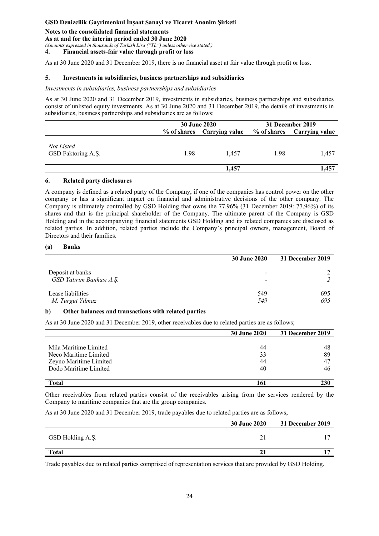**Notes to the consolidated financial statements** 

#### **As at and for the interim period ended 30 June 2020**

*(Amounts expressed in thousands of Turkish Lira ("TL") unless otherwise stated.)* 

**4. Financial assets-fair value through profit or loss** 

As at 30 June 2020 and 31 December 2019, there is no financial asset at fair value through profit or loss.

#### **5. Investments in subsidiaries, business partnerships and subsidiaries**

*Investments in subsidiaries, business partnerships and subsidiaries* 

As at 30 June 2020 and 31 December 2019, investments in subsidiaries, business partnerships and subsidiaries consist of unlisted equity investments. As at 30 June 2020 and 31 December 2019, the details of investments in subsidiaries, business partnerships and subsidiaries are as follows:

|                                  | <b>30 June 2020</b> |                | 31 December 2019 |                            |
|----------------------------------|---------------------|----------------|------------------|----------------------------|
|                                  | % of shares         | Carrving value |                  | % of shares Carrying value |
| Not Listed<br>GSD Faktoring A.Ş. | 1.98                | 1.457          | 1.98             | 1.457                      |
|                                  |                     | 1,457          |                  | 1,457                      |

#### **6. Related party disclosures**

A company is defined as a related party of the Company, if one of the companies has control power on the other company or has a significant impact on financial and administrative decisions of the other company. The Company is ultimately controlled by GSD Holding that owns the 77.96% (31 December 2019: 77.96%) of its shares and that is the principal shareholder of the Company. The ultimate parent of the Company is GSD Holding and in the accompanying financial statements GSD Holding and its related companies are disclosed as related parties. In addition, related parties include the Company's principal owners, management, Board of Directors and their families.

### **(a) Banks**

|                                              | <b>30 June 2020</b> | 31 December 2019 |
|----------------------------------------------|---------------------|------------------|
| Deposit at banks<br>GSD Yatırım Bankası A.Ş. | -<br>-              |                  |
| Lease liabilities<br>M. Turgut Yılmaz        | 549<br>549          | 695<br>695       |

### **b) Other balances and transactions with related parties**

As at 30 June 2020 and 31 December 2019, other receivables due to related parties are as follows;

|                        | <b>30 June 2020</b> | 31 December 2019 |
|------------------------|---------------------|------------------|
|                        |                     |                  |
| Mila Maritime Limited  | 44                  | 48               |
| Neco Maritime Limited  | 33                  | 89               |
| Zeyno Maritime Limited | 44                  | $4^{\circ}$      |
| Dodo Maritime Limited  | 40                  | 46               |
|                        |                     |                  |
| <b>Total</b>           |                     | 230              |

Other receivables from related parties consist of the receivables arising from the services rendered by the Company to maritime companies that are the group companies.

As at 30 June 2020 and 31 December 2019, trade payables due to related parties are as follows;

|                  | <b>30 June 2020</b> | 31 December 2019 |
|------------------|---------------------|------------------|
| GSD Holding A.Ş. |                     |                  |
| <b>Total</b>     |                     |                  |

Trade payables due to related parties comprised of representation services that are provided by GSD Holding.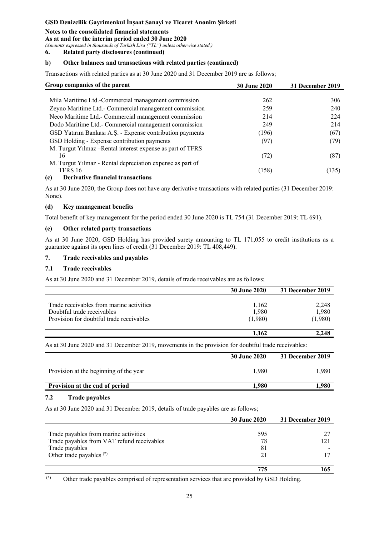### **Notes to the consolidated financial statements**

#### **As at and for the interim period ended 30 June 2020**

*(Amounts expressed in thousands of Turkish Lira ("TL") unless otherwise stated.)* 

**6. Related party disclosures (continued)** 

### **b) Other balances and transactions with related parties (continued)**

Transactions with related parties as at 30 June 2020 and 31 December 2019 are as follows;

| Group companies of the parent                                                                                                                                                                                                                                                                                                                             | <b>30 June 2020</b> | 31 December 2019 |
|-----------------------------------------------------------------------------------------------------------------------------------------------------------------------------------------------------------------------------------------------------------------------------------------------------------------------------------------------------------|---------------------|------------------|
|                                                                                                                                                                                                                                                                                                                                                           |                     |                  |
| Mila Maritime Ltd.-Commercial management commission                                                                                                                                                                                                                                                                                                       | 262                 | 306              |
| Zeyno Maritime Ltd.- Commercial management commission                                                                                                                                                                                                                                                                                                     | 259                 | 240              |
| Neco Maritime Ltd.- Commercial management commission                                                                                                                                                                                                                                                                                                      | 214                 | 224              |
| Dodo Maritime Ltd.- Commercial management commission                                                                                                                                                                                                                                                                                                      | 249                 | 214              |
| GSD Yatırım Bankası A.Ş. - Expense contribution payments                                                                                                                                                                                                                                                                                                  | (196)               | (67)             |
| GSD Holding - Expense contribution payments                                                                                                                                                                                                                                                                                                               | (97)                | (79)             |
| M. Turgut Yilmaz – Rental interest expense as part of TFRS                                                                                                                                                                                                                                                                                                |                     |                  |
| 16                                                                                                                                                                                                                                                                                                                                                        | (72)                | (87)             |
| M. Turgut Yilmaz - Rental depreciation expense as part of                                                                                                                                                                                                                                                                                                 |                     |                  |
| TFRS 16                                                                                                                                                                                                                                                                                                                                                   | (158)               | (135)            |
| $\lambda$ and $\lambda$ and $\lambda$ and $\lambda$ and $\lambda$ and $\lambda$ and $\lambda$ and $\lambda$ and $\lambda$ and $\lambda$ and $\lambda$ and $\lambda$ and $\lambda$ and $\lambda$ and $\lambda$ and $\lambda$ and $\lambda$ and $\lambda$ and $\lambda$ and $\lambda$ and $\lambda$ and $\lambda$ and $\lambda$ and $\lambda$ and $\lambda$ |                     |                  |

#### **(c) Derivative financial transactions**

As at 30 June 2020, the Group does not have any derivative transactions with related parties (31 December 2019: None).

#### **(d) Key management benefits**

Total benefit of key management for the period ended 30 June 2020 is TL 754 (31 December 2019: TL 691).

#### **(e) Other related party transactions**

As at 30 June 2020, GSD Holding has provided surety amounting to TL 171,055 to credit institutions as a guarantee against its open lines of credit (31 December 2019: TL 408,449).

## **7. Trade receivables and payables**

#### **7.1 Trade receivables**

As at 30 June 2020 and 31 December 2019, details of trade receivables are as follows;

|                                          | <b>30 June 2020</b> | 31 December 2019 |
|------------------------------------------|---------------------|------------------|
|                                          |                     |                  |
| Trade receivables from marine activities | 1,162               | 2,248            |
| Doubtful trade receivables               | 1,980               | 1,980            |
| Provision for doubtful trade receivables | (1,980)             | (1,980)          |
|                                          | 1.162               | 2.248            |

As at 30 June 2020 and 31 December 2019, movements in the provision for doubtful trade receivables:

|                                        | <b>30 June 2020</b> | 31 December 2019 |
|----------------------------------------|---------------------|------------------|
| Provision at the beginning of the year | 1.980               | l.980            |
| Provision at the end of period         | 1.980               | .980             |

#### **7.2 Trade payables**

As at 30 June 2020 and 31 December 2019, details of trade payables are as follows;

|                                            | <b>30 June 2020</b> | 31 December 2019 |
|--------------------------------------------|---------------------|------------------|
|                                            |                     |                  |
| Trade payables from marine activities      | 595                 |                  |
| Trade payables from VAT refund receivables | 78                  |                  |
| Trade payables                             | 81                  |                  |
| Other trade payables <sup>(*)</sup>        | 21                  |                  |
|                                            |                     |                  |
|                                            | 775                 |                  |

(\*) Other trade payables comprised of representation services that are provided by GSD Holding.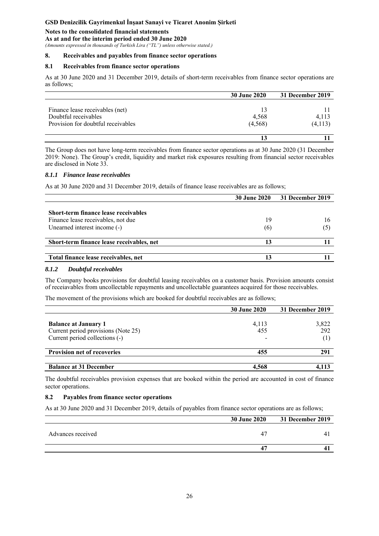### **Notes to the consolidated financial statements**

**As at and for the interim period ended 30 June 2020** 

*(Amounts expressed in thousands of Turkish Lira ("TL") unless otherwise stated.)* 

#### **8. Receivables and payables from finance sector operations**

#### **8.1 Receivables from finance sector operations**

As at 30 June 2020 and 31 December 2019, details of short-term receivables from finance sector operations are as follows;

|                                    | <b>30 June 2020</b> | 31 December 2019 |
|------------------------------------|---------------------|------------------|
|                                    |                     |                  |
| Finance lease receivables (net)    | 13                  |                  |
| Doubtful receivables               | 4,568               | 4,113            |
| Provision for doubtful receivables | (4,568)             | (4,113)          |
|                                    |                     |                  |

The Group does not have long-term receivables from finance sector operations as at 30 June 2020 (31 December 2019: None). The Group's credit, liquidity and market risk exposures resulting from financial sector receivables are disclosed in Note 33.

#### *8.1.1 Finance lease receivables*

As at 30 June 2020 and 31 December 2019, details of finance lease receivables are as follows;

| <b>30 June 2020</b> | 31 December 2019 |
|---------------------|------------------|
|                     |                  |
|                     |                  |
| 19                  | 16               |
| (6)                 |                  |
| 13                  |                  |
|                     |                  |
| 13                  |                  |
|                     |                  |

#### *8.1.2 Doubtful receivables*

The Company books provisions for doubtful leasing receivables on a customer basis. Provision amounts consist of receiavables from uncollectable repayments and uncollectable guarantees acquired for those receivables.

The movement of the provisions which are booked for doubtful receivables are as follows;

|                                                                                                      | <b>30 June 2020</b> | 31 December 2019    |
|------------------------------------------------------------------------------------------------------|---------------------|---------------------|
| <b>Balance at January 1</b><br>Current period provisions (Note 25)<br>Current period collections (-) | 4,113<br>455        | 3,822<br>292<br>(1) |
| <b>Provision net of recoveries</b>                                                                   | 455                 | 291                 |
| <b>Balance at 31 December</b>                                                                        | 4.568               |                     |

The doubtful receivables provision expenses that are booked within the period are accounted in cost of finance sector operations.

### **8.2 Payables from finance sector operations**

As at 30 June 2020 and 31 December 2019, details of payables from finance sector operations are as follows;

|                   | <b>30 June 2020</b> | <b>31 December 2019</b> |
|-------------------|---------------------|-------------------------|
| Advances received | 4 <sup>7</sup>      |                         |
|                   | д                   |                         |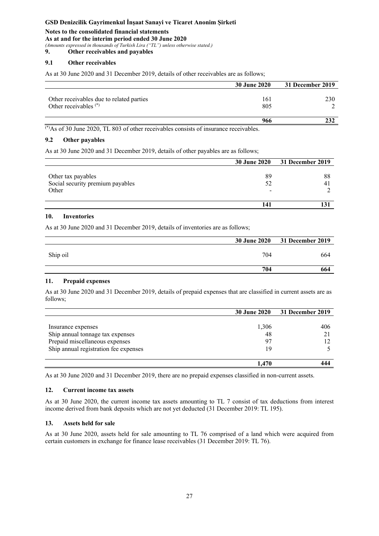## **Notes to the consolidated financial statements**

#### **As at and for the interim period ended 30 June 2020**

*(Amounts expressed in thousands of Turkish Lira ("TL") unless otherwise stated.)* 

**9. Other receivables and payables** 

### **9.1 Other receivables**

As at 30 June 2020 and 31 December 2019, details of other receivables are as follows;

|                                                                     | <b>30 June 2020</b> | 31 December 2019 |
|---------------------------------------------------------------------|---------------------|------------------|
| Other receivables due to related parties<br>Other receivables $(*)$ | 161<br>805          | 230              |
|                                                                     | 966                 |                  |

(\*)As of 30 June 2020, TL 803 of other receivables consists of insurance receivables.

### **9.2 Other payables**

As at 30 June 2020 and 31 December 2019, details of other payables are as follows;

|                                                                 | <b>30 June 2020</b> | <b>31 December 2019</b> |
|-----------------------------------------------------------------|---------------------|-------------------------|
| Other tax payables<br>Social security premium payables<br>Other | 89<br>52<br>-       | 88<br>$\overline{4}$    |
|                                                                 |                     |                         |

### **10. Inventories**

As at 30 June 2020 and 31 December 2019, details of inventories are as follows;

|          | <b>30 June 2020</b> | <b>31 December 2019</b> |
|----------|---------------------|-------------------------|
| Ship oil | 704                 | 664                     |
|          | 704                 | 664                     |

### **11. Prepaid expenses**

As at 30 June 2020 and 31 December 2019, details of prepaid expenses that are classified in current assets are as follows;

|                                       | <b>30 June 2020</b> | 31 December 2019 |
|---------------------------------------|---------------------|------------------|
|                                       |                     |                  |
| Insurance expenses                    | 1,306               | 406              |
| Ship annual tonnage tax expenses      | 48                  |                  |
| Prepaid miscellaneous expenses        | 97                  |                  |
| Ship annual registration fee expenses | 19                  |                  |
|                                       |                     |                  |
|                                       | 1.470               |                  |

As at 30 June 2020 and 31 December 2019, there are no prepaid expenses classified in non-current assets.

### **12. Current income tax assets**

As at 30 June 2020, the current income tax assets amounting to TL 7 consist of tax deductions from interest income derived from bank deposits which are not yet deducted (31 December 2019: TL 195).

### **13. Assets held for sale**

As at 30 June 2020, assets held for sale amounting to TL 76 comprised of a land which were acquired from certain customers in exchange for finance lease receivables (31 December 2019: TL 76).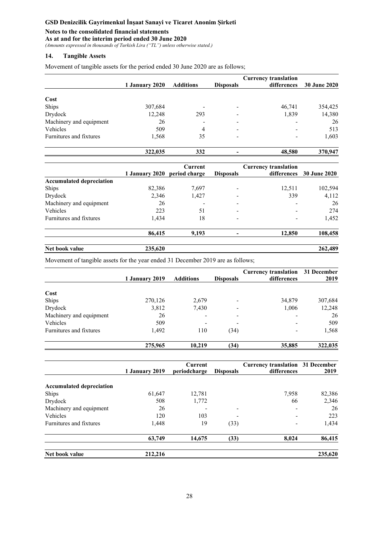## **Notes to the consolidated financial statements**

**As at and for the interim period ended 30 June 2020** 

*(Amounts expressed in thousands of Turkish Lira ("TL") unless otherwise stated.)* 

### **14. Tangible Assets**

Movement of tangible assets for the period ended 30 June 2020 are as follows;

|                         |                |                          |                  | <b>Currency translation</b>                |                     |
|-------------------------|----------------|--------------------------|------------------|--------------------------------------------|---------------------|
|                         | 1 January 2020 | <b>Additions</b>         | <b>Disposals</b> | differences                                | <b>30 June 2020</b> |
| Cost                    |                |                          |                  |                                            |                     |
| Ships                   | 307,684        | $\overline{\phantom{a}}$ |                  | 46,741                                     | 354,425             |
| Drydock                 | 12,248         | 293                      |                  | 1,839                                      | 14,380              |
| Machinery and equipment | 26             |                          |                  |                                            | 26                  |
| <b>Vehicles</b>         | 509            | 4                        |                  |                                            | 513                 |
| Furnitures and fixtures | 1,568          | 35                       |                  |                                            | 1,603               |
|                         | 322,035        | 332                      |                  | 48,580                                     | 370,947             |
|                         | 1 January 2020 | Current<br>period charge | <b>Disposals</b> | <b>Currency translation</b><br>differences | <b>30 June 2020</b> |

|                                 | 1 January 2020                                      | period charge            | <b>Disposals</b>         | differences | 30 June 2020         |
|---------------------------------|-----------------------------------------------------|--------------------------|--------------------------|-------------|----------------------|
| <b>Accumulated depreciation</b> |                                                     |                          |                          |             |                      |
| Ships                           | 82,386                                              | 7,697                    |                          | 12,511      | 102,594              |
| Drydock                         | 2,346                                               | 1,427                    |                          | 339         | 4,112                |
| Machinery and equipment         | 26                                                  | $\overline{\phantom{a}}$ | $\overline{\phantom{a}}$ | -           | 26                   |
| Vehicles                        | 223                                                 | 51                       | -                        |             | 274                  |
| Furnitures and fixtures         | 1,434                                               | 18                       |                          |             | 1,452                |
|                                 | 86,415                                              | 9,193                    |                          | 12.850      | 108,458              |
|                                 | $\bullet\bullet\bullet\bullet\bullet\bullet\bullet$ |                          |                          |             | $\sim$ $\sim$ $\sim$ |

| Net book value | $\Omega$<br>$\cdots$ | 400<br>$\epsilon$ .<br>-4X. |
|----------------|----------------------|-----------------------------|
|                |                      |                             |

Movement of tangible assets for the year ended 31 December 2019 are as follows;

|                         | 1 January 2019 | <b>Additions</b> | <b>Disposals</b> | <b>Currency translation</b><br>differences | 31 December<br>2019 |
|-------------------------|----------------|------------------|------------------|--------------------------------------------|---------------------|
| Cost                    |                |                  |                  |                                            |                     |
|                         |                |                  |                  |                                            |                     |
| Ships                   | 270,126        | 2,679            |                  | 34,879                                     | 307,684             |
| Drydock                 | 3,812          | 7,430            |                  | 1,006                                      | 12,248              |
| Machinery and equipment | 26             |                  |                  |                                            | 26                  |
| Vehicles                | 509            | -                | -                |                                            | 509                 |
| Furnitures and fixtures | 1,492          | 110              | (34)             |                                            | 1,568               |
|                         | 275,965        | 10,219           | (34)             | 35,885                                     | 322,035             |

|                                 | <b>1 January 2019</b> | Current<br>periodcharge | <b>Disposals</b> | <b>Currency translation 31 December</b><br>differences | 2019    |
|---------------------------------|-----------------------|-------------------------|------------------|--------------------------------------------------------|---------|
|                                 |                       |                         |                  |                                                        |         |
| <b>Accumulated depreciation</b> |                       |                         |                  |                                                        |         |
| Ships                           | 61,647                | 12,781                  |                  | 7,958                                                  | 82,386  |
| Drydock                         | 508                   | 1,772                   |                  | 66                                                     | 2,346   |
| Machinery and equipment         | 26                    |                         |                  |                                                        | 26      |
| Vehicles                        | 120                   | 103                     |                  |                                                        | 223     |
| Furnitures and fixtures         | 1,448                 | 19                      | (33)             |                                                        | 1,434   |
|                                 | 63,749                | 14,675                  | (33)             | 8,024                                                  | 86,415  |
| Net book value                  | 212,216               |                         |                  |                                                        | 235,620 |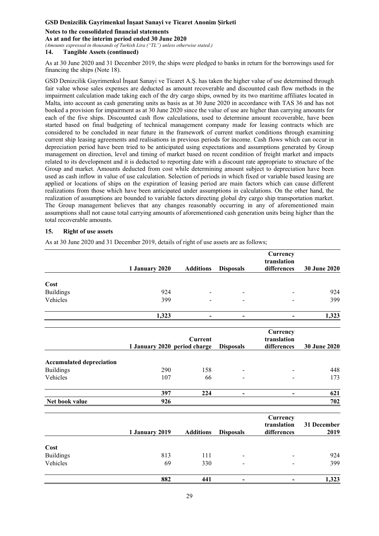#### **Notes to the consolidated financial statements**

#### **As at and for the interim period ended 30 June 2020**

*(Amounts expressed in thousands of Turkish Lira ("TL") unless otherwise stated.)* 

### **14. Tangible Assets (continued)**

As at 30 June 2020 and 31 December 2019, the ships were pledged to banks in return for the borrowings used for financing the ships (Note 18).

GSD Denizcilik Gayrimenkul İnşaat Sanayi ve Ticaret A.Ş. has taken the higher value of use determined through fair value whose sales expenses are deducted as amount recoverable and discounted cash flow methods in the impairment calculation made taking each of the dry cargo ships, owned by its two maritime affiliates located in Malta, into account as cash generating units as basis as at 30 June 2020 in accordance with TAS 36 and has not booked a provision for impairment as at 30 June 2020 since the value of use are higher than carrying amounts for each of the five ships. Discounted cash flow calculations, used to determine amount recoverable, have been started based on final budgeting of technical management company made for leasing contracts which are considered to be concluded in near future in the framework of current market conditions through examining current ship leasing agreements and realisations in previous periods for income. Cash flows which can occur in depreciation period have been tried to be anticipated using expectations and assumptions generated by Group management on direction, level and timing of market based on recent condition of freight market and impacts related to its development and it is deducted to reporting date with a discount rate appropriate to structure of the Group and market. Amounts deducted from cost while determining amount subject to depreciation have been used as cash inflow in value of use calculation. Selection of periods in which fixed or variable based leasing are applied or locations of ships on the expiration of leasing period are main factors which can cause different realizations from those which have been anticipated under assumptions in calculations. On the other hand, the realization of assumptions are bounded to variable factors directing global dry cargo ship transportation market. The Group management believes that any changes reasonably occurring in any of aforementioned main assumptions shall not cause total carrying amounts of aforementioned cash generation units being higher than the total recoverable amounts.

#### **15. Right of use assets**

As at 30 June 2020 and 31 December 2019, details of right of use assets are as follows;

|                                 |                              |                  |                          | Currency<br>translation |              |
|---------------------------------|------------------------------|------------------|--------------------------|-------------------------|--------------|
|                                 | 1 January 2020               | <b>Additions</b> | <b>Disposals</b>         | differences             | 30 June 2020 |
| Cost                            |                              |                  |                          |                         |              |
| <b>Buildings</b>                | 924                          |                  |                          |                         | 924          |
| Vehicles                        | 399                          |                  |                          |                         | 399          |
|                                 | 1,323                        |                  |                          |                         | 1,323        |
|                                 |                              | <b>Current</b>   |                          | Currency<br>translation |              |
|                                 | 1 January 2020 period charge |                  | <b>Disposals</b>         | differences             | 30 June 2020 |
| <b>Accumulated depreciation</b> |                              |                  |                          |                         |              |
| <b>Buildings</b>                | 290                          | 158              |                          |                         | 448          |
| Vehicles                        | 107                          | 66               |                          |                         | 173          |
|                                 | 397                          | 224              | $\qquad \qquad -$        |                         | 621          |
| Net book value                  | 926                          |                  |                          |                         | 702          |
|                                 |                              |                  |                          | Currency                |              |
|                                 |                              |                  |                          | translation             | 31 December  |
|                                 | 1 January 2019               | <b>Additions</b> | <b>Disposals</b>         | differences             | 2019         |
| Cost                            |                              |                  |                          |                         |              |
| <b>Buildings</b>                | 813                          | 111              |                          |                         | 924          |
| Vehicles                        | 69                           | 330              |                          |                         | 399          |
|                                 | 882                          | 441              | $\overline{\phantom{a}}$ |                         | 1,323        |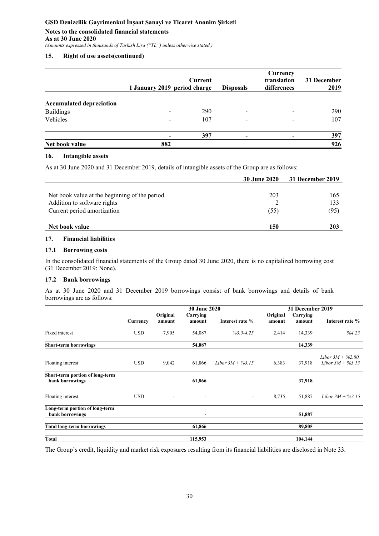## **Notes to the consolidated financial statements As at 30 June 2020**

*(Amounts expressed in thousands of Turkish Lira ("TL") unless otherwise stated.)* 

## **15. Right of use assets(continued)**

|                                 | 1 January 2019 period charge | Current | <b>Disposals</b>         | Currency<br>translation<br>differences | 31 December<br>2019 |
|---------------------------------|------------------------------|---------|--------------------------|----------------------------------------|---------------------|
| <b>Accumulated depreciation</b> |                              |         |                          |                                        |                     |
| <b>Buildings</b>                | $\overline{\phantom{a}}$     | 290     | $\overline{\phantom{a}}$ | $\overline{\phantom{a}}$               | 290                 |
| Vehicles                        |                              | 107     | $\overline{\phantom{a}}$ | -                                      | 107                 |
|                                 | $\overline{\phantom{a}}$     | 397     | $\overline{\phantom{0}}$ |                                        | 397                 |
| Net book value                  | 882                          |         |                          |                                        | 926                 |

## **16. Intangible assets**

As at 30 June 2020 and 31 December 2019, details of intangible assets of the Group are as follows:

|                                               | <b>30 June 2020</b> | 31 December 2019 |
|-----------------------------------------------|---------------------|------------------|
|                                               |                     |                  |
| Net book value at the beginning of the period | 203                 | 165              |
| Addition to software rights                   |                     | 133              |
| Current period amortization                   | (55)                | (95)             |
|                                               |                     |                  |
| Net book value                                | 150                 | 203              |

### **17. Financial liabilities**

### **17.1 Borrowing costs**

In the consolidated financial statements of the Group dated 30 June 2020, there is no capitalized borrowing cost (31 December 2019: None).

### **17.2 Bank borrowings**

As at 30 June 2020 and 31 December 2019 borrowings consist of bank borrowings and details of bank borrowings are as follows:

|                                                    |            |                              | 30 June 2020                 |                        | 31 December 2019   |                    |                                              |
|----------------------------------------------------|------------|------------------------------|------------------------------|------------------------|--------------------|--------------------|----------------------------------------------|
|                                                    | Currency   | Original<br>amount           | Carrying<br>amount           | Interest rate %        | Original<br>amount | Carrying<br>amount | Interest rate %                              |
| Fixed interest                                     | <b>USD</b> | 7,905                        | 54,087                       | $\frac{9}{63.5}$ -4.25 | 2,414              | 14,339             | %4.25                                        |
| <b>Short-term borrowings</b>                       |            |                              | 54,087                       |                        |                    | 14,339             |                                              |
| Floating interest                                  | <b>USD</b> | 9,042                        | 61,866                       | Libor $3M + \%3.15$    | 6,383              | 37,918             | Libor $3M + \%2.80$ ,<br>Libor $3M + \%3.15$ |
| Short-term portion of long-term<br>bank borrowings |            |                              | 61,866                       |                        |                    | 37,918             |                                              |
| Floating interest                                  | <b>USD</b> | $\qquad \qquad \blacksquare$ | $\qquad \qquad \blacksquare$ | ٠                      | 8,735              | 51,887             | Libor $3M + \%3.15$                          |
| Long-term portion of long-term<br>bank borrowings  |            |                              | ٠                            |                        |                    | 51,887             |                                              |
| <b>Total long-term borrowings</b>                  |            |                              | 61,866                       |                        |                    | 89,805             |                                              |
| Total                                              |            |                              | 115,953                      |                        |                    | 104,144            |                                              |

The Group's credit, liquidity and market risk exposures resulting from its financial liabilities are disclosed in Note 33.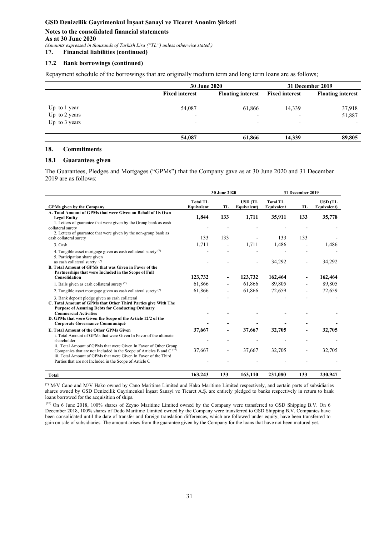#### **Notes to the consolidated financial statements As at 30 June 2020**

*(Amounts expressed in thousands of Turkish Lira ("TL") unless otherwise stated.)* 

**17. Financial liabilities (continued)** 

### **17.2 Bank borrowings (continued)**

Repayment schedule of the borrowings that are originally medium term and long term loans are as follows;

|                 | <b>30 June 2020</b>      |                          | 31 December 2019         |                          |
|-----------------|--------------------------|--------------------------|--------------------------|--------------------------|
|                 | <b>Fixed interest</b>    | <b>Floating interest</b> | <b>Fixed interest</b>    | <b>Floating interest</b> |
|                 |                          |                          |                          |                          |
| Up to 1 year    | 54,087                   | 61,866                   | 14,339                   | 37,918                   |
| Up to 2 years   | $\overline{\phantom{0}}$ | $\overline{\phantom{a}}$ | $\overline{\phantom{a}}$ | 51,887                   |
| Up to $3$ years | $\overline{\phantom{0}}$ | $\overline{\phantom{0}}$ | $\overline{\phantom{a}}$ |                          |
|                 | 54,087                   | 61,866                   | 14.339                   | 89,805                   |

### **18. Commitments**

#### **18.1 Guarantees given**

The Guarantees, Pledges and Mortgages ("GPMs") that the Company gave as at 30 June 2020 and 31 December 2019 are as follows:

|                                                                                                                                                                                                                         |                               | 30 June 2020             |                               |                               | 31 December 2019 |                               |
|-------------------------------------------------------------------------------------------------------------------------------------------------------------------------------------------------------------------------|-------------------------------|--------------------------|-------------------------------|-------------------------------|------------------|-------------------------------|
| <b>GPMs given by the Company</b>                                                                                                                                                                                        | <b>Total TL</b><br>Equivalent | TL                       | <b>USD (TL</b><br>Equivalent) | <b>Total TL</b><br>Equivalent | TL               | <b>USD</b> (TL<br>Equivalent) |
| A. Total Amount of GPMs that were Given on Behalf of Its Own<br><b>Legal Entity</b>                                                                                                                                     | 1,844                         | 133                      | 1,711                         | 35,911                        | 133              | 35,778                        |
| 1. Letters of guarantee that were given by the Group bank as cash<br>collateral surety<br>2. Letters of guarantee that were given by the non-group bank as                                                              |                               |                          |                               |                               |                  |                               |
| cash collateral surety                                                                                                                                                                                                  | 133                           | 133                      |                               | 133                           | 133              |                               |
| 3. Cash                                                                                                                                                                                                                 | 1,711                         | -                        | 1,711                         | 1,486                         |                  | 1,486                         |
| 4. Tangible asset mortgage given as cash collateral surety (*)<br>5. Participation share given                                                                                                                          |                               |                          |                               |                               |                  |                               |
| as cash collateral surety (*)<br>B. Total Amount of GPMs that was Given in Favor of the                                                                                                                                 |                               |                          | $\overline{\phantom{a}}$      | 34,292                        |                  | 34,292                        |
| Partnerships that were Included in the Scope of Full<br>Consolidation                                                                                                                                                   | 123,732                       |                          | 123,732                       | 162,464                       |                  | 162,464                       |
| 1. Bails given as cash collateral surety (*)                                                                                                                                                                            | 61,866                        |                          | 61,866                        | 89,805                        |                  | 89,805                        |
| 2. Tangible asset mortgage given as cash collateral surety (*)                                                                                                                                                          | 61,866                        |                          | 61,866                        | 72,659                        |                  | 72,659                        |
| 3. Bank deposit pledge given as cash collateral<br>C. Total Amount of GPMs that Other Third Parties give With The<br><b>Purpose of Assuring Debts for Conducting Ordinary</b><br><b>Commercial Activities</b>           |                               |                          |                               |                               |                  |                               |
| D. GPMs that were Given the Scope of the Article 12/2 of the<br>Corporate Governance Communiqué                                                                                                                         |                               |                          |                               |                               |                  |                               |
| E. Total Amount of the Other GPMs Given<br>i. Total Amount of GPMs that were Given In Favor of the ultimate                                                                                                             | 37,667                        |                          | 37,667                        | 32,705                        |                  | 32,705                        |
| shareholder                                                                                                                                                                                                             |                               |                          |                               |                               |                  |                               |
| ii. Total Amount of GPMs that were Given In Favor of Other Group<br>Companies that are not Included in the Scope of Articles B and C <sup>(**)</sup><br>iii. Total Amount of GPMs that were Given In Favor of the Third | 37,667                        | $\overline{\phantom{a}}$ | 37.667                        | 32,705                        |                  | 32,705                        |
| Parties that are not Included in the Scope of Article C                                                                                                                                                                 |                               |                          |                               |                               |                  |                               |
| <b>Total</b>                                                                                                                                                                                                            | 163,243                       | 133                      | 163,110                       | 231,080                       | 133              | 230,947                       |

(\*) M/V Cano and M/V Hako owned by Cano Maritime Limited and Hako Maritime Limited respectively, and certain parts of subsidiaries shares owned by GSD Denizcilik Gayrimenkul İnşaat Sanayi ve Ticaret A.Ş. are entirely pledged to banks respectively in return to bank loans borrowed for the acquisition of ships.

 (\*\*) On 6 June 2018, 100% shares of Zeyno Maritime Limited owned by the Company were transferred to GSD Shipping B.V. On 6 December 2018, 100% shares of Dodo Maritime Limited owned by the Company were transferred to GSD Shipping B.V. Companies have been consolidated until the date of transfer and foreign translation differences, which are followed under equity, have been transferred to gain on sale of subsidiaries. The amount arises from the guarantee given by the Company for the loans that have not been matured yet.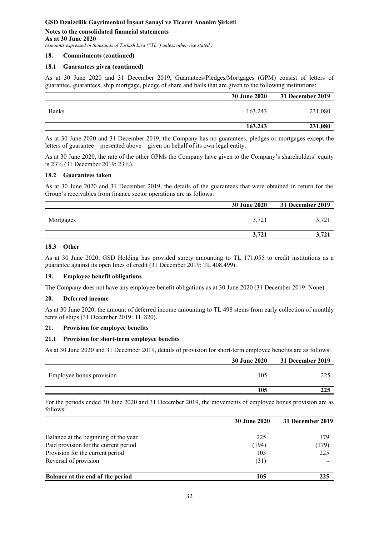## **Notes to the consolidated financial statements As at 30 June 2020**

*(Amounts expressed in thousands of Turkish Lira ("TL") unless otherwise stated.)* 

#### **18. Commitments (continued)**

### **18.1 Guarantees given (continued)**

As at 30 June 2020 and 31 December 2019, Guarantees/Pledges/Mortgages (GPM) consist of letters of guarantee, guarantees, ship mortgage, pledge of share and bails that are given to the following institutions:

|              | <b>30 June 2020</b> | 31 December 2019 |
|--------------|---------------------|------------------|
| <b>Banks</b> | 163,243             | 231,080          |
|              | 163,243             | 231,080          |

As at 30 June 2020 and 31 December 2019, the Company has no guarantees, pledges or mortgages except the letters of guarantee – presented above – given on behalf of its own legal entity.

As at 30 June 2020, the rate of the other GPMs the Company have given to the Company's shareholders' equity is 23% (31 December 2019: 23%).

#### **18.2 Guarantees taken**

As at 30 June 2020 and 31 December 2019, the details of the guarantees that were obtained in return for the Group's receivables from finance sector operations are as follows:

|           | <b>30 June 2020</b> | 31 December 2019 |
|-----------|---------------------|------------------|
| Mortgages | 3,721               | 3.721            |
|           | 3.721               | J,               |

## **18.3 Other**

As at 30 June 2020, GSD Holding has provided surety amounting to TL 171,055 to credit institutions as a guarantee against its open lines of credit (31 December 2019: TL 408,499).

#### **19. Employee benefit obligations**

The Company does not have any employee benefit obligations as at 30 June 2020 (31 December 2019: None).

#### **20. Deferred income**

As at 30 June 2020, the amount of deferred income amounting to TL 498 stems from early collection of monthly rents of ships (31 December 2019: TL 820).

### **21. Provision for employee benefits**

#### **21.1 Provision for short-term employee benefits**

As at 30 June 2020 and 31 December 2019, details of provision for short-term employee benefits are as follows:

|                          | <b>30 June 2020</b> | 31 December 2019 |
|--------------------------|---------------------|------------------|
| Employee bonus provision | 105                 | າາ ເ             |
|                          | 105                 | 225              |

For the periods ended 30 June 2020 and 31 December 2019, the movements of employee bonus provision are as follows:

|                                       | <b>30 June 2020</b> | 31 December 2019 |
|---------------------------------------|---------------------|------------------|
|                                       |                     |                  |
| Balance at the beginning of the year  | 225                 | 179              |
| Paid provision for the current period | (194)               | (179)            |
| Provision for the current period      | 105                 | 225              |
| Reversal of provision                 | (31)                |                  |
| Balance at the end of the period      | 105                 | 225              |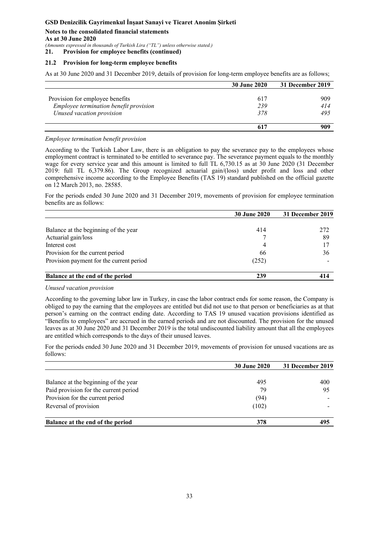**Notes to the consolidated financial statements As at 30 June 2020** 

*(Amounts expressed in thousands of Turkish Lira ("TL") unless otherwise stated.)* 

**21. Provision for employee benefits (continued)** 

#### **21.2 Provision for long-term employee benefits**

As at 30 June 2020 and 31 December 2019, details of provision for long-term employee benefits are as follows;

|                                        | <b>30 June 2020</b> | 31 December 2019 |
|----------------------------------------|---------------------|------------------|
|                                        |                     |                  |
| Provision for employee benefits        | 617                 | 909              |
| Employee termination benefit provision | 239                 | 414              |
| Unused vacation provision              | 378                 | 495              |
|                                        |                     |                  |
|                                        | 617                 | 909              |

#### *Employee termination benefit provision*

According to the Turkish Labor Law, there is an obligation to pay the severance pay to the employees whose employment contract is terminated to be entitled to severance pay. The severance payment equals to the monthly wage for every service year and this amount is limited to full TL 6,730.15 as at 30 June 2020 (31 December 2019: full TL 6,379.86). The Group recognized actuarial gain/(loss) under profit and loss and other comprehensive income according to the Employee Benefits (TAS 19) standard published on the official gazette on 12 March 2013, no. 28585.

For the periods ended 30 June 2020 and 31 December 2019, movements of provision for employee termination benefits are as follows:

|                                          | <b>30 June 2020</b> | 31 December 2019 |
|------------------------------------------|---------------------|------------------|
|                                          |                     |                  |
| Balance at the beginning of the year     | 414                 | 272              |
| Actuarial gain/loss                      |                     | 89               |
| Interest cost                            | 4                   |                  |
| Provision for the current period         | 66                  | 36               |
| Provision payment for the current period | (252)               |                  |
| Balance at the end of the period         | 239                 |                  |

#### *Unused vacation provision*

According to the governing labor law in Turkey, in case the labor contract ends for some reason, the Company is obliged to pay the earning that the employees are entitled but did not use to that person or beneficiaries as at that person's earning on the contract ending date. According to TAS 19 unused vacation provisions identified as "Benefits to employees" are accrued in the earned periods and are not discounted. The provision for the unused leaves as at 30 June 2020 and 31 December 2019 is the total undiscounted liability amount that all the employees are entitled which corresponds to the days of their unused leaves.

For the periods ended 30 June 2020 and 31 December 2019, movements of provision for unused vacations are as follows:

|                                       | <b>30 June 2020</b> | 31 December 2019 |
|---------------------------------------|---------------------|------------------|
| Balance at the beginning of the year  | 495                 | 400              |
| Paid provision for the current period | 79                  | 95               |
| Provision for the current period      | (94)                |                  |
| Reversal of provision                 | (102)               |                  |
| Balance at the end of the period      | 378                 | 495              |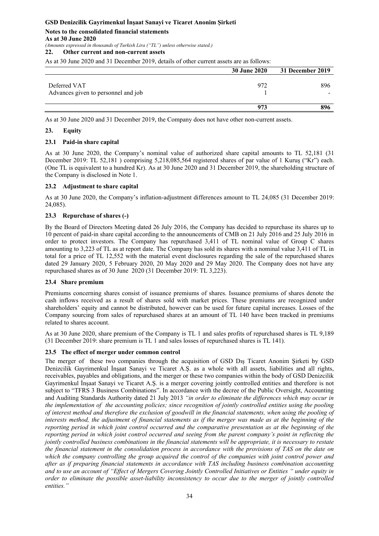# **Notes to the consolidated financial statements As at 30 June 2020**

*(Amounts expressed in thousands of Turkish Lira ("TL") unless otherwise stated.)* 

## **22. Other current and non-current assets**

As at 30 June 2020 and 31 December 2019, details of other current assets are as follows:

|                                                     | <b>30 June 2020</b> | 31 December 2019 |
|-----------------------------------------------------|---------------------|------------------|
| Deferred VAT<br>Advances given to personnel and job | 972                 | 896              |
|                                                     | 973                 | 896              |

As at 30 June 2020 and 31 December 2019, the Company does not have other non-current assets.

### **23. Equity**

### **23.1 Paid-in share capital**

As at 30 June 2020, the Company's nominal value of authorized share capital amounts to TL 52,181 (31 December 2019: TL 52,181 ) comprising 5,218,085,564 registered shares of par value of 1 Kuruş ("Kr") each. (One TL is equivalent to a hundred Kr). As at 30 June 2020 and 31 December 2019, the shareholding structure of the Company is disclosed in Note 1.

### **23.2 Adjustment to share capital**

As at 30 June 2020, the Company's inflation-adjustment differences amount to TL 24,085 (31 December 2019: 24,085).

### **23.3 Repurchase of shares (-)**

By the Board of Directors Meeting dated 26 July 2016, the Company has decided to repurchase its shares up to 10 percent of paid-in share capital according to the announcements of CMB on 21 July 2016 and 25 July 2016 in order to protect investors. The Company has repurchased 3,411 of TL nominal value of Group C shares amounting to 3,223 of TL as at report date. The Company has sold its shares with a nominal value 3,411 of TL in total for a price of TL 12,552 with the material event disclosures regarding the sale of the repurchased shares dated 29 January 2020, 5 February 2020, 20 May 2020 and 29 May 2020. The Company does not have any repurchased shares as of 30 June 2020 (31 December 2019: TL 3,223).

### **23.4 Share premium**

Premiums concerning shares consist of issuance premiums of shares. Issuance premiums of shares denote the cash inflows received as a result of shares sold with market prices. These premiums are recognized under shareholders' equity and cannot be distributed, however can be used for future capital increases. Losses of the Company sourcing from sales of repurchased shares at an amount of TL 140 have been tracked in premiums related to shares account.

As at 30 June 2020, share premium of the Company is TL 1 and sales profits of repurchased shares is TL 9,189 (31 December 2019: share premium is TL 1 and sales losses of repurchased shares is TL 141).

### **23.5 The effect of merger under common control**

The merger of these two companies through the acquisition of GSD Dış Ticaret Anonim Şirketi by GSD Denizcilik Gayrimenkul İnşaat Sanayi ve Ticaret A.Ş. as a whole with all assets, liabilities and all rights, receivables, payables and obligations, and the merger or these two companies within the body of GSD Denizcilik Gayrimenkul İnşaat Sanayi ve Ticaret A.Ş. is a merger covering jointly controlled entities and therefore is not subject to "TFRS 3 Business Combinations". In accordance with the decree of the Public Oversight, Accounting and Auditing Standards Authority dated 21 July 2013 *"in order to eliminate the differences which may occur in the implementation of the accounting policies; since recognition of jointly controlled entities using the pooling of interest method and therefore the exclusion of goodwill in the financial statements, when using the pooling of interests method, the adjustment of financial statements as if the merger was made as at the beginning of the reporting period in which joint control occurred and the comparative presentation as at the beginning of the reporting period in which joint control occurred and seeing from the parent company's point in reflecting the jointly controlled business combinations in the financial statements will be appropriate, it is necessary to restate the financial statement in the consolidation process in accordance with the provisions of TAS on the date on which the company controlling the group acquired the control of the companies with joint control power and after as if preparing financial statements in accordance with TAS including business combination accounting and to use an account of "Effect of Mergers Covering Jointly Controlled Initiatives or Entities " under equity in order to eliminate the possible asset-liability inconsistency to occur due to the merger of jointly controlled entities."*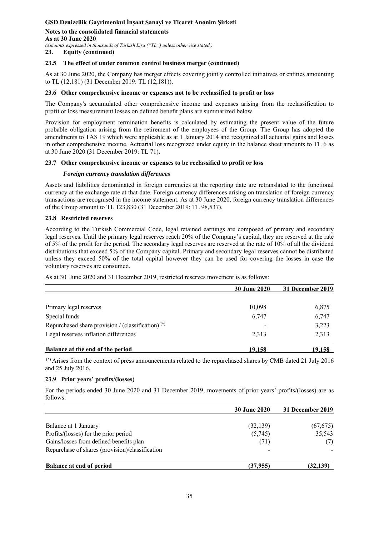**Notes to the consolidated financial statements As at 30 June 2020**  *(Amounts expressed in thousands of Turkish Lira ("TL") unless otherwise stated.)* 

**23. Equity (continued)** 

#### **23.5 The effect of under common control business merger (continued)**

As at 30 June 2020, the Company has merger effects covering jointly controlled initiatives or entities amounting to TL (12,181) (31 December 2019: TL (12,181)).

#### **23.6 Other comprehensive income or expenses not to be reclassified to profit or loss**

The Company's accumulated other comprehensive income and expenses arising from the reclassification to profit or loss measurement losses on defined benefit plans are summarized below.

Provision for employment termination benefits is calculated by estimating the present value of the future probable obligation arising from the retirement of the employees of the Group. The Group has adopted the amendments to TAS 19 which were applicable as at 1 January 2014 and recognized all actuarial gains and losses in other comprehensive income. Actuarial loss recognized under equity in the balance sheet amounts to TL 6 as at 30 June 2020 (31 December 2019: TL 71).

### **23.7 Other comprehensive income or expenses to be reclassified to profit or loss**

#### *Foreign currency translation differences*

Assets and liabilities denominated in foreign currencies at the reporting date are retranslated to the functional currency at the exchange rate at that date. Foreign currency differences arising on translation of foreign currency transactions are recognised in the income statement. As at 30 June 2020, foreign currency translation differences of the Group amount to TL 123,830 (31 December 2019: TL 98,537).

#### **23.8 Restricted reserves**

According to the Turkish Commercial Code, legal retained earnings are composed of primary and secondary legal reserves. Until the primary legal reserves reach 20% of the Company's capital, they are reserved at the rate of 5% of the profit for the period. The secondary legal reserves are reserved at the rate of 10% of all the dividend distributions that exceed 5% of the Company capital. Primary and secondary legal reserves cannot be distributed unless they exceed 50% of the total capital however they can be used for covering the losses in case the voluntary reserves are consumed.

As at 30 June 2020 and 31 December 2019, restricted reserves movement is as follows:

|                                                      | <b>30 June 2020</b> | 31 December 2019 |
|------------------------------------------------------|---------------------|------------------|
|                                                      |                     |                  |
| Primary legal reserves                               | 10,098              | 6,875            |
| Special funds                                        | 6,747               | 6,747            |
| Repurchased share provision / (classification) $(*)$ |                     | 3,223            |
| Legal reserves inflation differences                 | 2,313               | 2,313            |
| Balance at the end of the period                     | 19,158              | 19,158           |

 (\*) Arises from the context of press announcements related to the repurchased shares by CMB dated 21 July 2016 and 25 July 2016.

#### **23.9 Prior years' profits/(losses)**

For the periods ended 30 June 2020 and 31 December 2019, movements of prior years' profits/(losses) are as follows:

|                                                 | <b>30 June 2020</b> | 31 December 2019 |
|-------------------------------------------------|---------------------|------------------|
| Balance at 1 January                            | (32, 139)           | (67, 675)        |
| Profits/(losses) for the prior period           | (5,745)             | 35,543           |
| Gains/losses from defined benefits plan         | (71)                | (7)              |
| Repurchase of shares (provision)/classification |                     |                  |
| <b>Balance at end of period</b>                 | (37,955)            | (32, 139)        |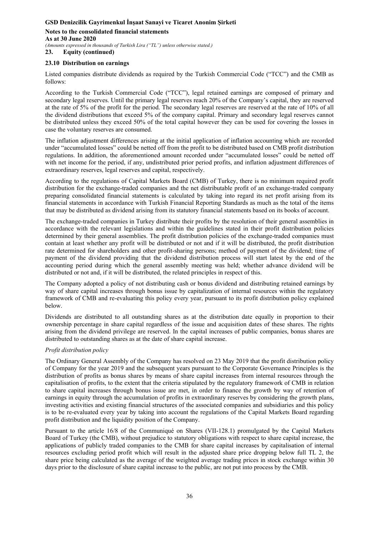**Notes to the consolidated financial statements As at 30 June 2020**  *(Amounts expressed in thousands of Turkish Lira ("TL") unless otherwise stated.)*  **23. Equity (continued)** 

### **23.10 Distribution on earnings**

Listed companies distribute dividends as required by the Turkish Commercial Code ("TCC") and the CMB as follows:

According to the Turkish Commercial Code ("TCC"), legal retained earnings are composed of primary and secondary legal reserves. Until the primary legal reserves reach 20% of the Company's capital, they are reserved at the rate of 5% of the profit for the period. The secondary legal reserves are reserved at the rate of 10% of all the dividend distributions that exceed 5% of the company capital. Primary and secondary legal reserves cannot be distributed unless they exceed 50% of the total capital however they can be used for covering the losses in case the voluntary reserves are consumed.

The inflation adjustment differences arising at the initial application of inflation accounting which are recorded under "accumulated losses" could be netted off from the profit to be distributed based on CMB profit distribution regulations. In addition, the aforementioned amount recorded under "accumulated losses" could be netted off with net income for the period, if any, undistributed prior period profits, and inflation adjustment differences of extraordinary reserves, legal reserves and capital, respectively.

According to the regulations of Capital Markets Board (CMB) of Turkey, there is no minimum required profit distribution for the exchange-traded companies and the net distributable profit of an exchange-traded company preparing consolidated financial statements is calculated by taking into regard its net profit arising from its financial statements in accordance with Turkish Financial Reporting Standards as much as the total of the items that may be distributed as dividend arising from its statutory financial statements based on its books of account.

The exchange-traded companies in Turkey distribute their profits by the resolution of their general assemblies in accordance with the relevant legislations and within the guidelines stated in their profit distribution policies determined by their general assemblies. The profit distribution policies of the exchange-traded companies must contain at least whether any profit will be distributed or not and if it will be distributed, the profit distribution rate determined for shareholders and other profit-sharing persons; method of payment of the dividend; time of payment of the dividend providing that the dividend distribution process will start latest by the end of the accounting period during which the general assembly meeting was held; whether advance dividend will be distributed or not and, if it will be distributed, the related principles in respect of this.

The Company adopted a policy of not distributing cash or bonus dividend and distributing retained earnings by way of share capital increases through bonus issue by capitalization of internal resources within the regulatory framework of CMB and re-evaluating this policy every year, pursuant to its profit distribution policy explained below.

Dividends are distributed to all outstanding shares as at the distribution date equally in proportion to their ownership percentage in share capital regardless of the issue and acquisition dates of these shares. The rights arising from the dividend privilege are reserved. In the capital increases of public companies, bonus shares are distributed to outstanding shares as at the date of share capital increase.

### *Profit distribution policy*

The Ordinary General Assembly of the Company has resolved on 23 May 2019 that the profit distribution policy of Company for the year 2019 and the subsequent years pursuant to the Corporate Governance Principles is the distribution of profits as bonus shares by means of share capital increases from internal resources through the capitalisation of profits, to the extent that the criteria stipulated by the regulatory framework of CMB in relation to share capital increases through bonus issue are met, in order to finance the growth by way of retention of earnings in equity through the accumulation of profits in extraordinary reserves by considering the growth plans, investing activities and existing financial structures of the associated companies and subsidiaries and this policy is to be re-evaluated every year by taking into account the regulations of the Capital Markets Board regarding profit distribution and the liquidity position of the Company.

Pursuant to the article 16/8 of the Communiqué on Shares (VII-128.1) promulgated by the Capital Markets Board of Turkey (the CMB), without prejudice to statutory obligations with respect to share capital increase, the applications of publicly traded companies to the CMB for share capital increases by capitalisation of internal resources excluding period profit which will result in the adjusted share price dropping below full TL 2, the share price being calculated as the average of the weighted average trading prices in stock exchange within 30 days prior to the disclosure of share capital increase to the public, are not put into process by the CMB.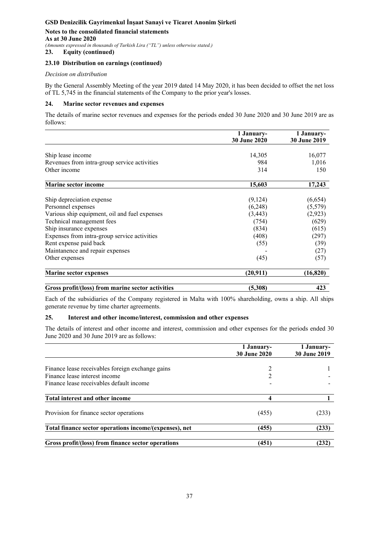#### **Notes to the consolidated financial statements As at 30 June 2020**  *(Amounts expressed in thousands of Turkish Lira ("TL") unless otherwise stated.)*

**23. Equity (continued)** 

### **23.10 Distribution on earnings (continued)**

#### *Decision on distribution*

By the General Assembly Meeting of the year 2019 dated 14 May 2020, it has been decided to offset the net loss of TL 5,745 in the financial statements of the Company to the prior year's losses.

#### **24. Marine sector revenues and expenses**

The details of marine sector revenues and expenses for the periods ended 30 June 2020 and 30 June 2019 are as follows:

|                                                   | 1 January-<br><b>30 June 2020</b> | 1 January-<br><b>30 June 2019</b> |
|---------------------------------------------------|-----------------------------------|-----------------------------------|
|                                                   |                                   |                                   |
| Ship lease income                                 | 14,305                            | 16,077                            |
| Revenues from intra-group service activities      | 984                               | 1,016                             |
| Other income                                      | 314                               | 150                               |
| <b>Marine sector income</b>                       | 15,603                            | 17,243                            |
| Ship depreciation expense                         | (9,124)                           | (6,654)                           |
| Personnel expenses                                | (6,248)                           | (5,579)                           |
| Various ship equipment, oil and fuel expenses     | (3, 443)                          | (2,923)                           |
| Technical management fees                         | (754)                             | (629)                             |
| Ship insurance expenses                           | (834)                             | (615)                             |
| Expenses from intra-group service activities      | (408)                             | (297)                             |
| Rent expense paid back                            | (55)                              | (39)                              |
| Maintanence and repair expenses                   |                                   | (27)                              |
| Other expenses                                    | (45)                              | (57)                              |
| <b>Marine sector expenses</b>                     | (20,911)                          | (16, 820)                         |
| Gross profit/(loss) from marine sector activities | (5,308)                           | 423                               |

Each of the subsidiaries of the Company registered in Malta with 100% shareholding, owns a ship. All ships generate revenue by time charter agreements.

### **25. Interest and other income/interest, commission and other expenses**

The details of interest and other income and interest, commission and other expenses for the periods ended 30 June 2020 and 30 June 2019 are as follows:

|                                                        | 1 January-<br><b>30 June 2020</b>                                                                                                                               | 1 January-<br><b>30 June 2019</b> |
|--------------------------------------------------------|-----------------------------------------------------------------------------------------------------------------------------------------------------------------|-----------------------------------|
|                                                        |                                                                                                                                                                 |                                   |
| Finance lease receivables foreign exchange gains       |                                                                                                                                                                 |                                   |
| Finance lease interest income                          | $\mathcal{D}_{\mathcal{L}}^{\mathcal{L}}(\mathcal{L})=\mathcal{L}_{\mathcal{L}}^{\mathcal{L}}(\mathcal{L})\mathcal{L}_{\mathcal{L}}^{\mathcal{L}}(\mathcal{L})$ |                                   |
| Finance lease receivables default income               |                                                                                                                                                                 |                                   |
| Total interest and other income                        |                                                                                                                                                                 |                                   |
| Provision for finance sector operations                | (455)                                                                                                                                                           | (233)                             |
| Total finance sector operations income/(expenses), net | (455)                                                                                                                                                           | (233)                             |
| Gross profit/(loss) from finance sector operations     | (451)                                                                                                                                                           | (232)                             |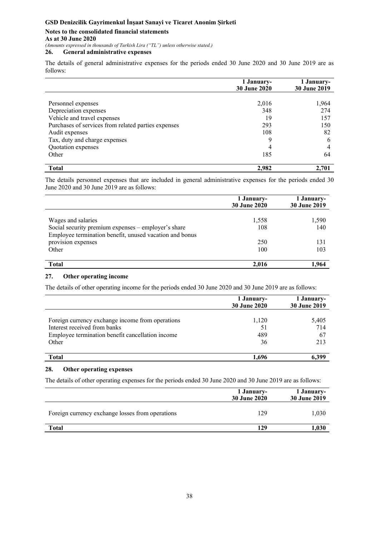#### **Notes to the consolidated financial statements As at 30 June 2020**  *(Amounts expressed in thousands of Turkish Lira ("TL") unless otherwise stated.)*

**26. General administrative expenses** 

The details of general administrative expenses for the periods ended 30 June 2020 and 30 June 2019 are as follows:

|                                                     | 1 January-<br><b>30 June 2020</b> | 1 January-<br>30 June 2019 |
|-----------------------------------------------------|-----------------------------------|----------------------------|
|                                                     |                                   |                            |
| Personnel expenses                                  | 2,016                             | 1,964                      |
| Depreciation expenses                               | 348                               | 274                        |
| Vehicle and travel expenses                         | 19                                | 157                        |
| Purchases of services from related parties expenses | 293                               | 150                        |
| Audit expenses                                      | 108                               | 82                         |
| Tax, duty and charge expenses                       | 9                                 | h                          |
| Quotation expenses                                  | 4                                 |                            |
| Other                                               | 185                               | 64                         |
| <b>Total</b>                                        | 2,982                             | 2,701                      |

The details personnel expenses that are included in general administrative expenses for the periods ended 30 June 2020 and 30 June 2019 are as follows:

|                                                         | 1 January-<br><b>30 June 2020</b> | 1 January-<br>30 June 2019 |
|---------------------------------------------------------|-----------------------------------|----------------------------|
|                                                         |                                   |                            |
| Wages and salaries                                      | 1,558                             | 1,590                      |
| Social security premium expenses – employer's share     | 108                               | 140                        |
| Employee termination benefit, unused vacation and bonus |                                   |                            |
| provision expenses                                      | 250                               | 131                        |
| Other                                                   | 100                               | 103                        |
| <b>Total</b>                                            | 2.016                             | 1.964                      |

## **27. Other operating income**

The details of other operating income for the periods ended 30 June 2020 and 30 June 2019 are as follows:

|                                                  | 1 January-<br><b>30 June 2020</b> | 1 January-<br>30 June 2019 |
|--------------------------------------------------|-----------------------------------|----------------------------|
| Foreign currency exchange income from operations | 1,120                             | 5,405                      |
| Interest received from banks                     | 51                                | 714                        |
| Employee termination benefit cancellation income | 489                               | 67                         |
| Other                                            | 36                                | 213                        |
| Total                                            | 1.696                             | 6.399                      |

### **28. Other operating expenses**

The details of other operating expenses for the periods ended 30 June 2020 and 30 June 2019 are as follows:

|                                                  | 1 January-<br><b>30 June 2020</b> | 1 January-<br>30 June 2019 |
|--------------------------------------------------|-----------------------------------|----------------------------|
| Foreign currency exchange losses from operations | 129                               | 1,030                      |
| <b>Total</b>                                     | 129                               | .030                       |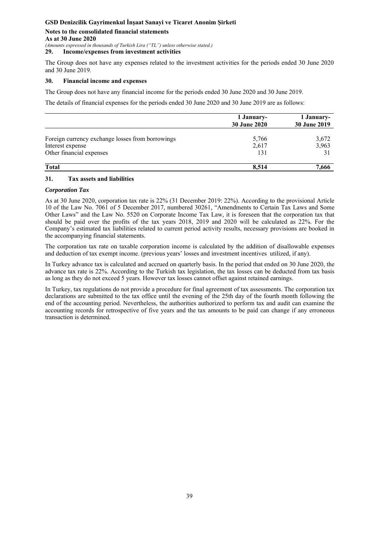**Notes to the consolidated financial statements As at 30 June 2020**  *(Amounts expressed in thousands of Turkish Lira ("TL") unless otherwise stated.)* 

**29. Income/expenses from investment activities**

The Group does not have any expenses related to the investment activities for the periods ended 30 June 2020 and 30 June 2019.

#### **30. Financial income and expenses**

The Group does not have any financial income for the periods ended 30 June 2020 and 30 June 2019.

The details of financial expenses for the periods ended 30 June 2020 and 30 June 2019 are as follows:

|                                                  | 1 January-<br><b>30 June 2020</b> | 1 January-<br>30 June 2019 |
|--------------------------------------------------|-----------------------------------|----------------------------|
| Foreign currency exchange losses from borrowings | 5,766                             | 3,672                      |
| Interest expense                                 | 2,617                             | 3,963                      |
| Other financial expenses                         | 131                               | 31                         |
| <b>Total</b>                                     | 8,514                             | 7,666                      |

#### **31. Tax assets and liabilities**

#### *Corporation Tax*

As at 30 June 2020, corporation tax rate is 22% (31 December 2019: 22%). According to the provisional Article 10 of the Law No. 7061 of 5 December 2017, numbered 30261, "Amendments to Certain Tax Laws and Some Other Laws" and the Law No. 5520 on Corporate Income Tax Law, it is foreseen that the corporation tax that should be paid over the profits of the tax years 2018, 2019 and 2020 will be calculated as 22%. For the Company's estimated tax liabilities related to current period activity results, necessary provisions are booked in the accompanying financial statements.

The corporation tax rate on taxable corporation income is calculated by the addition of disallowable expenses and deduction of tax exempt income. (previous years' losses and investment incentives utilized, if any).

In Turkey advance tax is calculated and accrued on quarterly basis. In the period that ended on 30 June 2020, the advance tax rate is 22%. According to the Turkish tax legislation, the tax losses can be deducted from tax basis as long as they do not exceed 5 years. However tax losses cannot offset against retained earnings.

In Turkey, tax regulations do not provide a procedure for final agreement of tax assessments. The corporation tax declarations are submitted to the tax office until the evening of the 25th day of the fourth month following the end of the accounting period. Nevertheless, the authorities authorized to perform tax and audit can examine the accounting records for retrospective of five years and the tax amounts to be paid can change if any erroneous transaction is determined.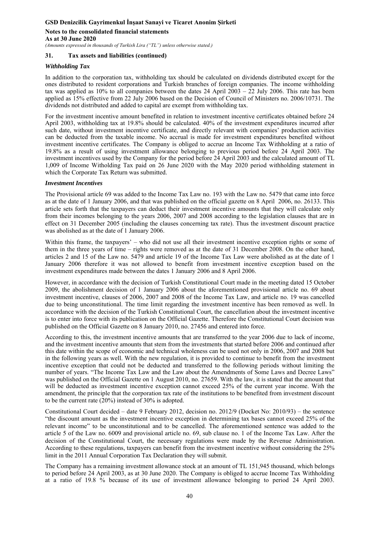**Notes to the consolidated financial statements As at 30 June 2020** 

*(Amounts expressed in thousands of Turkish Lira ("TL") unless otherwise stated.)* 

### **31. Tax assets and liabilities (continued)**

### *Withholding Tax*

In addition to the corporation tax, withholding tax should be calculated on dividends distributed except for the ones distributed to resident corporations and Turkish branches of foreign companies. The income withholding tax was applied as  $10\%$  to all companies between the dates  $24$  April  $2003 - 22$  July  $2006$ . This rate has been applied as 15% effective from 22 July 2006 based on the Decision of Council of Ministers no. 2006/10731. The dividends not distributed and added to capital are exempt from withholding tax.

For the investment incentive amount benefited in relation to investment incentive certificates obtained before 24 April 2003, withholding tax at 19.8% should be calculated. 40% of the investment expenditures incurred after such date, without investment incentive certificate, and directly relevant with companies' production activities can be deducted from the taxable income. No accrual is made for investment expenditures benefited without investment incentive certificates. The Company is obliged to accrue an Income Tax Withholding at a ratio of 19.8% as a result of using investment allowance belonging to previous period before 24 April 2003. The investment incentives used by the Company for the period before 24 April 2003 and the calculated amount of TL 1,009 of Income Witholding Tax paid on 26 June 2020 with the May 2020 period withholding statement in which the Corporate Tax Return was submitted.

### *Investment Incentives*

The Provisional article 69 was added to the Income Tax Law no. 193 with the Law no. 5479 that came into force as at the date of 1 January 2006, and that was published on the official gazette on 8 April 2006, no. 26133. This article sets forth that the taxpayers can deduct their investment incentive amounts that they will calculate only from their incomes belonging to the years 2006, 2007 and 2008 according to the legislation clauses that are in effect on 31 December 2005 (including the clauses concerning tax rate). Thus the investment discount practice was abolished as at the date of 1 January 2006.

Within this frame, the taxpayers' – who did not use all their investment incentive exception rights or some of them in the three years of time – rights were removed as at the date of 31 December 2008. On the other hand, articles 2 and 15 of the Law no. 5479 and article 19 of the Income Tax Law were abolished as at the date of 1 January 2006 therefore it was not allowed to benefit from investment incentive exception based on the investment expenditures made between the dates 1 January 2006 and 8 April 2006.

However, in accordance with the decision of Turkish Constitutional Court made in the meeting dated 15 October 2009, the abolishment decision of 1 January 2006 about the aforementioned provisional article no. 69 about investment incentive, clauses of 2006, 2007 and 2008 of the Income Tax Law, and article no. 19 was cancelled due to being unconstitutional. The time limit regarding the investment incentive has been removed as well. In accordance with the decision of the Turkish Constitutional Court, the cancellation about the investment incentive is to enter into force with its publication on the Official Gazette. Therefore the Constitutional Court decision was published on the Official Gazette on 8 January 2010, no. 27456 and entered into force.

According to this, the investment incentive amounts that are transferred to the year 2006 due to lack of income, and the investment incentive amounts that stem from the investments that started before 2006 and continued after this date within the scope of economic and technical wholeness can be used not only in 2006, 2007 and 2008 but in the following years as well. With the new regulation, it is provided to continue to benefit from the investment incentive exception that could not be deducted and transferred to the following periods without limiting the number of years. "The Income Tax Law and the Law about the Amendments of Some Laws and Decree Laws" was published on the Official Gazette on 1 August 2010, no. 27659. With the law, it is stated that the amount that will be deducted as investment incentive exception cannot exceed 25% of the current year income. With the amendment, the principle that the corporation tax rate of the institutions to be benefited from investment discount to be the current rate  $(20%)$  instead of 30% is adopted.

Constitutional Court decided – date 9 February 2012, decision no. 2012/9 (Docket No: 2010/93) – the sentence "the discount amount as the investment incentive exception in determining tax bases cannot exceed 25% of the relevant income" to be unconstitutional and to be cancelled. The aforementioned sentence was added to the article 5 of the Law no. 6009 and provisional article no. 69, sub clause no. 1 of the Income Tax Law. After the decision of the Constitutional Court, the necessary regulations were made by the Revenue Administration. According to these regulations, taxpayers can benefit from the investment incentive without considering the 25% limit in the 2011 Annual Corporation Tax Declaration they will submit.

The Company has a remaining investment allowance stock at an amount of TL 151,945 thousand, which belongs to period before 24 April 2003, as at 30 June 2020. The Company is obliged to accrue Income Tax Withholding at a ratio of 19.8 % because of its use of investment allowance belonging to period 24 April 2003.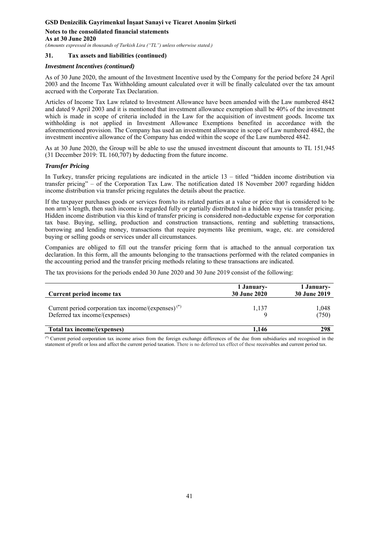**Notes to the consolidated financial statements As at 30 June 2020** 

*(Amounts expressed in thousands of Turkish Lira ("TL") unless otherwise stated.)* 

#### **31. Tax assets and liabilities (continued)**

#### *Investment Incentives (continued)*

As of 30 June 2020, the amount of the Investment Incentive used by the Company for the period before 24 April 2003 and the Income Tax Withholding amount calculated over it will be finally calculated over the tax amount accrued with the Corporate Tax Declaration.

Articles of Income Tax Law related to Investment Allowance have been amended with the Law numbered 4842 and dated 9 April 2003 and it is mentioned that investment allowance exemption shall be 40% of the investment which is made in scope of criteria included in the Law for the acquisition of investment goods. Income tax withholding is not applied in Investment Allowance Exemptions benefited in accordance with the aforementioned provision. The Company has used an investment allowance in scope of Law numbered 4842, the investment incentive allowance of the Company has ended within the scope of the Law numbered 4842.

As at 30 June 2020, the Group will be able to use the unused investment discount that amounts to TL 151,945 (31 December 2019: TL 160,707) by deducting from the future income.

#### *Transfer Pricing*

In Turkey, transfer pricing regulations are indicated in the article 13 – titled "hidden income distribution via transfer pricing" – of the Corporation Tax Law. The notification dated 18 November 2007 regarding hidden income distribution via transfer pricing regulates the details about the practice.

If the taxpayer purchases goods or services from/to its related parties at a value or price that is considered to be non arm's length, then such income is regarded fully or partially distributed in a hidden way via transfer pricing. Hidden income distribution via this kind of transfer pricing is considered non-deductable expense for corporation tax base. Buying, selling, production and construction transactions, renting and subletting transactions, borrowing and lending money, transactions that require payments like premium, wage, etc. are considered buying or selling goods or services under all circumstances.

Companies are obliged to fill out the transfer pricing form that is attached to the annual corporation tax declaration. In this form, all the amounts belonging to the transactions performed with the related companies in the accounting period and the transfer pricing methods relating to these transactions are indicated.

The tax provisions for the periods ended 30 June 2020 and 30 June 2019 consist of the following:

| Current period income tax                                                                         | 1 January-<br><b>30 June 2020</b> | 1 January-<br>30 June 2019 |
|---------------------------------------------------------------------------------------------------|-----------------------------------|----------------------------|
| Current period corporation tax income/(expenses) <sup>(*)</sup><br>Deferred tax income/(expenses) | 1,137                             | 1,048<br>(750)             |
| Total tax income/(expenses)                                                                       | 1.146                             | 298                        |

(\*) Current period corporation tax income arises from the foreign exchange differences of the due from subsidiaries and recognised in the statement of profit or loss and affect the current period taxation. There is no deferred tax effect of these receivables and current period tax.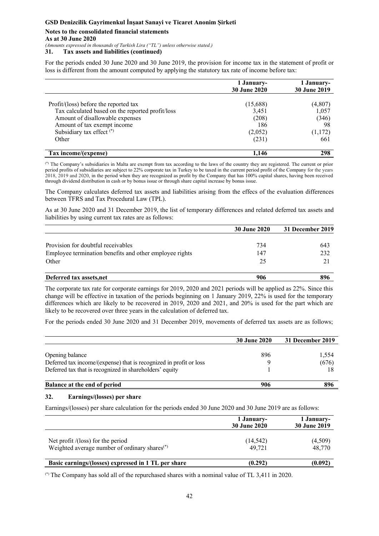### **Notes to the consolidated financial statements As at 30 June 2020**

*(Amounts expressed in thousands of Turkish Lira ("TL") unless otherwise stated.)* 

### **31. Tax assets and liabilities (continued)**

For the periods ended 30 June 2020 and 30 June 2019, the provision for income tax in the statement of profit or loss is different from the amount computed by applying the statutory tax rate of income before tax:

|                                                  | 1 January-<br>30 June 2020 | 1 January-<br>30 June 2019 |
|--------------------------------------------------|----------------------------|----------------------------|
|                                                  |                            |                            |
| Profit/(loss) before the reported tax            | (15,688)                   | (4,807)                    |
| Tax calculated based on the reported profit/loss | 3,451                      | 1,057                      |
| Amount of disallowable expenses                  | (208)                      | (346)                      |
| Amount of tax exempt income                      | 186                        | 98                         |
| Subsidiary tax effect <sup>(*)</sup>             | (2,052)                    | (1,172)                    |
| Other                                            | (231)                      | 661                        |
| Tax income/(expense)                             | 1,146                      | 298                        |

(\*) The Company's subsidiaries in Malta are exempt from tax according to the laws of the country they are registered. The current or prior period profits of subsidiaries are subject to 22% corporate tax in Turkey to be taxed in the current period profit of the Company for the years 2018, 2019 and 2020, in the period when they are recognized as profit by the Company that has 100% capital shares, having been received through dividend distribution in cash or by bonus issue or through share capital increase by bonus issue.

The Company calculates deferred tax assets and liabilities arising from the effecs of the evaluation differences between TFRS and Tax Procedural Law (TPL).

As at 30 June 2020 and 31 December 2019, the list of temporary differences and related deferred tax assets and liabilities by using current tax rates are as follows:

|                                                         | <b>30 June 2020</b> | 31 December 2019 |
|---------------------------------------------------------|---------------------|------------------|
| Provision for doubtful receivables                      | 734                 | 643              |
| Employee termination benefits and other employee rights | 147                 | 232              |
| Other                                                   | 25                  |                  |
| Deferred tax assets, net                                | 906                 | 896              |

The corporate tax rate for corporate earnings for 2019, 2020 and 2021 periods will be applied as 22%. Since this change will be effective in taxation of the periods beginning on 1 January 2019, 22% is used for the temporary differences which are likely to be recovered in 2019, 2020 and 2021, and 20% is used for the part which are likely to be recovered over three years in the calculation of deferred tax.

For the periods ended 30 June 2020 and 31 December 2019, movements of deferred tax assets are as follows;

|                                                                    | <b>30 June 2020</b> | 31 December 2019 |
|--------------------------------------------------------------------|---------------------|------------------|
| Opening balance                                                    | 896                 | 1,554            |
| Deferred tax income/(expense) that is recognized in profit or loss |                     | (676)            |
| Deferred tax that is recognized in shareholders' equity            |                     |                  |
| Balance at the end of period                                       | 906                 | 896              |

### **32. Earnings/(losses) per share**

Earnings/(losses) per share calculation for the periods ended 30 June 2020 and 30 June 2019 are as follows:

|                                                                                                   | 1 January-<br><b>30 June 2020</b> | 1 January-<br><b>30 June 2019</b> |  |
|---------------------------------------------------------------------------------------------------|-----------------------------------|-----------------------------------|--|
| Net profit $/$ (loss) for the period<br>Weighted average number of ordinary shares <sup>(*)</sup> | (14, 542)<br>49.721               | (4,509)<br>48,770                 |  |
| Basic earnings/(losses) expressed in 1 TL per share                                               | (0.292)                           | (0.092)                           |  |

(\*) The Company has sold all of the repurchased shares with a nominal value of TL 3,411 in 2020.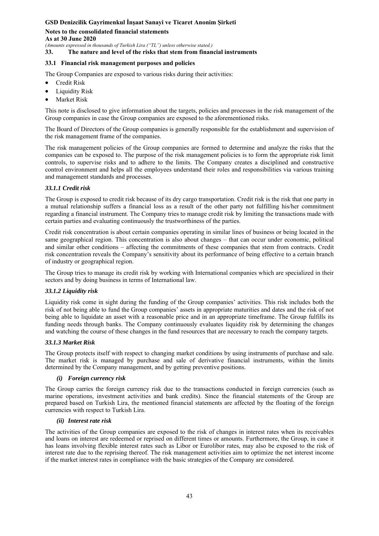**Notes to the consolidated financial statements As at 30 June 2020** 

*(Amounts expressed in thousands of Turkish Lira ("TL") unless otherwise stated.)* 

**33. The nature and level of the risks that stem from financial instruments** 

#### **33.1 Financial risk management purposes and policies**

The Group Companies are exposed to various risks during their activities:

- Credit Risk
- Liquidity Risk
- Market Risk

This note is disclosed to give information about the targets, policies and processes in the risk management of the Group companies in case the Group companies are exposed to the aforementioned risks.

The Board of Directors of the Group companies is generally responsible for the establishment and supervision of the risk management frame of the companies.

The risk management policies of the Group companies are formed to determine and analyze the risks that the companies can be exposed to. The purpose of the risk management policies is to form the appropriate risk limit controls, to supervise risks and to adhere to the limits. The Company creates a disciplined and constructive control environment and helps all the employees understand their roles and responsibilities via various training and management standards and processes.

### *33.1.1 Credit risk*

The Group is exposed to credit risk because of its dry cargo transportation. Credit risk is the risk that one party in a mutual relationship suffers a financial loss as a result of the other party not fulfilling his/her commitment regarding a financial instrument. The Company tries to manage credit risk by limiting the transactions made with certain parties and evaluating continuously the trustworthiness of the parties.

Credit risk concentration is about certain companies operating in similar lines of business or being located in the same geographical region. This concentration is also about changes – that can occur under economic, political and similar other conditions – affecting the commitments of these companies that stem from contracts. Credit risk concentration reveals the Company's sensitivity about its performance of being effective to a certain branch of industry or geographical region.

The Group tries to manage its credit risk by working with International companies which are specialized in their sectors and by doing business in terms of International law.

### *33.1.2 Liquidity risk*

Liquidity risk come in sight during the funding of the Group companies' activities. This risk includes both the risk of not being able to fund the Group companies' assets in appropriate maturities and dates and the risk of not being able to liquidate an asset with a reasonable price and in an appropriate timeframe. The Group fulfills its funding needs through banks. The Company continuously evaluates liquidity risk by determining the changes and watching the course of these changes in the fund resources that are necessary to reach the company targets.

### *33.1.3 Market Risk*

The Group protects itself with respect to changing market conditions by using instruments of purchase and sale. The market risk is managed by purchase and sale of derivative financial instruments, within the limits determined by the Company management, and by getting preventive positions.

#### *(i) Foreign currency risk*

The Group carries the foreign currency risk due to the transactions conducted in foreign currencies (such as marine operations, investment activities and bank credits). Since the financial statements of the Group are prepared based on Turkish Lira, the mentioned financial statements are affected by the floating of the foreign currencies with respect to Turkish Lira.

#### *(ii) Interest rate risk*

The activities of the Group companies are exposed to the risk of changes in interest rates when its receivables and loans on interest are redeemed or reprised on different times or amounts. Furthermore, the Group, in case it has loans involving flexible interest rates such as Libor or Eurolibor rates, may also be exposed to the risk of interest rate due to the reprising thereof. The risk management activities aim to optimize the net interest income if the market interest rates in compliance with the basic strategies of the Company are considered.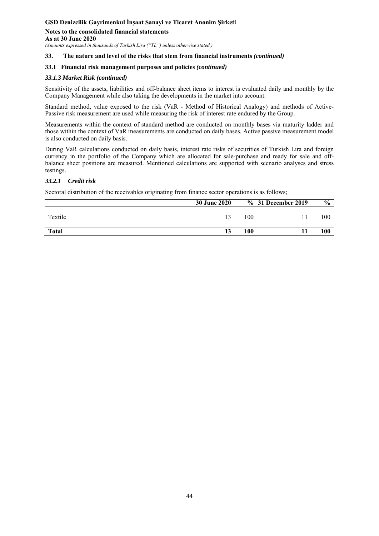**Notes to the consolidated financial statements As at 30 June 2020** 

*(Amounts expressed in thousands of Turkish Lira ("TL") unless otherwise stated.)* 

#### **33. The nature and level of the risks that stem from financial instruments** *(continued)*

#### **33.1 Financial risk management purposes and policies** *(continued)*

#### *33.1.3 Market Risk (continued)*

Sensitivity of the assets, liabilities and off-balance sheet items to interest is evaluated daily and monthly by the Company Management while also taking the developments in the market into account.

Standard method, value exposed to the risk (VaR - Method of Historical Analogy) and methods of Active-Passive risk measurement are used while measuring the risk of interest rate endured by the Group.

Measurements within the context of standard method are conducted on monthly bases via maturity ladder and those within the context of VaR measurements are conducted on daily bases. Active passive measurement model is also conducted on daily basis.

During VaR calculations conducted on daily basis, interest rate risks of securities of Turkish Lira and foreign currency in the portfolio of the Company which are allocated for sale-purchase and ready for sale and offbalance sheet positions are measured. Mentioned calculations are supported with scenario analyses and stress testings.

### *33.2.1 Credit risk*

Sectoral distribution of the receivables originating from finance sector operations is as follows;

| <b>30 June 2020</b> |     | $\frac{0}{0}$      |
|---------------------|-----|--------------------|
|                     | 100 | 100                |
| 13                  | 100 | 100                |
|                     |     | % 31 December 2019 |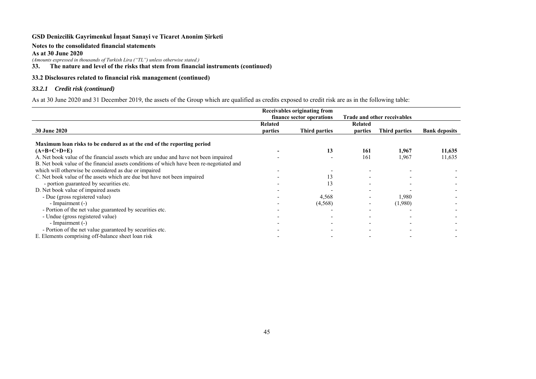#### **Notes to the consolidated financial statements**

**As at 30 June 2020** 

*(Amounts expressed in thousands of Turkish Lira ("TL") unless otherwise stated.)* 

**33. The nature and level of the risks that stem from financial instruments (continued)** 

## **33.2 Disclosures related to financial risk management (continued)**

### *33.2.1 Credit risk (continued)*

As at 30 June 2020 and 31 December 2019, the assets of the Group which are qualified as credits exposed to credit risk are as in the following table:

|                                                                                           |         | Receivables originating from |                             |               |                      |
|-------------------------------------------------------------------------------------------|---------|------------------------------|-----------------------------|---------------|----------------------|
|                                                                                           |         | finance sector operations    | Trade and other receivables |               |                      |
|                                                                                           | Related |                              | <b>Related</b>              |               |                      |
| <b>30 June 2020</b>                                                                       | parties | Third parties                | parties                     | Third parties | <b>Bank deposits</b> |
| Maximum loan risks to be endured as at the end of the reporting period                    |         |                              |                             |               |                      |
| $(A+B+C+D+E)$                                                                             |         | 13                           | 161                         | 1.967         | 11,635               |
| A. Net book value of the financial assets which are undue and have not been impaired      |         |                              | 161                         | 1,967         | 11,635               |
| B. Net book value of the financial assets conditions of which have been re-negotiated and |         |                              |                             |               |                      |
| which will otherwise be considered as due or impaired                                     |         |                              |                             |               |                      |
| C. Net book value of the assets which are due but have not been impaired                  |         | 13                           |                             |               |                      |
| - portion guaranteed by securities etc.                                                   |         | 13                           |                             |               |                      |
| D. Net book value of impaired assets                                                      |         |                              |                             |               |                      |
| - Due (gross registered value)                                                            |         | 4,568                        |                             | 1,980         |                      |
| - Impairment (-)                                                                          |         | (4,568)                      |                             | (1,980)       |                      |
| - Portion of the net value guaranteed by securities etc.                                  |         |                              |                             |               |                      |
| - Undue (gross registered value)                                                          |         |                              |                             |               |                      |
| - Impairment (-)                                                                          |         |                              |                             |               |                      |
| - Portion of the net value guaranteed by securities etc.                                  |         |                              |                             |               |                      |
| E. Elements comprising off-balance sheet loan risk                                        |         |                              |                             |               |                      |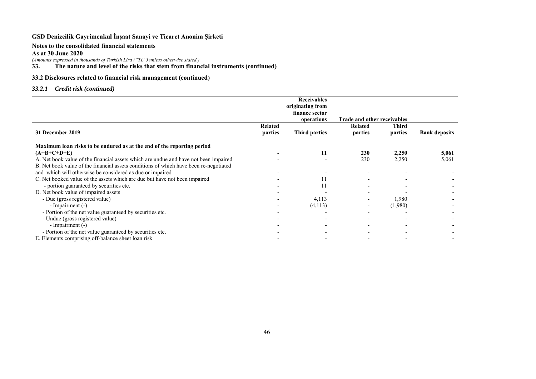#### **Notes to the consolidated financial statements**

#### **As at 30 June 2020**

*(Amounts expressed in thousands of Turkish Lira ("TL") unless otherwise stated.)*  **33. The nature and level of the risks that stem from financial instruments (continued)** 

## **33.2 Disclosures related to financial risk management (continued)**

### *33.2.1 Credit risk (continued)*

|                                                                                       |         | <b>Receivables</b>   |                                    |              |                      |
|---------------------------------------------------------------------------------------|---------|----------------------|------------------------------------|--------------|----------------------|
|                                                                                       |         | originating from     |                                    |              |                      |
|                                                                                       |         | finance sector       |                                    |              |                      |
|                                                                                       |         | operations           | <b>Trade and other receivables</b> |              |                      |
|                                                                                       | Related |                      | <b>Related</b>                     | <b>Third</b> |                      |
| 31 December 2019                                                                      | parties | <b>Third parties</b> | parties                            | parties      | <b>Bank deposits</b> |
|                                                                                       |         |                      |                                    |              |                      |
| Maximum loan risks to be endured as at the end of the reporting period                |         |                      |                                    |              |                      |
| $(A+B+C+D+E)$                                                                         |         | 11                   | 230                                | 2,250        | 5,061                |
| A. Net book value of the financial assets which are undue and have not been impaired  |         |                      | 230                                | 2,250        | 5,061                |
| B. Net book value of the financial assets conditions of which have been re-negotiated |         |                      |                                    |              |                      |
| and which will otherwise be considered as due or impaired                             |         |                      |                                    |              |                      |
| C. Net booked value of the assets which are due but have not been impaired            |         | 11                   |                                    |              |                      |
| - portion guaranteed by securities etc.                                               |         |                      |                                    |              |                      |
| D. Net book value of impaired assets                                                  |         |                      |                                    |              |                      |
| - Due (gross registered value)                                                        |         | 4,113                |                                    | 1,980        |                      |
| - Impairment (-)                                                                      |         | (4,113)              |                                    | (1,980)      |                      |
| - Portion of the net value guaranteed by securities etc.                              |         |                      |                                    |              |                      |
| - Undue (gross registered value)                                                      |         |                      |                                    |              |                      |
| - Impairment (-)                                                                      |         |                      |                                    |              |                      |
| - Portion of the net value guaranteed by securities etc.                              |         |                      |                                    |              |                      |
| E. Elements comprising off-balance sheet loan risk                                    |         |                      |                                    |              |                      |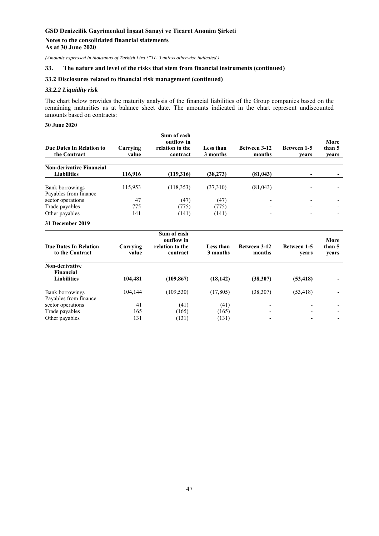#### **Notes to the consolidated financial statements As at 30 June 2020**

*(Amounts expressed in thousands of Turkish Lira ("TL") unless otherwise indicated.)* 

#### **33. The nature and level of the risks that stem from financial instruments (continued)**

#### **33.2 Disclosures related to financial risk management (continued)**

Other payables 131  $(131)$   $(131)$   $(131)$ 

#### *33.2.2 Liquidity risk*

The chart below provides the maturity analysis of the financial liabilities of the Group companies based on the remaining maturities as at balance sheet date. The amounts indicated in the chart represent undiscounted amounts based on contracts:

#### **30 June 2020**

|                                                 |                   | Sum of cash<br>outflow in   |                              |                               |                             | More            |
|-------------------------------------------------|-------------------|-----------------------------|------------------------------|-------------------------------|-----------------------------|-----------------|
| <b>Due Dates In Relation to</b><br>the Contract | Carrying<br>value | relation to the<br>contract | <b>Less than</b><br>3 months | <b>Between 3-12</b><br>months | <b>Between 1-5</b><br>vears | than 5<br>years |
|                                                 |                   |                             |                              |                               |                             |                 |
| <b>Non-derivative Financial</b>                 |                   |                             |                              |                               |                             |                 |
| <b>Liabilities</b>                              | 116,916           | (119,316)                   | (38, 273)                    | (81, 043)                     |                             |                 |
| Bank borrowings                                 | 115,953           | (118, 353)                  | (37,310)                     | (81,043)                      |                             |                 |
| Payables from finance                           |                   |                             |                              |                               |                             |                 |
| sector operations                               | 47                | (47)                        | (47)                         |                               |                             |                 |
| Trade payables                                  | 775               | (775)                       | (775)                        |                               |                             |                 |
| Other payables                                  | 141               | (141)                       | (141)                        |                               |                             |                 |
| 31 December 2019                                |                   |                             |                              |                               |                             |                 |
|                                                 |                   | Sum of cash<br>outflow in   |                              |                               |                             | More            |
| <b>Due Dates In Relation</b><br>to the Contract | Carrying<br>value | relation to the<br>contract | Less than<br>3 months        | <b>Between 3-12</b><br>months | Between 1-5<br>vears        | than 5<br>vears |
| Non-derivative                                  |                   |                             |                              |                               |                             |                 |
| Financial                                       |                   |                             |                              |                               |                             |                 |
| <b>Liabilities</b>                              | 104,481           | (109, 867)                  | (18, 142)                    | (38,307)                      | (53, 418)                   |                 |
| <b>Bank borrowings</b>                          | 104,144           | (109, 530)                  | (17, 805)                    | (38, 307)                     | (53, 418)                   |                 |
| Payables from finance                           |                   |                             |                              |                               |                             |                 |
| sector operations                               | 41                | (41)                        | (41)                         |                               |                             |                 |
| Trade payables                                  | 165               | (165)                       | (165)                        |                               |                             |                 |
| Other payables                                  | 131               | (131)                       | (131)                        |                               |                             |                 |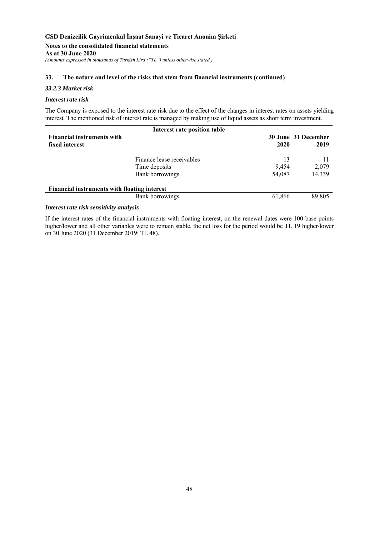# **Notes to the consolidated financial statements**

**As at 30 June 2020** 

*(Amounts expressed in thousands of Turkish Lira ("TL") unless otherwise stated.)* 

#### **33. The nature and level of the risks that stem from financial instruments (continued)**

#### *33.2.3 Market risk*

#### *Interest rate risk*

The Company is exposed to the interest rate risk due to the effect of the changes in interest rates on assets yielding interest. The mentioned risk of interest rate is managed by making use of liquid assets as short term investment.

| Interest rate position table                 |                           |        |        |  |  |  |  |
|----------------------------------------------|---------------------------|--------|--------|--|--|--|--|
| <b>Financial instruments with</b>            | 30 June 31 December       |        |        |  |  |  |  |
| fixed interest                               |                           | 2020   | 2019   |  |  |  |  |
|                                              |                           |        |        |  |  |  |  |
|                                              | Finance lease receivables | 13     |        |  |  |  |  |
|                                              | Time deposits             | 9.454  | 2,079  |  |  |  |  |
|                                              | <b>Bank borrowings</b>    | 54,087 | 14,339 |  |  |  |  |
| Financial instruments with floating interest |                           |        |        |  |  |  |  |
|                                              | <b>Bank borrowings</b>    | 61,866 | 89,805 |  |  |  |  |

### *Interest rate risk sensitivity analysis*

If the interest rates of the financial instruments with floating interest, on the renewal dates were 100 base points higher/lower and all other variables were to remain stable, the net loss for the period would be TL 19 higher/lower on 30 June 2020 (31 December 2019: TL 48).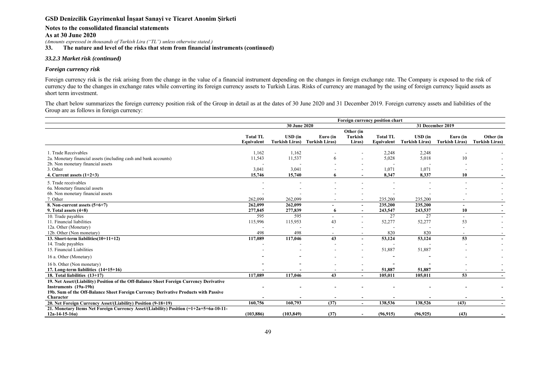#### **Notes to the consolidated financial statements**

**As at 30 June 2020** 

*(Amounts expressed in thousands of Turkish Lira ("TL") unless otherwise stated.)* 

**33. The nature and level of the risks that stem from financial instruments (continued)** 

#### *33.2.3 Market risk (continued)*

### *Foreign currency risk*

Foreign currency risk is the risk arising from the change in the value of a financial instrument depending on the changes in foreign exchange rate. The Company is exposed to the risk of currency due to the changes in exchange rates while converting its foreign currency assets to Turkish Liras. Risks of currency are managed by the using of foreign currency liquid assets as short term investment.

The chart below summarizes the foreign currency position risk of the Group in detail as at the dates of 30 June 2020 and 31 December 2019. Foreign currency assets and liabilities of the Group are as follows in foreign currency:

|                                                                                                                                                                                                                      | Foreign currency position chart  |                                                   |                            |                                |                               |                                         |                                   |                                    |
|----------------------------------------------------------------------------------------------------------------------------------------------------------------------------------------------------------------------|----------------------------------|---------------------------------------------------|----------------------------|--------------------------------|-------------------------------|-----------------------------------------|-----------------------------------|------------------------------------|
|                                                                                                                                                                                                                      | 30 June 2020<br>31 December 2019 |                                                   |                            |                                |                               |                                         |                                   |                                    |
|                                                                                                                                                                                                                      | <b>Total TL</b><br>Equivalent    | $\boldsymbol{\mathrm{USD}}$ (in<br>Turkish Liras) | Euro (in<br>Turkish Liras) | Other (in<br>Turkish<br>Liras) | <b>Total TL</b><br>Equivalent | <b>USD</b> (in<br><b>Turkish Liras)</b> | Euro (in<br><b>Turkish Liras)</b> | Other (in<br><b>Turkish Liras)</b> |
| 1. Trade Receivables<br>2a. Monetary financial assets (including cash and bank accounts)<br>2b. Non monetary financial assets<br>3. Other                                                                            | 1,162<br>11,543<br>3,041         | 1,162<br>11,537<br>3,041                          | 6                          |                                | 2,248<br>5,028<br>1,071       | 2,248<br>5,018<br>1,071                 | 10                                |                                    |
| 4. Current assets $(1+2+3)$                                                                                                                                                                                          | 15,746                           | 15,740                                            |                            |                                | 8,347                         | 8,337                                   | 10                                |                                    |
| 5. Trade receivables<br>6a. Monetary financial assets<br>6b. Non monetary financial assets<br>7. Other                                                                                                               | 262,099                          | 262,099                                           |                            |                                | 235,200                       | 235,200                                 |                                   |                                    |
| 8. Non-current assets $(5+6+7)$<br>9. Total assets $(4+8)$                                                                                                                                                           | 262,099<br>277,845               | 262,099<br>277,839                                | 6                          | $\overline{\phantom{a}}$       | 235,200<br>243,547            | 235,200<br>243,537                      | $\overline{\phantom{0}}$<br>10    |                                    |
| 10. Trade payables<br>11. Financial liabilities<br>12a. Other (Monetary)                                                                                                                                             | 595<br>115,996                   | 595<br>115,953                                    | 43                         |                                | 27<br>52,277                  | 27<br>52,277                            | 53                                |                                    |
| 12b. Other (Non monetary)                                                                                                                                                                                            | 498                              | 498                                               |                            |                                | 820                           | 820                                     |                                   |                                    |
| 13. Short-term liabilities $(10+11+12)$<br>14. Trade payables<br>15. Financial Liabilities                                                                                                                           | 117,089                          | 117,046                                           | 43                         |                                | 53,124<br>51,887              | 53,124<br>51,887                        | $\overline{53}$                   |                                    |
| 16 a. Other (Monetary)                                                                                                                                                                                               |                                  |                                                   |                            |                                |                               |                                         |                                   |                                    |
| 16 b. Other (Non monetary)<br>17. Long-term liabilities (14+15+16)                                                                                                                                                   |                                  |                                                   |                            |                                | 51,887                        | 51.887                                  |                                   |                                    |
| 18. Total liabilities (13+17)                                                                                                                                                                                        | 117,089                          | 117,046                                           | 43                         |                                | 105,011                       | 105,011                                 | 53                                |                                    |
| 19. Net Asset/(Liability) Position of the Off-Balance Sheet Foreign Currency Derivative<br>Instruments (19a-19b)<br>19b. Sum of the Off-Balance Sheet Foreign Currency Derivative Products with Passive<br>Character |                                  |                                                   |                            |                                |                               |                                         |                                   |                                    |
| 20. Net Foreign Currency Asset/(Liability) Position (9-18+19)                                                                                                                                                        | 160,756                          | 160,793                                           | (37)                       | $\overline{\phantom{0}}$       | 138,536                       | 138,526                                 | (43)                              | $\sim$                             |
| 21. Monetary Items Net Foreign Currency Asset/(Liability) Position (=1+2a+5+6a-10-11-<br>$12a-14-15-16a$                                                                                                             | (103, 886)                       | (103, 849)                                        | (37)                       |                                | (96, 915)                     | (96, 925)                               | (43)                              |                                    |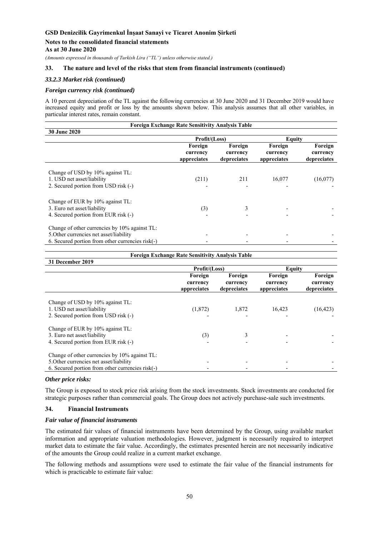**Notes to the consolidated financial statements** 

**As at 30 June 2020** 

*(Amounts expressed in thousands of Turkish Lira ("TL") unless otherwise stated.)* 

### **33. The nature and level of the risks that stem from financial instruments (continued)**

#### *33.2.3 Market risk (continued)*

#### *Foreign currency risk (continued)*

A 10 percent depreciation of the TL against the following currencies at 30 June 2020 and 31 December 2019 would have increased equity and profit or loss by the amounts shown below. This analysis assumes that all other variables, in particular interest rates, remain constant.

| <b>Foreign Exchange Rate Sensitivity Analysis Table</b>                                                                                      |                                    |                                    |                                    |                                    |
|----------------------------------------------------------------------------------------------------------------------------------------------|------------------------------------|------------------------------------|------------------------------------|------------------------------------|
| 30 June 2020                                                                                                                                 |                                    |                                    |                                    |                                    |
|                                                                                                                                              | Profit/(Loss)                      |                                    | Equity                             |                                    |
|                                                                                                                                              | Foreign<br>currency<br>appreciates | Foreign<br>currency<br>depreciates | Foreign<br>currency<br>appreciates | Foreign<br>currency<br>depreciates |
| Change of USD by 10% against TL:<br>1. USD net asset/liability<br>2. Secured portion from USD risk (-)                                       | (211)                              | 211                                | 16,077                             | (16,077)                           |
| Change of EUR by 10% against TL:<br>3. Euro net asset/liability<br>4. Secured portion from EUR risk (-)                                      | (3)                                | 3                                  |                                    |                                    |
| Change of other currencies by 10% against TL:<br>5. Other currencies net asset/liability<br>6. Secured portion from other currencies risk(-) |                                    |                                    |                                    |                                    |

#### **Foreign Exchange Rate Sensitivity Analysis Table**

| 31 December 2019                                                                                                                             |                                    |                                    |                                    |                                    |  |
|----------------------------------------------------------------------------------------------------------------------------------------------|------------------------------------|------------------------------------|------------------------------------|------------------------------------|--|
|                                                                                                                                              | Profit/(Loss)                      |                                    | Equity                             |                                    |  |
|                                                                                                                                              | Foreign<br>currency<br>appreciates | Foreign<br>currency<br>depreciates | Foreign<br>currency<br>appreciates | Foreign<br>currency<br>depreciates |  |
| Change of USD by 10% against TL:<br>1. USD net asset/liability<br>2. Secured portion from USD risk (-)                                       | (1,872)                            | 1.872                              | 16.423                             | (16, 423)                          |  |
| Change of EUR by 10% against TL:<br>3. Euro net asset/liability<br>4. Secured portion from EUR risk (-)                                      | (3)                                | 3                                  |                                    |                                    |  |
| Change of other currencies by 10% against TL:<br>5. Other currencies net asset/liability<br>6. Secured portion from other currencies risk(-) |                                    |                                    |                                    |                                    |  |

#### *Other price risks:*

The Group is exposed to stock price risk arising from the stock investments. Stock investments are conducted for strategic purposes rather than commercial goals. The Group does not actively purchase-sale such investments.

#### **34. Financial Instruments**

#### *Fair value of financial instruments*

The estimated fair values of financial instruments have been determined by the Group, using available market information and appropriate valuation methodologies. However, judgment is necessarily required to interpret market data to estimate the fair value. Accordingly, the estimates presented herein are not necessarily indicative of the amounts the Group could realize in a current market exchange.

The following methods and assumptions were used to estimate the fair value of the financial instruments for which is practicable to estimate fair value: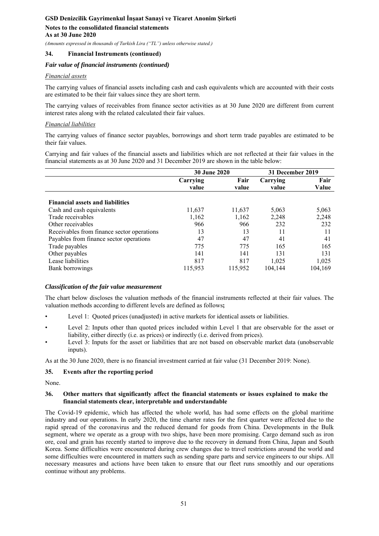### **34. Financial Instruments (continued)**

### *Fair value of financial instruments (continued)*

### *Financial assets*

The carrying values of financial assets including cash and cash equivalents which are accounted with their costs are estimated to be their fair values since they are short term.

The carrying values of receivables from finance sector activities as at 30 June 2020 are different from current interest rates along with the related calculated their fair values.

### *Financial liabilities*

The carrying values of finance sector payables, borrowings and short term trade payables are estimated to be their fair values.

Carrying and fair values of the financial assets and liabilities which are not reflected at their fair values in the financial statements as at 30 June 2020 and 31 December 2019 are shown in the table below:

|                                            | <b>30 June 2020</b> |         | 31 December 2019 |         |
|--------------------------------------------|---------------------|---------|------------------|---------|
|                                            | Carrying            | Fair    | Carrying         | Fair    |
|                                            | value               | value   | value            | Value   |
| <b>Financial assets and liabilities</b>    |                     |         |                  |         |
| Cash and cash equivalents                  | 11,637              | 11,637  | 5,063            | 5,063   |
| Trade receivables                          | 1,162               | 1,162   | 2,248            | 2,248   |
| Other receivables                          | 966                 | 966     | 232              | 232     |
| Receivables from finance sector operations | 13                  | 13      | 11               | 11      |
| Payables from finance sector operations    | 47                  | 47      | 41               | 41      |
| Trade payables                             | 775                 | 775     | 165              | 165     |
| Other payables                             | 141                 | 141     | 131              | 131     |
| Lease liabilities                          | 817                 | 817     | 1.025            | 1,025   |
| Bank borrowings                            | 115,953             | 115,952 | 104,144          | 104,169 |

### *Classification of the fair value measurement*

The chart below discloses the valuation methods of the financial instruments reflected at their fair values. The valuation methods according to different levels are defined as follows**;** 

- Level 1: Quoted prices (unadjusted) in active markets for identical assets or liabilities.
- Level 2: Inputs other than quoted prices included within Level 1 that are observable for the asset or liability, either directly (i.e. as prices) or indirectly (i.e. derived from prices).
- Level 3: Inputs for the asset or liabilities that are not based on observable market data (unobservable inputs).

As at the 30 June 2020, there is no financial investment carried at fair value (31 December 2019: None).

### **35. Events after the reporting period**

None.

#### **36. Other matters that significantly affect the financial statements or issues explained to make the financial statements clear, interpretable and understandable**

The Covid-19 epidemic, which has affected the whole world, has had some effects on the global maritime industry and our operations. In early 2020, the time charter rates for the first quarter were affected due to the rapid spread of the coronavirus and the reduced demand for goods from China. Developments in the Bulk segment, where we operate as a group with two ships, have been more promising. Cargo demand such as iron ore, coal and grain has recently started to improve due to the recovery in demand from China, Japan and South Korea. Some difficulties were encountered during crew changes due to travel restrictions around the world and some difficulties were encountered in matters such as sending spare parts and service engineers to our ships. All necessary measures and actions have been taken to ensure that our fleet runs smoothly and our operations continue without any problems.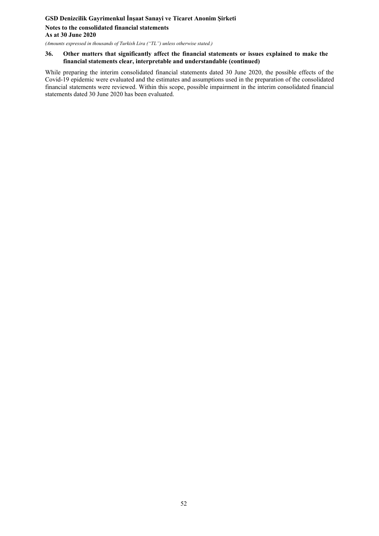# **GSD Denizcilik Gayrimenkul İnşaat Sanayi ve Ticaret Anonim Şirketi Notes to the consolidated financial statements As at 30 June 2020**

*(Amounts expressed in thousands of Turkish Lira ("TL") unless otherwise stated.)* 

#### **36. Other matters that significantly affect the financial statements or issues explained to make the financial statements clear, interpretable and understandable (continued)**

While preparing the interim consolidated financial statements dated 30 June 2020, the possible effects of the Covid-19 epidemic were evaluated and the estimates and assumptions used in the preparation of the consolidated financial statements were reviewed. Within this scope, possible impairment in the interim consolidated financial statements dated 30 June 2020 has been evaluated.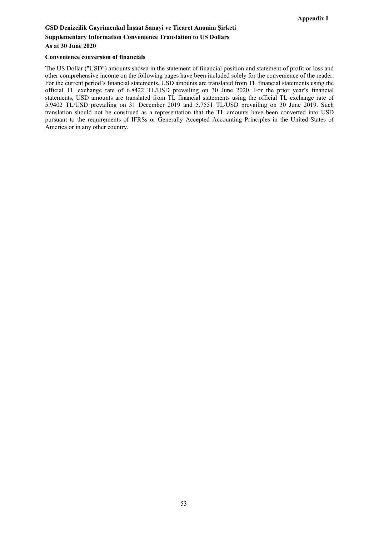# **GSD Denizcilik Gayrimenkul İnşaat Sanayi ve Ticaret Anonim Şirketi Supplementary Information Convenience Translation to US Dollars As at 30 June 2020**

#### **Convenience conversion of financials**

The US Dollar ("USD") amounts shown in the statement of financial position and statement of profit or loss and other comprehensive income on the following pages have been included solely for the convenience of the reader. For the current period's financial statements, USD amounts are translated from TL financial statements using the official TL exchange rate of 6.8422 TL/USD prevailing on 30 June 2020. For the prior year's financial statements, USD amounts are translated from TL financial statements using the official TL exchange rate of 5.9402 TL/USD prevailing on 31 December 2019 and 5.7551 TL/USD prevailing on 30 June 2019. Such translation should not be construed as a representation that the TL amounts have been converted into USD pursuant to the requirements of IFRSs or Generally Accepted Accounting Principles in the United States of America or in any other country.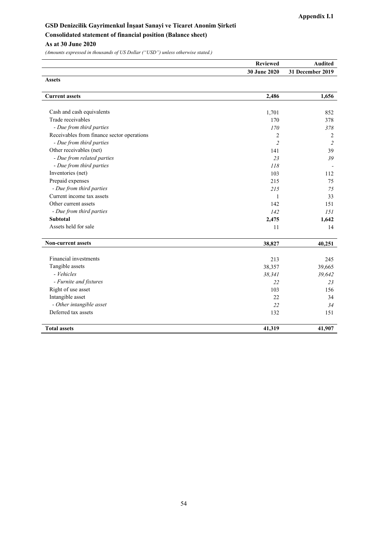## **GSD Denizcilik Gayrimenkul İnşaat Sanayi ve Ticaret Anonim Şirketi Consolidated statement of financial position (Balance sheet) As at 30 June 2020**

| <b>Reviewed</b>     | Audited          |
|---------------------|------------------|
| <b>30 June 2020</b> | 31 December 2019 |
| Assets              |                  |

| <b>Current assets</b>                      | 2,486                    | 1,656          |
|--------------------------------------------|--------------------------|----------------|
|                                            |                          |                |
| Cash and cash equivalents                  | 1,701                    | 852            |
| Trade receivables                          | 170                      | 378            |
| - Due from third parties                   | 170                      | 378            |
| Receivables from finance sector operations | 2                        | 2              |
| - Due from third parties                   | $\overline{\mathcal{L}}$ | $\overline{2}$ |
| Other receivables (net)                    | 141                      | 39             |
| - Due from related parties                 | 23                       | 39             |
| - Due from third parties                   | 118                      |                |
| Inventories (net)                          | 103                      | 112            |
| Prepaid expenses                           | 215                      | 75             |
| - Due from third parties                   | 215                      | 75             |
| Current income tax assets                  | 1                        | 33             |
| Other current assets                       | 142                      | 151            |
| - Due from third parties                   | 142                      | 151            |
| <b>Subtotal</b>                            | 2,475                    | 1,642          |
| Assets held for sale                       | 11                       | 14             |
| <b>Non-current assets</b>                  | 38,827                   | 40,251         |
| Financial investments                      | 213                      | 245            |
| Tangible assets                            | 38,357                   | 39,665         |
| - Vehicles                                 | 38,341                   | 39,642         |
| - Furnite and fixtures                     | 22                       | 23             |
| Right of use asset                         | 103                      | 156            |
| Intangible asset                           | 22                       | 34             |
| - Other intangible asset                   | 22                       | 34             |
| Deferred tax assets                        | 132                      | 151            |
| <b>Total assets</b>                        | 41,319                   | 41,907         |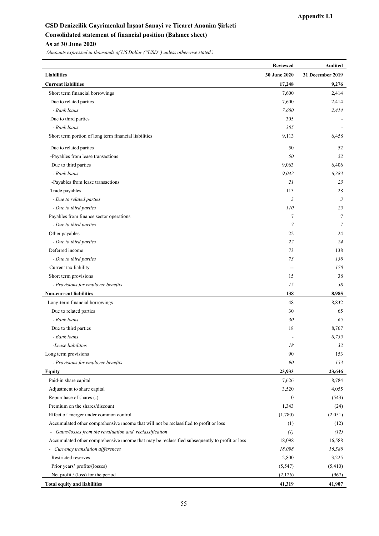## **GSD Denizcilik Gayrimenkul İnşaat Sanayi ve Ticaret Anonim Şirketi Consolidated statement of financial position (Balance sheet) As at 30 June 2020**

|                                                                                                | <b>Reviewed</b>  | <b>Audited</b>   |
|------------------------------------------------------------------------------------------------|------------------|------------------|
| <b>Liabilities</b>                                                                             | 30 June 2020     | 31 December 2019 |
| <b>Current liabilities</b>                                                                     | 17,248           | 9,276            |
| Short term financial borrowings                                                                | 7,600            | 2,414            |
| Due to related parties                                                                         | 7,600            | 2,414            |
| - Bank loans                                                                                   | 7,600            | 2,414            |
| Due to third parties                                                                           | 305              |                  |
| - Bank loans                                                                                   | 305              |                  |
| Short term portion of long term financial liabilities                                          | 9,113            | 6,458            |
| Due to related parties                                                                         | 50               | 52               |
| -Payables from lease transactions                                                              | 50               | 52               |
| Due to third parties                                                                           | 9,063            | 6,406            |
| - Bank loans                                                                                   | 9,042            | 6,383            |
| -Payables from lease transactions                                                              | 21               | 23               |
| Trade payables                                                                                 | 113              | 28               |
| - Due to related parties                                                                       | $\mathfrak{Z}$   | $\mathfrak{Z}$   |
| - Due to third parties                                                                         | 110              | 25               |
| Payables from finance sector operations                                                        | 7                | 7                |
| - Due to third parties                                                                         | $\overline{7}$   | $\overline{7}$   |
| Other payables                                                                                 | 22               | 24               |
| - Due to third parties                                                                         | 22               | 24               |
| Deferred income                                                                                | 73               | 138              |
| - Due to third parties                                                                         | 73               | 138              |
| Current tax liability                                                                          | --               | 170              |
| Short term provisions                                                                          | 15               | 38               |
| - Provisions for employee benefits                                                             | 15               | 38               |
| <b>Non-current liabilities</b>                                                                 | 138              | 8,985            |
| Long-term financial borrowings                                                                 | 48               | 8,832            |
| Due to related parties                                                                         | 30               | 65               |
| - Bank loans                                                                                   | 30               | 65               |
| Due to third parties                                                                           | 18               | 8,767            |
| - Bank loans                                                                                   |                  | 8,735            |
| -Lease liabilities                                                                             | 18               | 32               |
| Long term provisions                                                                           | 90               | 153              |
| - Provisions for employee benefits                                                             | 90               | 153              |
| Equity                                                                                         | 23,933           | 23,646           |
| Paid-in share capital                                                                          | 7,626            | 8,784            |
| Adjustment to share capital                                                                    | 3,520            | 4,055            |
| Repurchase of shares (-)                                                                       | $\boldsymbol{0}$ | (543)            |
| Premium on the shares/discount                                                                 | 1,343            | (24)             |
| Effect of merger under common control                                                          | (1,780)          | (2,051)          |
| Accumulated other comprehensive income that will not be reclassified to profit or loss         | (1)              | (12)             |
| - Gains/losses from the revaluation and reclassification                                       | (1)              | (12)             |
| Accumulated other comprehensive income that may be reclassified subsequently to profit or loss | 18,098           | 16,588           |
| - Currency translation differences                                                             | 18,098           | 16,588           |
| Restricted reserves                                                                            | 2,800            | 3,225            |
| Prior years' profits/(losses)                                                                  | (5, 547)         | (5,410)          |
| Net profit / (loss) for the period                                                             | (2,126)          | (967)            |
| <b>Total equity and liabilities</b>                                                            | 41,319           | 41,907           |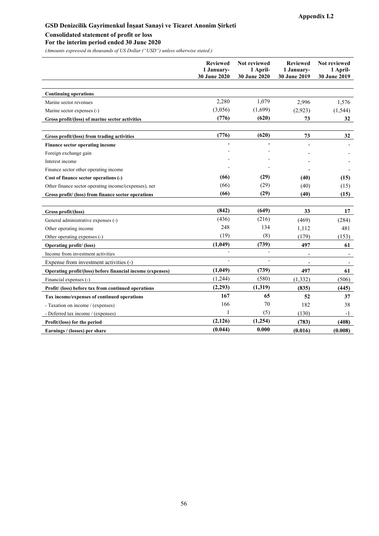#### **Consolidated statement of profit or loss**

**For the interim period ended 30 June 2020** 

|                                                            | <b>Reviewed</b><br>1 January-<br>30 June 2020 | <b>Not reviewed</b><br>1 April-<br>30 June 2020 | <b>Reviewed</b><br>1 January-<br>30 June 2019 | Not reviewed<br>1 April-<br>30 June 2019 |
|------------------------------------------------------------|-----------------------------------------------|-------------------------------------------------|-----------------------------------------------|------------------------------------------|
|                                                            |                                               |                                                 |                                               |                                          |
| <b>Continuing operations</b>                               |                                               |                                                 |                                               |                                          |
| Marine sector revenues                                     | 2,280                                         | 1,079                                           | 2,996                                         | 1,576                                    |
| Marine sector expenses (-)                                 | (3,056)                                       | (1,699)                                         | (2,923)                                       | (1, 544)                                 |
| Gross profit/(loss) of marine sector activities            | (776)                                         | (620)                                           | 73                                            | 32                                       |
| Gross profit/(loss) from trading activities                | (776)                                         | (620)                                           | 73                                            | 32                                       |
| Finance sector operating income                            |                                               |                                                 |                                               |                                          |
| Foreign exchange gain                                      |                                               |                                                 |                                               |                                          |
| Interest income                                            |                                               |                                                 |                                               |                                          |
| Finance sector other operating income                      |                                               |                                                 |                                               |                                          |
| Cost of finance sector operations (-)                      | (66)                                          | (29)                                            | (40)                                          | (15)                                     |
| Other finance sector operating income/(expenses), net      | (66)                                          | (29)                                            | (40)                                          | (15)                                     |
| Gross profit/ (loss) from finance sector operations        | (66)                                          | (29)                                            | (40)                                          | (15)                                     |
| Gross profit/(loss)                                        | (842)                                         | (649)                                           | 33                                            | 17                                       |
| General administrative expenses (-)                        | (436)                                         | (216)                                           | (469)                                         | (284)                                    |
| Other operating income                                     | 248                                           | 134                                             | 1,112                                         | 481                                      |
| Other operating expenses (-)                               | (19)                                          | (8)                                             | (179)                                         | (153)                                    |
| Operating profit/ (loss)                                   | (1,049)                                       | (739)                                           | 497                                           | 61                                       |
| Income from investment activities                          | L.                                            | $\overline{a}$                                  | $\overline{a}$                                |                                          |
| Expense from investment activities (-)                     |                                               |                                                 |                                               |                                          |
| Operating profit/(loss) before financial income (expenses) | (1,049)                                       | (739)                                           | 497                                           | 61                                       |
| Financial expenses (-)                                     | (1,244)                                       | (580)                                           | (1, 332)                                      | (506)                                    |
| Profit/ (loss) before tax from continued operations        | (2,293)                                       | (1,319)                                         | (835)                                         | (445)                                    |
| Tax income/expenses of continued operations                | 167                                           | 65                                              | 52                                            | 37                                       |
| - Taxation on income / (expenses)                          | 166                                           | 70                                              | 182                                           | 38                                       |
| - Deferred tax income / (expenses)                         | 1                                             | (5)                                             | (130)                                         | $-1$                                     |
| Profit/(loss) for the period                               | (2,126)                                       | (1,254)                                         | (783)                                         | (408)                                    |
| Earnings / (losses) per share                              | (0.044)                                       | 0.000                                           | (0.016)                                       | (0.008)                                  |